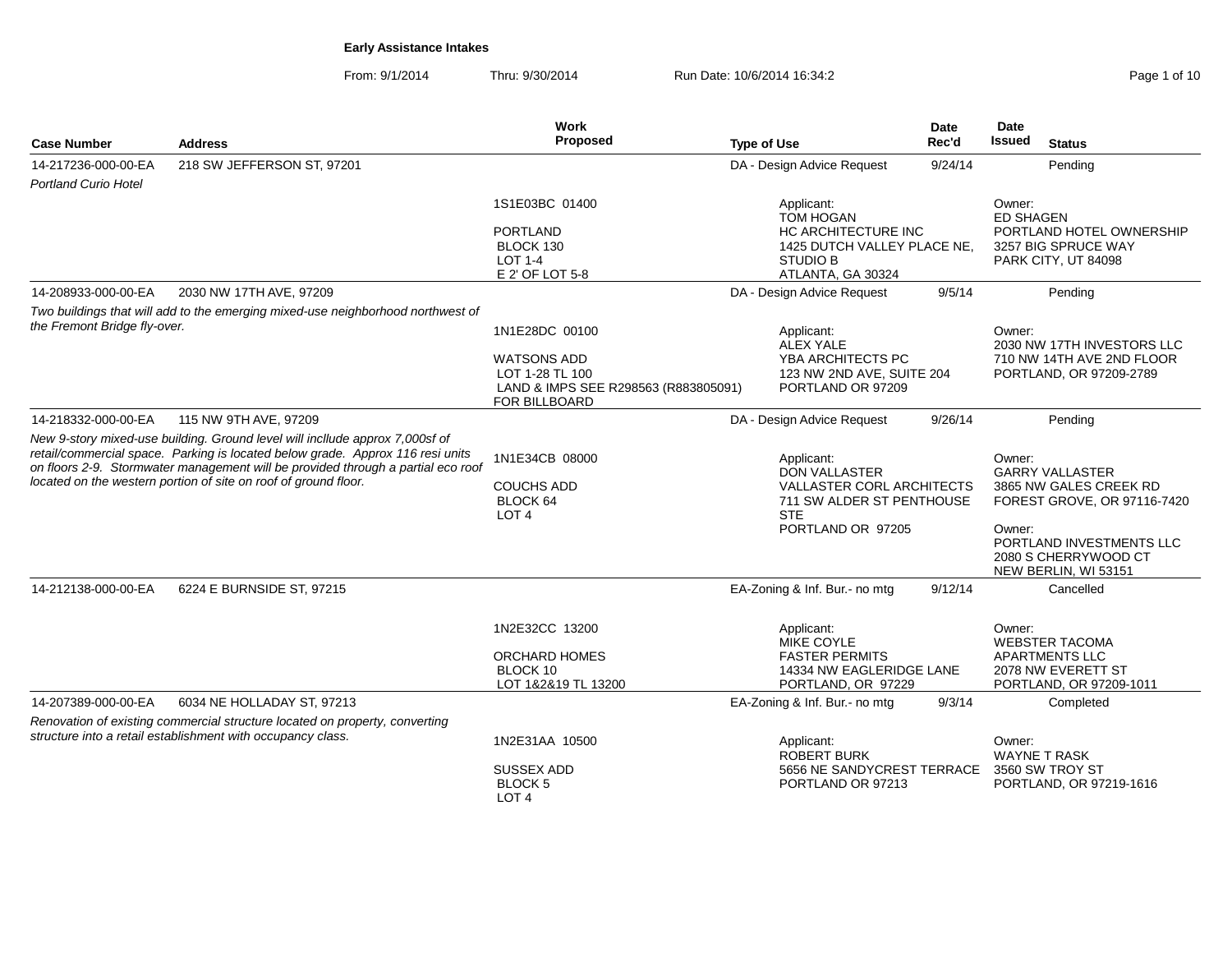From: 9/1/2014Thru: 9/30/2014 Run Date: 10/6/2014 16:34:2<br>
Rege 1 of 10

|                              |                                                                                                                                                                                                                                                                                                                       | <b>Work</b>                                                                                                      |                                                                                                                                        | <b>Date</b> | Date                                                                                                                                                                            |
|------------------------------|-----------------------------------------------------------------------------------------------------------------------------------------------------------------------------------------------------------------------------------------------------------------------------------------------------------------------|------------------------------------------------------------------------------------------------------------------|----------------------------------------------------------------------------------------------------------------------------------------|-------------|---------------------------------------------------------------------------------------------------------------------------------------------------------------------------------|
| <b>Case Number</b>           | <b>Address</b>                                                                                                                                                                                                                                                                                                        | Proposed                                                                                                         | <b>Type of Use</b>                                                                                                                     | Rec'd       | Issued<br><b>Status</b>                                                                                                                                                         |
| 14-217236-000-00-EA          | 218 SW JEFFERSON ST, 97201                                                                                                                                                                                                                                                                                            |                                                                                                                  | DA - Design Advice Request                                                                                                             | 9/24/14     | Pending                                                                                                                                                                         |
| <b>Portland Curio Hotel</b>  |                                                                                                                                                                                                                                                                                                                       |                                                                                                                  |                                                                                                                                        |             |                                                                                                                                                                                 |
|                              |                                                                                                                                                                                                                                                                                                                       | 1S1E03BC 01400                                                                                                   | Applicant:<br><b>TOM HOGAN</b>                                                                                                         |             | Owner:<br><b>ED SHAGEN</b>                                                                                                                                                      |
|                              |                                                                                                                                                                                                                                                                                                                       | <b>PORTLAND</b><br>BLOCK 130<br>$LOT 1-4$<br>E 2' OF LOT 5-8                                                     | HC ARCHITECTURE INC<br>1425 DUTCH VALLEY PLACE NE,<br><b>STUDIO B</b><br>ATLANTA, GA 30324                                             |             | PORTLAND HOTEL OWNERSHIP<br>3257 BIG SPRUCE WAY<br>PARK CITY, UT 84098                                                                                                          |
| 14-208933-000-00-EA          | 2030 NW 17TH AVE, 97209                                                                                                                                                                                                                                                                                               |                                                                                                                  | DA - Design Advice Request                                                                                                             | 9/5/14      | Pending                                                                                                                                                                         |
|                              | Two buildings that will add to the emerging mixed-use neighborhood northwest of                                                                                                                                                                                                                                       |                                                                                                                  |                                                                                                                                        |             |                                                                                                                                                                                 |
| the Fremont Bridge fly-over. |                                                                                                                                                                                                                                                                                                                       | 1N1E28DC 00100<br><b>WATSONS ADD</b><br>LOT 1-28 TL 100<br>LAND & IMPS SEE R298563 (R883805091)<br>FOR BILLBOARD | Applicant:<br>ALEX YALE<br>YBA ARCHITECTS PC<br>123 NW 2ND AVE, SUITE 204<br>PORTLAND OR 97209                                         |             | Owner:<br>2030 NW 17TH INVESTORS LLC<br>710 NW 14TH AVE 2ND FLOOR<br>PORTLAND, OR 97209-2789                                                                                    |
| 14-218332-000-00-EA          | 115 NW 9TH AVE, 97209                                                                                                                                                                                                                                                                                                 |                                                                                                                  | DA - Design Advice Request                                                                                                             | 9/26/14     | Pending                                                                                                                                                                         |
|                              | New 9-story mixed-use building. Ground level will incllude approx 7,000sf of<br>retail/commercial space. Parking is located below grade. Approx 116 resi units<br>on floors 2-9. Stormwater management will be provided through a partial eco roof<br>located on the western portion of site on roof of ground floor. | 1N1E34CB 08000<br><b>COUCHS ADD</b><br>BLOCK 64<br>LOT <sub>4</sub>                                              | Applicant:<br><b>DON VALLASTER</b><br><b>VALLASTER CORL ARCHITECTS</b><br>711 SW ALDER ST PENTHOUSE<br><b>STE</b><br>PORTLAND OR 97205 |             | Owner:<br><b>GARRY VALLASTER</b><br>3865 NW GALES CREEK RD<br>FOREST GROVE, OR 97116-7420<br>Owner:<br>PORTLAND INVESTMENTS LLC<br>2080 S CHERRYWOOD CT<br>NEW BERLIN, WI 53151 |
| 14-212138-000-00-EA          | 6224 E BURNSIDE ST, 97215                                                                                                                                                                                                                                                                                             |                                                                                                                  | EA-Zoning & Inf. Bur.- no mtg                                                                                                          | 9/12/14     | Cancelled                                                                                                                                                                       |
|                              |                                                                                                                                                                                                                                                                                                                       | 1N2E32CC 13200<br><b>ORCHARD HOMES</b><br>BLOCK 10<br>LOT 1&2&19 TL 13200                                        | Applicant:<br><b>MIKE COYLE</b><br><b>FASTER PERMITS</b><br>14334 NW EAGLERIDGE LANE<br>PORTLAND, OR 97229                             |             | Owner:<br><b>WEBSTER TACOMA</b><br><b>APARTMENTS LLC</b><br>2078 NW EVERETT ST<br>PORTLAND, OR 97209-1011                                                                       |
| 14-207389-000-00-EA          | 6034 NE HOLLADAY ST, 97213                                                                                                                                                                                                                                                                                            |                                                                                                                  | EA-Zoning & Inf. Bur.- no mtg                                                                                                          | 9/3/14      | Completed                                                                                                                                                                       |
|                              | Renovation of existing commercial structure located on property, converting<br>structure into a retail establishment with occupancy class.                                                                                                                                                                            | 1N2E31AA 10500                                                                                                   | Applicant:                                                                                                                             |             | Owner:                                                                                                                                                                          |
|                              |                                                                                                                                                                                                                                                                                                                       | SUSSEX ADD<br><b>BLOCK5</b><br>LOT <sub>4</sub>                                                                  | <b>ROBERT BURK</b><br>5656 NE SANDYCREST TERRACE<br>PORTLAND OR 97213                                                                  |             | <b>WAYNE T RASK</b><br>3560 SW TROY ST<br>PORTLAND, OR 97219-1616                                                                                                               |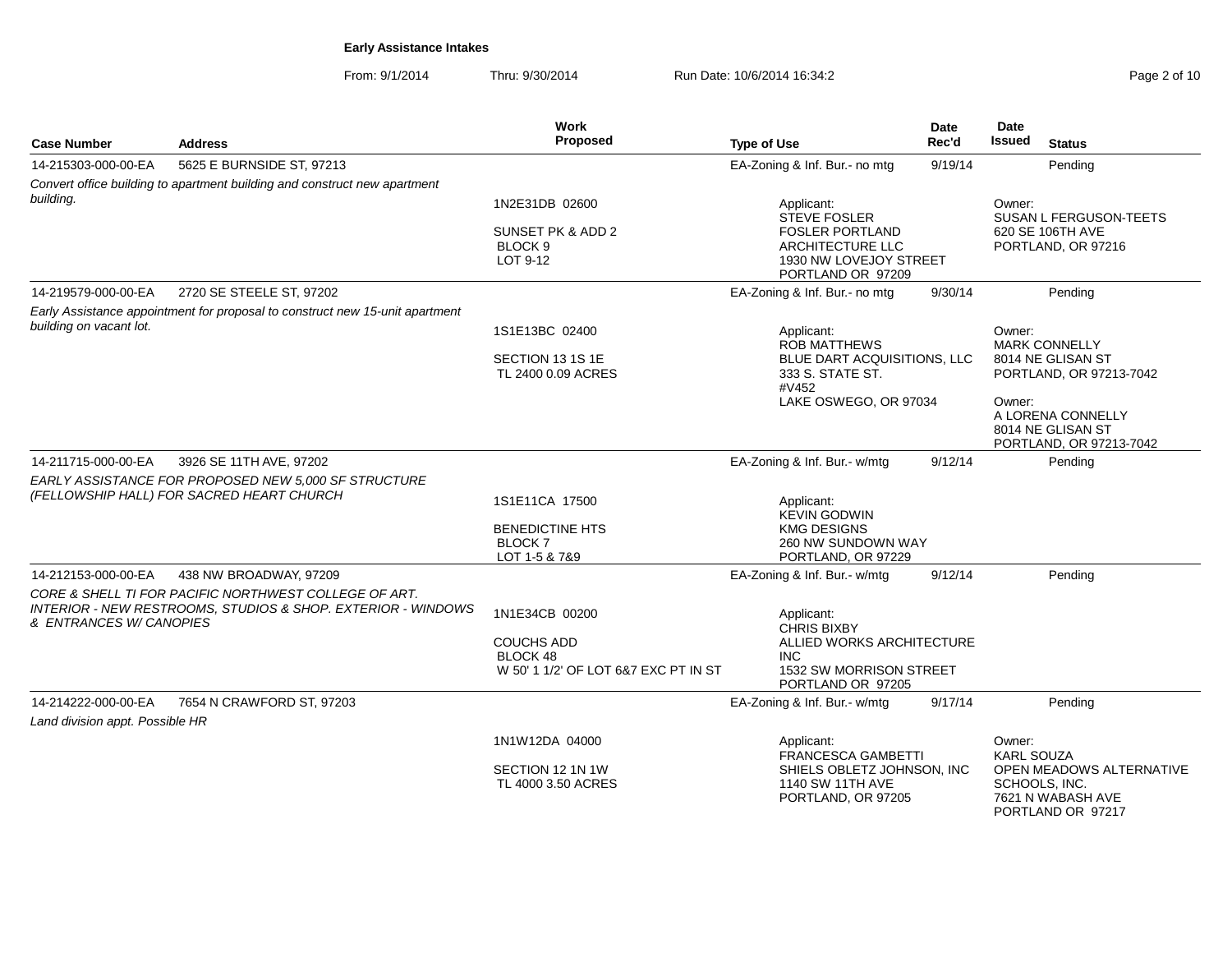From: 9/1/2014Thru: 9/30/2014 Run Date: 10/6/2014 16:34:2<br>
Rege 2 of 10

| <b>Case Number</b>                                     | <b>Address</b>                                                                                                                   | Work<br>Proposed                                    | <b>Type of Use</b>                                                                        | <b>Date</b><br>Rec'd | Date<br><b>Issued</b><br><b>Status</b>                                              |
|--------------------------------------------------------|----------------------------------------------------------------------------------------------------------------------------------|-----------------------------------------------------|-------------------------------------------------------------------------------------------|----------------------|-------------------------------------------------------------------------------------|
| 14-215303-000-00-EA                                    | 5625 E BURNSIDE ST, 97213                                                                                                        |                                                     | EA-Zoning & Inf. Bur.- no mtg                                                             | 9/19/14              | Pending                                                                             |
|                                                        | Convert office building to apartment building and construct new apartment                                                        |                                                     |                                                                                           |                      |                                                                                     |
| building.                                              |                                                                                                                                  | 1N2E31DB 02600                                      | Applicant:<br><b>STEVE FOSLER</b>                                                         |                      | Owner:<br><b>SUSAN L FERGUSON-TEETS</b>                                             |
|                                                        |                                                                                                                                  | SUNSET PK & ADD 2<br>BLOCK <sub>9</sub><br>LOT 9-12 | <b>FOSLER PORTLAND</b><br>ARCHITECTURE LLC<br>1930 NW LOVEJOY STREET<br>PORTLAND OR 97209 |                      | 620 SE 106TH AVE<br>PORTLAND, OR 97216                                              |
| 14-219579-000-00-EA                                    | 2720 SE STEELE ST, 97202                                                                                                         |                                                     | EA-Zoning & Inf. Bur.- no mtg                                                             | 9/30/14              | Pending                                                                             |
| building on vacant lot.                                | Early Assistance appointment for proposal to construct new 15-unit apartment                                                     |                                                     |                                                                                           |                      |                                                                                     |
|                                                        |                                                                                                                                  | 1S1E13BC 02400                                      | Applicant:<br><b>ROB MATTHEWS</b>                                                         |                      | Owner:<br>MARK CONNELLY                                                             |
|                                                        |                                                                                                                                  | SECTION 13 1S 1E<br>TL 2400 0.09 ACRES              | BLUE DART ACQUISITIONS, LLC<br>333 S. STATE ST.<br>#V452                                  |                      | 8014 NE GLISAN ST<br>PORTLAND, OR 97213-7042                                        |
|                                                        |                                                                                                                                  |                                                     | LAKE OSWEGO, OR 97034                                                                     |                      | Owner:<br>A LORENA CONNELLY<br>8014 NE GLISAN ST<br>PORTLAND, OR 97213-7042         |
| 14-211715-000-00-EA                                    | 3926 SE 11TH AVE, 97202                                                                                                          |                                                     | EA-Zoning & Inf. Bur.- w/mtg                                                              | 9/12/14              | Pending                                                                             |
|                                                        | EARLY ASSISTANCE FOR PROPOSED NEW 5,000 SF STRUCTURE<br>(FELLOWSHIP HALL) FOR SACRED HEART CHURCH                                |                                                     |                                                                                           |                      |                                                                                     |
|                                                        |                                                                                                                                  | 1S1E11CA 17500                                      | Applicant:<br><b>KEVIN GODWIN</b>                                                         |                      |                                                                                     |
|                                                        |                                                                                                                                  | <b>BENEDICTINE HTS</b>                              | <b>KMG DESIGNS</b>                                                                        |                      |                                                                                     |
|                                                        |                                                                                                                                  | <b>BLOCK7</b><br>LOT 1-5 & 7&9                      | 260 NW SUNDOWN WAY<br>PORTLAND, OR 97229                                                  |                      |                                                                                     |
| 14-212153-000-00-EA                                    | 438 NW BROADWAY, 97209                                                                                                           |                                                     | EA-Zoning & Inf. Bur.- w/mtg                                                              | 9/12/14              | Pending                                                                             |
|                                                        | CORE & SHELL TI FOR PACIFIC NORTHWEST COLLEGE OF ART.<br><b>INTERIOR - NEW RESTROOMS, STUDIOS &amp; SHOP. EXTERIOR - WINDOWS</b> |                                                     |                                                                                           |                      |                                                                                     |
| & ENTRANCES W/ CANOPIES                                |                                                                                                                                  | 1N1E34CB 00200                                      | Applicant:<br><b>CHRIS BIXBY</b>                                                          |                      |                                                                                     |
|                                                        |                                                                                                                                  | <b>COUCHS ADD</b><br>BLOCK 48                       | ALLIED WORKS ARCHITECTURE<br><b>INC</b>                                                   |                      |                                                                                     |
|                                                        |                                                                                                                                  | W 50' 1 1/2' OF LOT 6&7 EXC PT IN ST                | 1532 SW MORRISON STREET<br>PORTLAND OR 97205                                              |                      |                                                                                     |
| 14-214222-000-00-EA<br>Land division appt. Possible HR | 7654 N CRAWFORD ST, 97203                                                                                                        |                                                     | EA-Zoning & Inf. Bur.- w/mtg                                                              | 9/17/14              | Pending                                                                             |
|                                                        |                                                                                                                                  | 1N1W12DA 04000                                      | Applicant:<br><b>FRANCESCA GAMBETTI</b>                                                   |                      | Owner:<br><b>KARL SOUZA</b>                                                         |
|                                                        |                                                                                                                                  | SECTION 12 1N 1W<br>TL 4000 3.50 ACRES              | SHIELS OBLETZ JOHNSON, INC<br>1140 SW 11TH AVE<br>PORTLAND, OR 97205                      |                      | OPEN MEADOWS ALTERNATIVE<br>SCHOOLS, INC.<br>7621 N WABASH AVE<br>PORTLAND OR 97217 |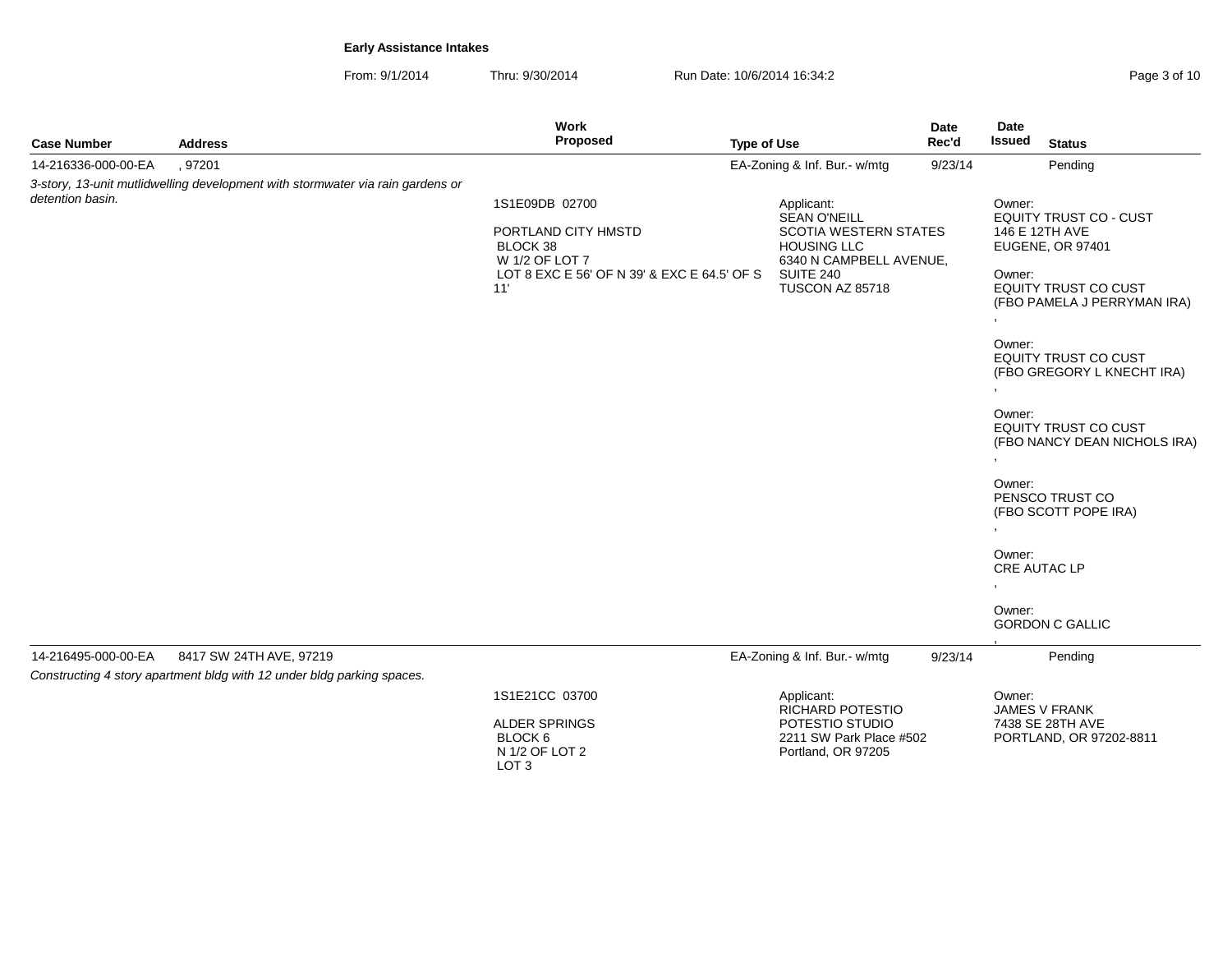From: 9/1/2014Thru: 9/30/2014 Run Date: 10/6/2014 16:34:2<br>
Run Date: 10/6/2014 16:34:2

|                     |                                                                                | Work                                                                |                    |                                                                                                                    | <b>Date</b> | Date   |                                                              |
|---------------------|--------------------------------------------------------------------------------|---------------------------------------------------------------------|--------------------|--------------------------------------------------------------------------------------------------------------------|-------------|--------|--------------------------------------------------------------|
| <b>Case Number</b>  | <b>Address</b>                                                                 | Proposed                                                            | <b>Type of Use</b> |                                                                                                                    | Rec'd       | Issued | <b>Status</b>                                                |
| 14-216336-000-00-EA | , 97201                                                                        |                                                                     |                    | EA-Zoning & Inf. Bur.- w/mtg                                                                                       | 9/23/14     |        | Pending                                                      |
|                     | 3-story, 13-unit mutlidwelling development with stormwater via rain gardens or |                                                                     |                    |                                                                                                                    |             |        |                                                              |
| detention basin.    |                                                                                | 1S1E09DB 02700<br>PORTLAND CITY HMSTD<br>BLOCK 38<br>W 1/2 OF LOT 7 |                    | Applicant:<br><b>SEAN O'NEILL</b><br><b>SCOTIA WESTERN STATES</b><br><b>HOUSING LLC</b><br>6340 N CAMPBELL AVENUE, |             | Owner: | EQUITY TRUST CO - CUST<br>146 E 12TH AVE<br>EUGENE, OR 97401 |
|                     |                                                                                | LOT 8 EXC E 56' OF N 39' & EXC E 64.5' OF S<br>11'                  |                    | <b>SUITE 240</b><br>TUSCON AZ 85718                                                                                |             | Owner: | EQUITY TRUST CO CUST<br>(FBO PAMELA J PERRYMAN IRA)          |
|                     |                                                                                |                                                                     |                    |                                                                                                                    |             | Owner: | <b>EQUITY TRUST CO CUST</b><br>(FBO GREGORY L KNECHT IRA)    |
|                     |                                                                                |                                                                     |                    |                                                                                                                    |             | Owner: | <b>EQUITY TRUST CO CUST</b><br>(FBO NANCY DEAN NICHOLS IRA)  |
|                     |                                                                                |                                                                     |                    |                                                                                                                    |             | Owner: | PENSCO TRUST CO<br>(FBO SCOTT POPE IRA)                      |
|                     |                                                                                |                                                                     |                    |                                                                                                                    |             | Owner: | <b>CRE AUTAC LP</b>                                          |
|                     |                                                                                |                                                                     |                    |                                                                                                                    |             | Owner: | <b>GORDON C GALLIC</b>                                       |
| 14-216495-000-00-EA | 8417 SW 24TH AVE, 97219                                                        |                                                                     |                    | EA-Zoning & Inf. Bur.- w/mtg                                                                                       | 9/23/14     |        | Pending                                                      |
|                     | Constructing 4 story apartment bldg with 12 under bldg parking spaces.         |                                                                     |                    |                                                                                                                    |             |        |                                                              |
|                     |                                                                                | 1S1E21CC 03700                                                      |                    | Applicant:                                                                                                         |             | Owner: |                                                              |
|                     |                                                                                | ALDER SPRINGS<br>BLOCK 6<br>N 1/2 OF LOT 2<br>LOT <sub>3</sub>      |                    | RICHARD POTESTIO<br>POTESTIO STUDIO<br>2211 SW Park Place #502<br>Portland, OR 97205                               |             |        | JAMES V FRANK<br>7438 SE 28TH AVE<br>PORTLAND, OR 97202-8811 |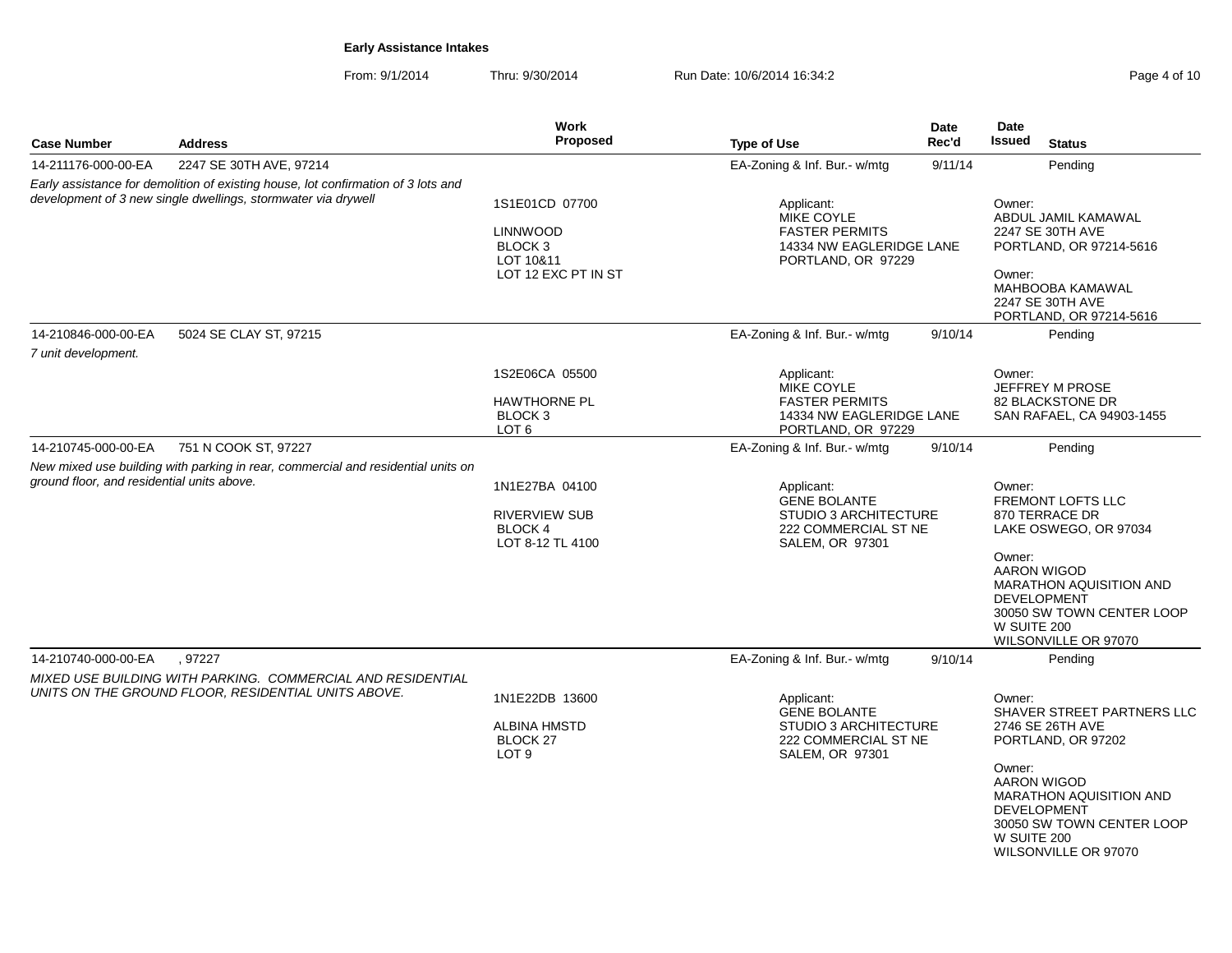From: 9/1/2014Thru: 9/30/2014 Run Date: 10/6/2014 16:34:2<br>
Rege 4 of 10

| <b>Case Number</b>                         | <b>Address</b>                                                                                                                                     | <b>Work</b><br>Proposed                                                         | <b>Type of Use</b>                                                                                           | <b>Date</b><br>Rec'd | Date<br><b>Issued</b>                                                        | <b>Status</b>                                                                                                                                                                                           |
|--------------------------------------------|----------------------------------------------------------------------------------------------------------------------------------------------------|---------------------------------------------------------------------------------|--------------------------------------------------------------------------------------------------------------|----------------------|------------------------------------------------------------------------------|---------------------------------------------------------------------------------------------------------------------------------------------------------------------------------------------------------|
| 14-211176-000-00-EA                        | 2247 SE 30TH AVE, 97214                                                                                                                            |                                                                                 | EA-Zoning & Inf. Bur.- w/mtg                                                                                 | 9/11/14              |                                                                              | Pending                                                                                                                                                                                                 |
|                                            | Early assistance for demolition of existing house, lot confirmation of 3 lots and<br>development of 3 new single dwellings, stormwater via drywell | 1S1E01CD 07700<br><b>LINNWOOD</b><br>BLOCK <sub>3</sub><br>LOT 10&11            | Applicant:<br>MIKE COYLE<br><b>FASTER PERMITS</b><br>14334 NW EAGLERIDGE LANE<br>PORTLAND, OR 97229          |                      | Owner:<br>ABDUL JAMIL KAMAWAL<br>2247 SE 30TH AVE<br>PORTLAND, OR 97214-5616 |                                                                                                                                                                                                         |
|                                            |                                                                                                                                                    | LOT 12 EXC PT IN ST                                                             |                                                                                                              |                      | Owner:                                                                       | MAHBOOBA KAMAWAL<br>2247 SE 30TH AVE<br>PORTLAND, OR 97214-5616                                                                                                                                         |
| 14-210846-000-00-EA<br>7 unit development. | 5024 SE CLAY ST, 97215                                                                                                                             |                                                                                 | EA-Zoning & Inf. Bur.- w/mtg                                                                                 | 9/10/14              |                                                                              | Pending                                                                                                                                                                                                 |
|                                            |                                                                                                                                                    | 1S2E06CA 05500<br><b>HAWTHORNE PL</b><br>BLOCK <sub>3</sub><br>LOT <sub>6</sub> | Applicant:<br><b>MIKE COYLE</b><br><b>FASTER PERMITS</b><br>14334 NW EAGLERIDGE LANE<br>PORTLAND, OR 97229   |                      | Owner:                                                                       | JEFFREY M PROSE<br>82 BLACKSTONE DR<br>SAN RAFAEL, CA 94903-1455                                                                                                                                        |
| 14-210745-000-00-EA                        | 751 N COOK ST, 97227                                                                                                                               |                                                                                 | EA-Zoning & Inf. Bur.- w/mtg                                                                                 | 9/10/14              |                                                                              | Pending                                                                                                                                                                                                 |
| ground floor, and residential units above. | New mixed use building with parking in rear, commercial and residential units on                                                                   | 1N1E27BA 04100<br><b>RIVERVIEW SUB</b><br>BLOCK 4<br>LOT 8-12 TL 4100           | Applicant:<br><b>GENE BOLANTE</b><br><b>STUDIO 3 ARCHITECTURE</b><br>222 COMMERCIAL ST NE<br>SALEM, OR 97301 |                      | Owner:<br>Owner:<br>W SUITE 200                                              | <b>FREMONT LOFTS LLC</b><br>870 TERRACE DR<br>LAKE OSWEGO, OR 97034<br>AARON WIGOD<br><b>MARATHON AQUISITION AND</b><br><b>DEVELOPMENT</b><br>30050 SW TOWN CENTER LOOP<br>WILSONVILLE OR 97070         |
| 14-210740-000-00-EA                        | .97227                                                                                                                                             |                                                                                 | EA-Zoning & Inf. Bur.- w/mtg                                                                                 | 9/10/14              |                                                                              | Pending                                                                                                                                                                                                 |
|                                            | MIXED USE BUILDING WITH PARKING. COMMERCIAL AND RESIDENTIAL<br>UNITS ON THE GROUND FLOOR, RESIDENTIAL UNITS ABOVE.                                 | 1N1E22DB 13600<br><b>ALBINA HMSTD</b><br><b>BLOCK 27</b><br>LOT <sub>9</sub>    | Applicant:<br><b>GENE BOLANTE</b><br><b>STUDIO 3 ARCHITECTURE</b><br>222 COMMERCIAL ST NE<br>SALEM, OR 97301 |                      | Owner:<br>Owner:<br>W SUITE 200                                              | SHAVER STREET PARTNERS LLC<br>2746 SE 26TH AVE<br>PORTLAND, OR 97202<br><b>AARON WIGOD</b><br><b>MARATHON AQUISITION AND</b><br><b>DEVELOPMENT</b><br>30050 SW TOWN CENTER LOOP<br>WILSONVILLE OR 97070 |
|                                            |                                                                                                                                                    |                                                                                 |                                                                                                              |                      |                                                                              |                                                                                                                                                                                                         |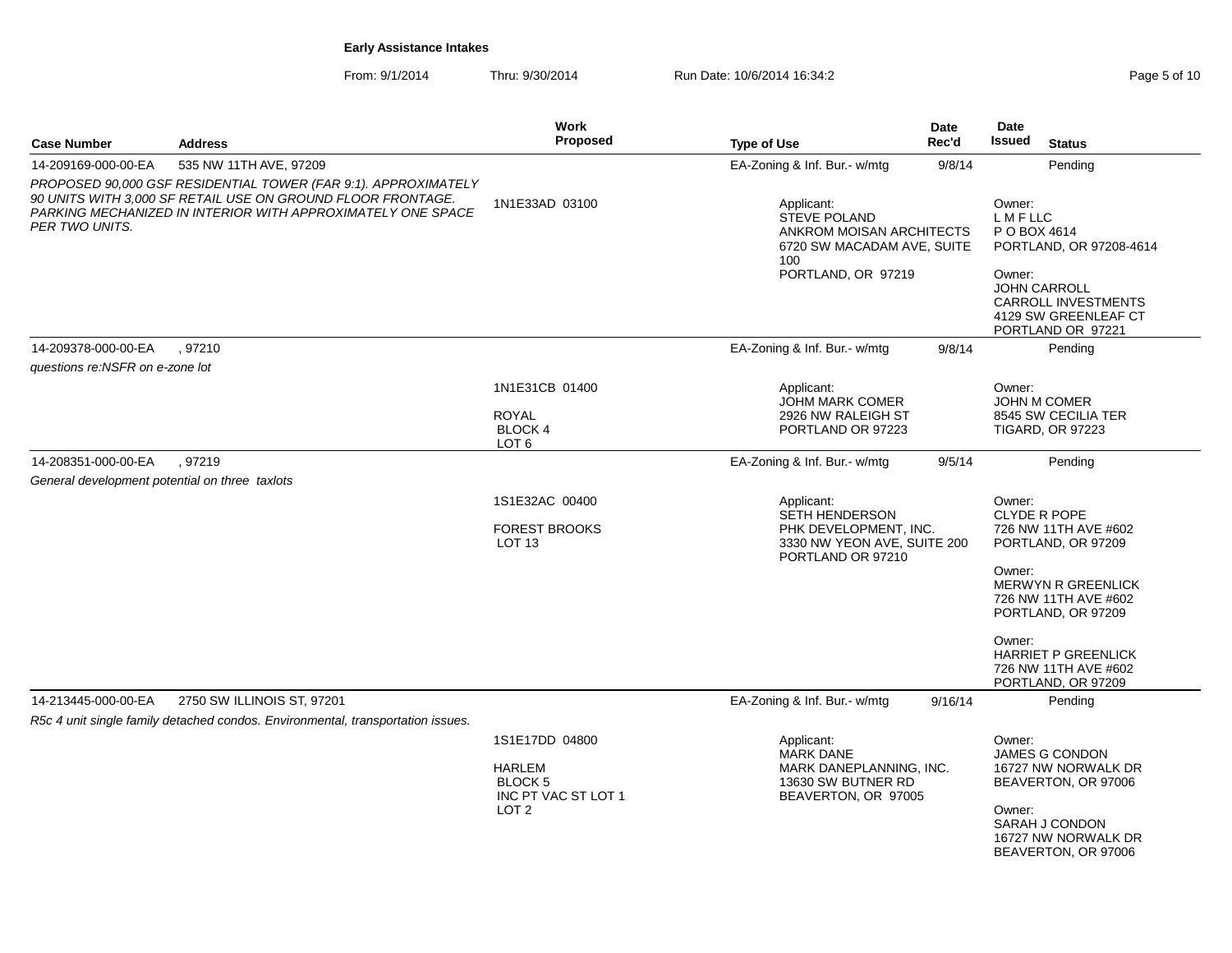| Page 5 of 10 |  |  |
|--------------|--|--|
|--------------|--|--|

|                                                |                                                                                                                                                                                              | <b>Work</b>                                                 |                                                                                                                          | <b>Date</b> | Date                                                                                           |  |  |
|------------------------------------------------|----------------------------------------------------------------------------------------------------------------------------------------------------------------------------------------------|-------------------------------------------------------------|--------------------------------------------------------------------------------------------------------------------------|-------------|------------------------------------------------------------------------------------------------|--|--|
| <b>Case Number</b>                             | <b>Address</b>                                                                                                                                                                               | Proposed                                                    | <b>Type of Use</b>                                                                                                       | Rec'd       | Issued<br><b>Status</b>                                                                        |  |  |
| 14-209169-000-00-EA                            | 535 NW 11TH AVE, 97209                                                                                                                                                                       |                                                             | EA-Zoning & Inf. Bur.- w/mtg                                                                                             | 9/8/14      | Pending                                                                                        |  |  |
| PER TWO UNITS.                                 | PROPOSED 90,000 GSF RESIDENTIAL TOWER (FAR 9:1). APPROXIMATELY<br>90 UNITS WITH 3,000 SF RETAIL USE ON GROUND FLOOR FRONTAGE.<br>PARKING MECHANIZED IN INTERIOR WITH APPROXIMATELY ONE SPACE | 1N1E33AD 03100                                              | Applicant:<br><b>STEVE POLAND</b><br>ANKROM MOISAN ARCHITECTS<br>6720 SW MACADAM AVE, SUITE<br>100<br>PORTLAND, OR 97219 |             | Owner:<br>L M F LLC<br>P O BOX 4614<br>PORTLAND, OR 97208-4614<br>Owner:                       |  |  |
|                                                |                                                                                                                                                                                              |                                                             |                                                                                                                          |             | <b>JOHN CARROLL</b><br><b>CARROLL INVESTMENTS</b><br>4129 SW GREENLEAF CT<br>PORTLAND OR 97221 |  |  |
| 14-209378-000-00-EA                            | .97210                                                                                                                                                                                       |                                                             | EA-Zoning & Inf. Bur.- w/mtg                                                                                             | 9/8/14      | Pending                                                                                        |  |  |
| questions re:NSFR on e-zone lot                |                                                                                                                                                                                              |                                                             |                                                                                                                          |             |                                                                                                |  |  |
|                                                |                                                                                                                                                                                              | 1N1E31CB 01400<br><b>ROYAL</b><br><b>BLOCK4</b>             | Applicant:<br><b>JOHM MARK COMER</b><br>2926 NW RALEIGH ST<br>PORTLAND OR 97223                                          |             | Owner:<br>JOHN M COMER<br>8545 SW CECILIA TER<br><b>TIGARD, OR 97223</b>                       |  |  |
|                                                |                                                                                                                                                                                              | LOT <sub>6</sub>                                            |                                                                                                                          |             |                                                                                                |  |  |
| 14-208351-000-00-EA                            | .97219                                                                                                                                                                                       |                                                             | EA-Zoning & Inf. Bur.- w/mtg                                                                                             | 9/5/14      | Pending                                                                                        |  |  |
| General development potential on three taxlots |                                                                                                                                                                                              |                                                             |                                                                                                                          |             |                                                                                                |  |  |
|                                                |                                                                                                                                                                                              | 1S1E32AC 00400<br><b>FOREST BROOKS</b><br>LOT <sub>13</sub> | Applicant:<br>SETH HENDERSON<br>PHK DEVELOPMENT, INC.<br>3330 NW YEON AVE, SUITE 200<br>PORTLAND OR 97210                |             | Owner:<br>CLYDE R POPE<br>726 NW 11TH AVE #602<br>PORTLAND, OR 97209                           |  |  |
|                                                |                                                                                                                                                                                              |                                                             |                                                                                                                          |             | Owner:<br><b>MERWYN R GREENLICK</b><br>726 NW 11TH AVE #602<br>PORTLAND, OR 97209              |  |  |
|                                                |                                                                                                                                                                                              |                                                             |                                                                                                                          |             | Owner:<br><b>HARRIET P GREENLICK</b><br>726 NW 11TH AVE #602<br>PORTLAND, OR 97209             |  |  |
| 14-213445-000-00-EA                            | 2750 SW ILLINOIS ST, 97201                                                                                                                                                                   |                                                             | EA-Zoning & Inf. Bur.- w/mtg                                                                                             | 9/16/14     | Pending                                                                                        |  |  |
|                                                | R5c 4 unit single family detached condos. Environmental, transportation issues.                                                                                                              |                                                             |                                                                                                                          |             |                                                                                                |  |  |
|                                                |                                                                                                                                                                                              | 1S1E17DD 04800<br><b>HARLEM</b><br>BLOCK <sub>5</sub>       | Applicant:<br><b>MARK DANE</b><br>MARK DANEPLANNING, INC.<br>13630 SW BUTNER RD                                          |             | Owner:<br><b>JAMES G CONDON</b><br>16727 NW NORWALK DR<br>BEAVERTON, OR 97006                  |  |  |
|                                                |                                                                                                                                                                                              | INC PT VAC ST LOT 1<br>LOT 2                                | BEAVERTON, OR 97005                                                                                                      |             | Owner:<br>SARAH J CONDON<br>16727 NW NORWALK DR<br>BEAVERTON, OR 97006                         |  |  |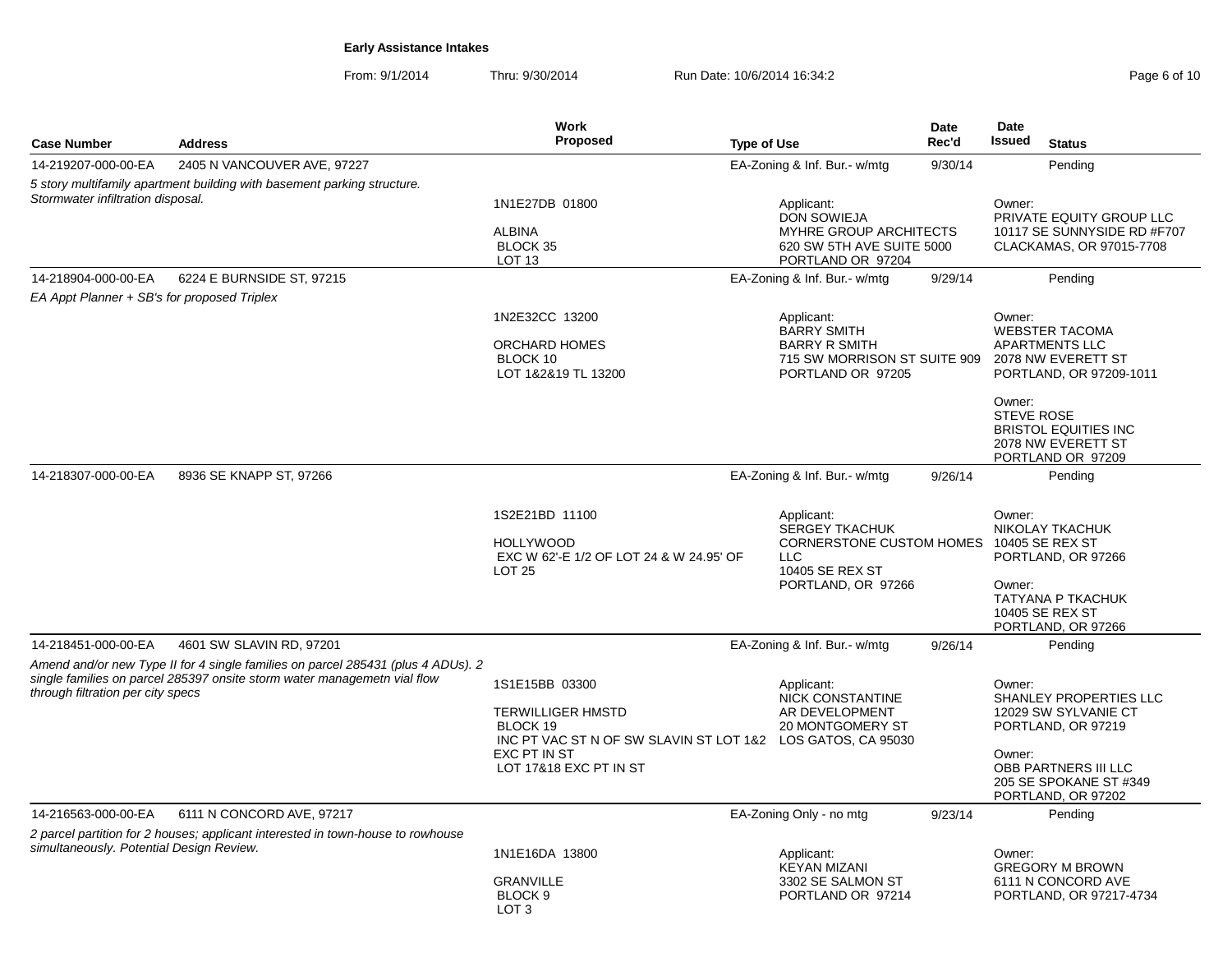From: 9/1/2014Thru: 9/30/2014 Run Date: 10/6/2014 16:34:2<br>
Rege 6 of 10

| <b>Case Number</b>                          | <b>Address</b>                                                                                                                                               | <b>Work</b><br>Proposed                                                                                                                                         | <b>Type of Use</b>                                                                                                               | <b>Date</b><br>Rec'd | Date<br><b>Issued</b>                                                                                                                             | <b>Status</b>                                                                                    |
|---------------------------------------------|--------------------------------------------------------------------------------------------------------------------------------------------------------------|-----------------------------------------------------------------------------------------------------------------------------------------------------------------|----------------------------------------------------------------------------------------------------------------------------------|----------------------|---------------------------------------------------------------------------------------------------------------------------------------------------|--------------------------------------------------------------------------------------------------|
| 14-219207-000-00-EA                         | 2405 N VANCOUVER AVE, 97227                                                                                                                                  |                                                                                                                                                                 | EA-Zoning & Inf. Bur.- w/mtg                                                                                                     | 9/30/14              |                                                                                                                                                   | Pending                                                                                          |
| Stormwater infiltration disposal.           | 5 story multifamily apartment building with basement parking structure.                                                                                      | 1N1E27DB 01800<br><b>ALBINA</b><br>BLOCK 35<br>LOT <sub>13</sub>                                                                                                | Applicant:<br><b>DON SOWIEJA</b><br>MYHRE GROUP ARCHITECTS<br>620 SW 5TH AVE SUITE 5000<br>PORTLAND OR 97204                     |                      | Owner:                                                                                                                                            | PRIVATE EQUITY GROUP LLC<br>10117 SE SUNNYSIDE RD #F707<br>CLACKAMAS, OR 97015-7708              |
| 14-218904-000-00-EA                         | 6224 E BURNSIDE ST, 97215                                                                                                                                    |                                                                                                                                                                 | EA-Zoning & Inf. Bur.- w/mtg                                                                                                     | 9/29/14              |                                                                                                                                                   | Pending                                                                                          |
| EA Appt Planner + SB's for proposed Triplex |                                                                                                                                                              |                                                                                                                                                                 |                                                                                                                                  |                      |                                                                                                                                                   |                                                                                                  |
|                                             |                                                                                                                                                              | 1N2E32CC 13200<br><b>ORCHARD HOMES</b><br>BLOCK 10<br>LOT 1&2&19 TL 13200                                                                                       | Applicant:<br><b>BARRY SMITH</b><br><b>BARRY R SMITH</b><br>715 SW MORRISON ST SUITE 909 2078 NW EVERETT ST<br>PORTLAND OR 97205 |                      | Owner:<br><b>WEBSTER TACOMA</b><br><b>APARTMENTS LLC</b>                                                                                          | PORTLAND, OR 97209-1011                                                                          |
|                                             |                                                                                                                                                              |                                                                                                                                                                 |                                                                                                                                  |                      | Owner:<br><b>STEVE ROSE</b><br>2078 NW EVERETT ST<br>PORTLAND OR 97209                                                                            | <b>BRISTOL EQUITIES INC</b>                                                                      |
| 14-218307-000-00-EA                         | 8936 SE KNAPP ST, 97266                                                                                                                                      |                                                                                                                                                                 | EA-Zoning & Inf. Bur.- w/mtg                                                                                                     | 9/26/14              |                                                                                                                                                   | Pending                                                                                          |
|                                             |                                                                                                                                                              | 1S2E21BD 11100<br><b>HOLLYWOOD</b><br>EXC W 62'-E 1/2 OF LOT 24 & W 24.95' OF<br><b>LOT 25</b>                                                                  | Applicant:<br><b>SERGEY TKACHUK</b><br><b>CORNERSTONE CUSTOM HOMES</b><br>LLC<br>10405 SE REX ST<br>PORTLAND, OR 97266           |                      | Owner:<br>NIKOLAY TKACHUK<br>10405 SE REX ST<br>PORTLAND, OR 97266<br>Owner:<br><b>TATYANA P TKACHUK</b><br>10405 SE REX ST<br>PORTLAND, OR 97266 |                                                                                                  |
| 14-218451-000-00-EA                         | 4601 SW SLAVIN RD, 97201                                                                                                                                     |                                                                                                                                                                 | EA-Zoning & Inf. Bur.- w/mtg                                                                                                     | 9/26/14              |                                                                                                                                                   | Pending                                                                                          |
| through filtration per city specs           | Amend and/or new Type II for 4 single families on parcel 285431 (plus 4 ADUs). 2<br>single families on parcel 285397 onsite storm water managemetn vial flow | 1S1E15BB 03300<br><b>TERWILLIGER HMSTD</b><br>BLOCK 19<br>INC PT VAC ST N OF SW SLAVIN ST LOT 1&2 LOS GATOS, CA 95030<br>EXC PT IN ST<br>LOT 17&18 EXC PT IN ST | Applicant:<br><b>NICK CONSTANTINE</b><br>AR DEVELOPMENT<br><b>20 MONTGOMERY ST</b>                                               |                      | Owner:<br>PORTLAND, OR 97219<br>Owner:<br>PORTLAND, OR 97202                                                                                      | SHANLEY PROPERTIES LLC<br>12029 SW SYLVANIE CT<br>OBB PARTNERS III LLC<br>205 SE SPOKANE ST #349 |
| 14-216563-000-00-EA                         | 6111 N CONCORD AVE, 97217                                                                                                                                    |                                                                                                                                                                 | EA-Zoning Only - no mtg                                                                                                          | 9/23/14              |                                                                                                                                                   | Pending                                                                                          |
| simultaneously. Potential Design Review.    | 2 parcel partition for 2 houses; applicant interested in town-house to rowhouse                                                                              | 1N1E16DA 13800<br><b>GRANVILLE</b><br>BLOCK 9<br>LOT <sub>3</sub>                                                                                               | Applicant:<br><b>KEYAN MIZANI</b><br>3302 SE SALMON ST<br>PORTLAND OR 97214                                                      |                      | Owner:<br><b>GREGORY M BROWN</b>                                                                                                                  | 6111 N CONCORD AVE<br>PORTLAND, OR 97217-4734                                                    |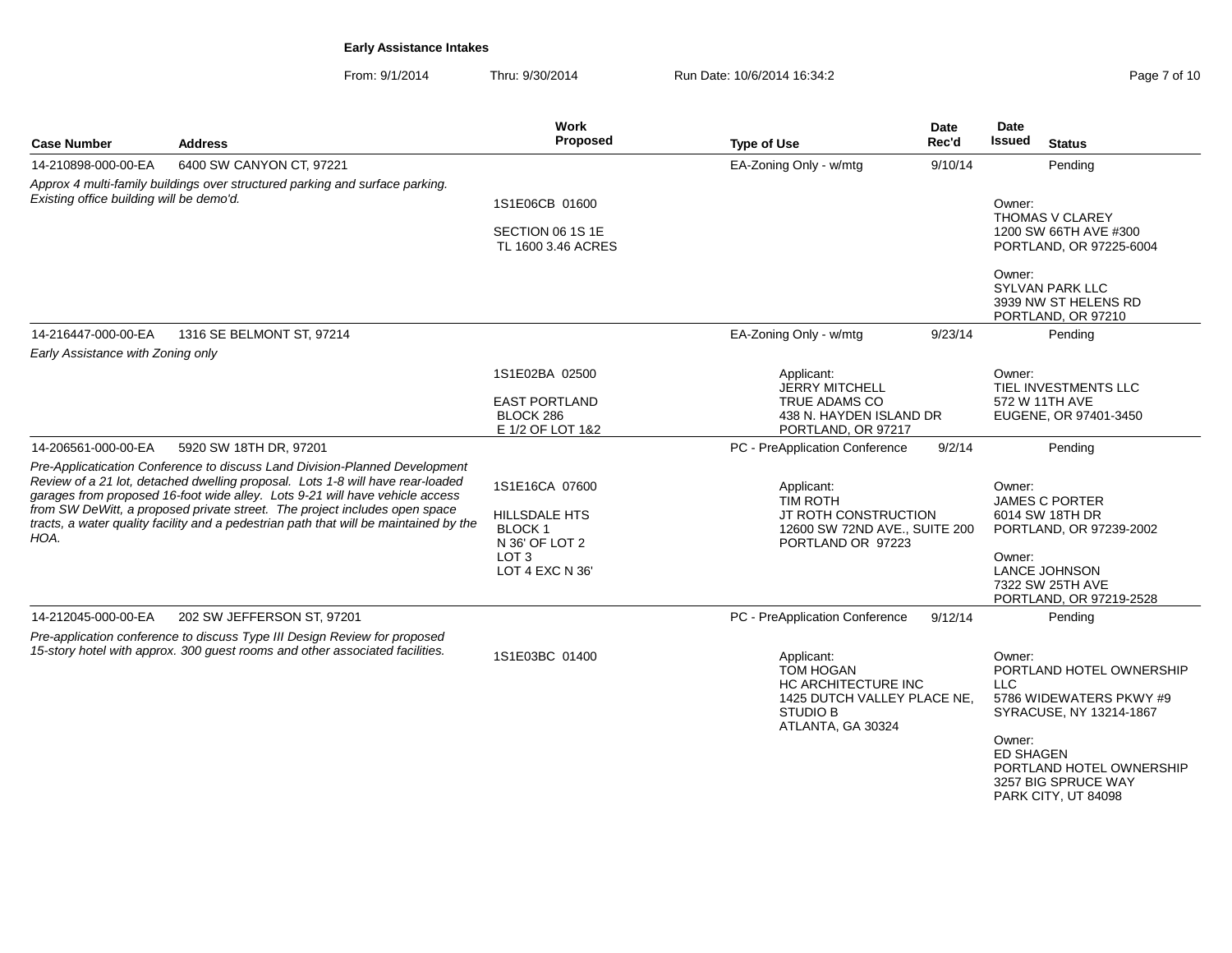From: 9/1/2014Thru: 9/30/2014 Run Date: 10/6/2014 16:34:2<br>
Rege 7 of 10

| <b>Case Number</b>                       | <b>Address</b>                                                                                                                                                                                                                                                                                                                                                                                                       | Work<br><b>Proposed</b>                                                                                   | <b>Type of Use</b>                                                                                                           | Date<br>Rec'd | Date<br>Issued                                     | <b>Status</b>                                                                                                                                            |
|------------------------------------------|----------------------------------------------------------------------------------------------------------------------------------------------------------------------------------------------------------------------------------------------------------------------------------------------------------------------------------------------------------------------------------------------------------------------|-----------------------------------------------------------------------------------------------------------|------------------------------------------------------------------------------------------------------------------------------|---------------|----------------------------------------------------|----------------------------------------------------------------------------------------------------------------------------------------------------------|
| 14-210898-000-00-EA                      | 6400 SW CANYON CT, 97221                                                                                                                                                                                                                                                                                                                                                                                             |                                                                                                           | EA-Zoning Only - w/mtg                                                                                                       | 9/10/14       |                                                    | Pending                                                                                                                                                  |
| Existing office building will be demo'd. | Approx 4 multi-family buildings over structured parking and surface parking.                                                                                                                                                                                                                                                                                                                                         | 1S1E06CB 01600<br>SECTION 06 1S 1E<br>TL 1600 3.46 ACRES                                                  |                                                                                                                              |               | Owner:                                             | <b>THOMAS V CLAREY</b><br>1200 SW 66TH AVE #300<br>PORTLAND, OR 97225-6004                                                                               |
|                                          |                                                                                                                                                                                                                                                                                                                                                                                                                      |                                                                                                           |                                                                                                                              |               | Owner:                                             | <b>SYLVAN PARK LLC</b><br>3939 NW ST HELENS RD<br>PORTLAND, OR 97210                                                                                     |
| 14-216447-000-00-EA                      | 1316 SE BELMONT ST, 97214                                                                                                                                                                                                                                                                                                                                                                                            |                                                                                                           | EA-Zoning Only - w/mtg                                                                                                       | 9/23/14       |                                                    | Pending                                                                                                                                                  |
| Early Assistance with Zoning only        |                                                                                                                                                                                                                                                                                                                                                                                                                      | 1S1E02BA 02500<br><b>EAST PORTLAND</b><br>BLOCK 286<br>E 1/2 OF LOT 1&2                                   | Applicant:<br><b>JERRY MITCHELL</b><br>TRUE ADAMS CO<br>438 N. HAYDEN ISLAND DR<br>PORTLAND, OR 97217                        |               | Owner:<br>572 W 11TH AVE                           | TIEL INVESTMENTS LLC<br>EUGENE, OR 97401-3450                                                                                                            |
| 14-206561-000-00-EA                      | 5920 SW 18TH DR, 97201                                                                                                                                                                                                                                                                                                                                                                                               |                                                                                                           | PC - PreApplication Conference                                                                                               | 9/2/14        |                                                    | Pending                                                                                                                                                  |
| HOA.                                     | Pre-Applicatication Conference to discuss Land Division-Planned Development<br>Review of a 21 lot, detached dwelling proposal. Lots 1-8 will have rear-loaded<br>garages from proposed 16-foot wide alley. Lots 9-21 will have vehicle access<br>from SW DeWitt, a proposed private street. The project includes open space<br>tracts, a water quality facility and a pedestrian path that will be maintained by the | 1S1E16CA 07600<br>HILLSDALE HTS<br><b>BLOCK1</b><br>N 36' OF LOT 2<br>LOT <sub>3</sub><br>LOT 4 EXC N 36' | Applicant:<br><b>TIM ROTH</b><br>JT ROTH CONSTRUCTION<br>12600 SW 72ND AVE., SUITE 200<br>PORTLAND OR 97223                  |               | Owner:<br>Owner:                                   | <b>JAMES C PORTER</b><br>6014 SW 18TH DR<br>PORTLAND, OR 97239-2002<br>LANCE JOHNSON<br>7322 SW 25TH AVE<br>PORTLAND, OR 97219-2528                      |
| 14-212045-000-00-EA                      | 202 SW JEFFERSON ST, 97201                                                                                                                                                                                                                                                                                                                                                                                           |                                                                                                           | PC - PreApplication Conference                                                                                               | 9/12/14       |                                                    | Pending                                                                                                                                                  |
|                                          | Pre-application conference to discuss Type III Design Review for proposed<br>15-story hotel with approx. 300 guest rooms and other associated facilities.                                                                                                                                                                                                                                                            | 1S1E03BC 01400                                                                                            | Applicant:<br><b>TOM HOGAN</b><br>HC ARCHITECTURE INC<br>1425 DUTCH VALLEY PLACE NE.<br><b>STUDIO B</b><br>ATLANTA, GA 30324 |               | Owner:<br><b>LLC</b><br>Owner:<br><b>ED SHAGEN</b> | PORTLAND HOTEL OWNERSHIP<br>5786 WIDEWATERS PKWY #9<br>SYRACUSE, NY 13214-1867<br>PORTLAND HOTEL OWNERSHIP<br>3257 BIG SPRUCE WAY<br>PARK CITY, UT 84098 |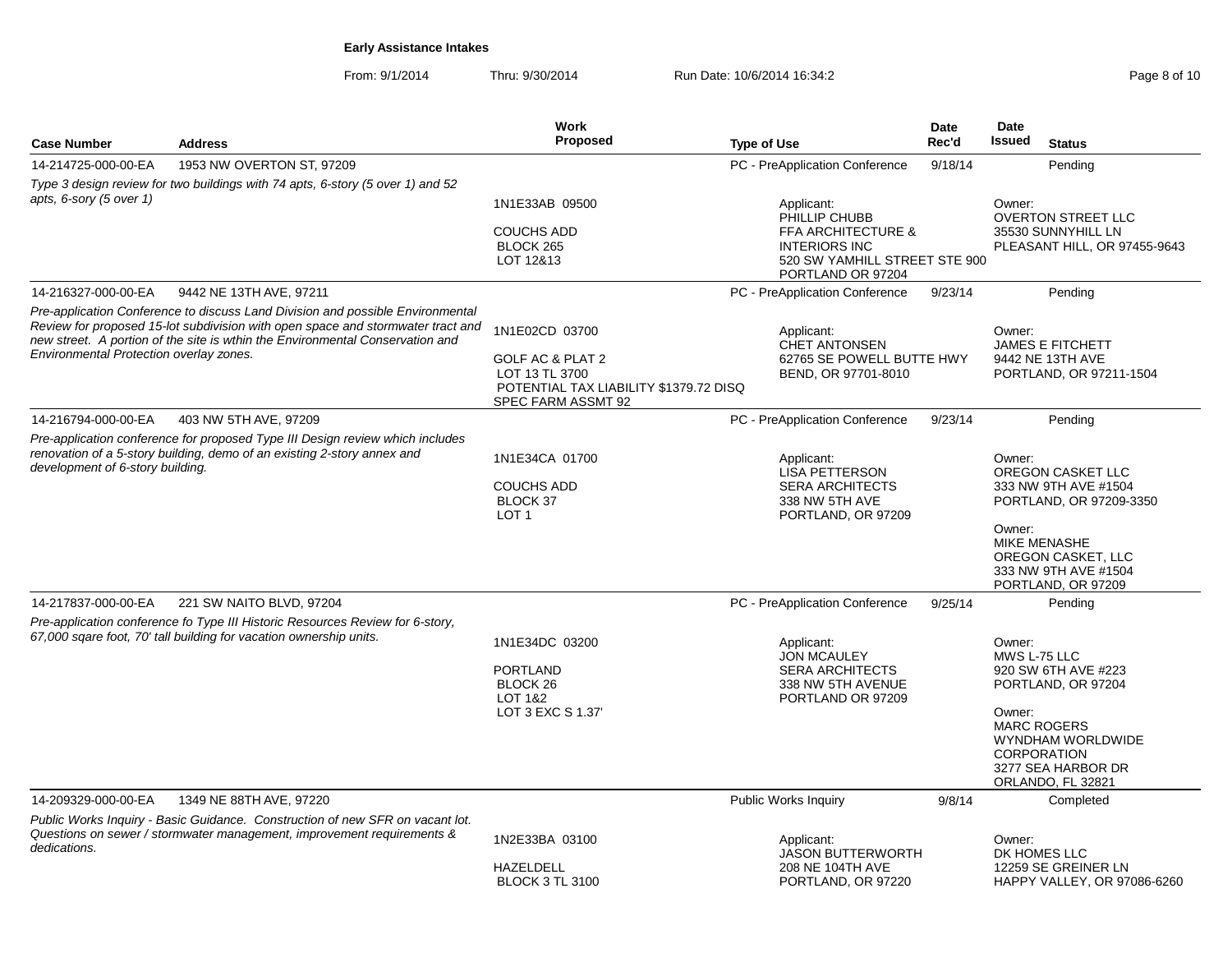From: 9/1/2014Thru: 9/30/2014 Run Date: 10/6/2014 16:34:2<br>
Rege 8 of 10

|                                         |                                                                                                                                                                                                                                                    | Work                                                                                                                 |                                                                                                                                            | Date    | Date                                                                                                                                                                                             |  |
|-----------------------------------------|----------------------------------------------------------------------------------------------------------------------------------------------------------------------------------------------------------------------------------------------------|----------------------------------------------------------------------------------------------------------------------|--------------------------------------------------------------------------------------------------------------------------------------------|---------|--------------------------------------------------------------------------------------------------------------------------------------------------------------------------------------------------|--|
| <b>Case Number</b>                      | <b>Address</b>                                                                                                                                                                                                                                     | <b>Proposed</b>                                                                                                      | <b>Type of Use</b>                                                                                                                         | Rec'd   | Issued<br><b>Status</b>                                                                                                                                                                          |  |
| 14-214725-000-00-EA                     | 1953 NW OVERTON ST, 97209                                                                                                                                                                                                                          |                                                                                                                      | PC - PreApplication Conference                                                                                                             | 9/18/14 | Pending                                                                                                                                                                                          |  |
|                                         | Type 3 design review for two buildings with 74 apts, 6-story (5 over 1) and 52                                                                                                                                                                     |                                                                                                                      |                                                                                                                                            |         |                                                                                                                                                                                                  |  |
| apts, 6-sory (5 over 1)                 |                                                                                                                                                                                                                                                    | 1N1E33AB 09500<br><b>COUCHS ADD</b><br><b>BLOCK 265</b><br>LOT 12&13                                                 | Applicant:<br>PHILLIP CHUBB<br><b>FFA ARCHITECTURE &amp;</b><br><b>INTERIORS INC</b><br>520 SW YAMHILL STREET STE 900<br>PORTLAND OR 97204 |         | Owner:<br><b>OVERTON STREET LLC</b><br>35530 SUNNYHILL LN<br>PLEASANT HILL, OR 97455-9643                                                                                                        |  |
| 14-216327-000-00-EA                     | 9442 NE 13TH AVE, 97211                                                                                                                                                                                                                            |                                                                                                                      | PC - PreApplication Conference                                                                                                             | 9/23/14 | Pending                                                                                                                                                                                          |  |
| Environmental Protection overlay zones. | Pre-application Conference to discuss Land Division and possible Environmental<br>Review for proposed 15-lot subdivision with open space and stormwater tract and<br>new street. A portion of the site is wthin the Environmental Conservation and | 1N1E02CD 03700<br>GOLF AC & PLAT 2<br>LOT 13 TL 3700<br>POTENTIAL TAX LIABILITY \$1379.72 DISQ<br>SPEC FARM ASSMT 92 | Applicant:<br><b>CHET ANTONSEN</b><br>62765 SE POWELL BUTTE HWY<br>BEND, OR 97701-8010                                                     |         | Owner:<br><b>JAMES E FITCHETT</b><br>9442 NE 13TH AVE<br>PORTLAND, OR 97211-1504                                                                                                                 |  |
| 14-216794-000-00-EA                     | 403 NW 5TH AVE, 97209                                                                                                                                                                                                                              |                                                                                                                      | PC - PreApplication Conference                                                                                                             | 9/23/14 | Pending                                                                                                                                                                                          |  |
| development of 6-story building.        | Pre-application conference for proposed Type III Design review which includes<br>renovation of a 5-story building, demo of an existing 2-story annex and                                                                                           | 1N1E34CA 01700<br><b>COUCHS ADD</b><br>BLOCK 37<br>LOT <sub>1</sub>                                                  | Applicant:<br>LISA PETTERSON<br><b>SERA ARCHITECTS</b><br>338 NW 5TH AVE<br>PORTLAND, OR 97209                                             |         | Owner:<br>OREGON CASKET LLC<br>333 NW 9TH AVE #1504<br>PORTLAND, OR 97209-3350<br>Owner:<br><b>MIKE MENASHE</b><br>OREGON CASKET, LLC<br>333 NW 9TH AVE #1504<br>PORTLAND, OR 97209              |  |
| 14-217837-000-00-EA                     | 221 SW NAITO BLVD, 97204                                                                                                                                                                                                                           |                                                                                                                      | PC - PreApplication Conference                                                                                                             | 9/25/14 | Pending                                                                                                                                                                                          |  |
|                                         | Pre-application conference fo Type III Historic Resources Review for 6-story,<br>67,000 sqare foot, 70' tall building for vacation ownership units.                                                                                                | 1N1E34DC 03200<br><b>PORTLAND</b><br>BLOCK <sub>26</sub><br>LOT 1&2<br>LOT 3 EXC S 1.37                              | Applicant:<br><b>JON MCAULEY</b><br><b>SERA ARCHITECTS</b><br>338 NW 5TH AVENUE<br>PORTLAND OR 97209                                       |         | Owner:<br>MWS L-75 LLC<br>920 SW 6TH AVE #223<br>PORTLAND, OR 97204<br>Owner:<br><b>MARC ROGERS</b><br><b>WYNDHAM WORLDWIDE</b><br><b>CORPORATION</b><br>3277 SEA HARBOR DR<br>ORLANDO, FL 32821 |  |
| 14-209329-000-00-EA                     | 1349 NE 88TH AVE, 97220                                                                                                                                                                                                                            |                                                                                                                      | Public Works Inquiry                                                                                                                       | 9/8/14  | Completed                                                                                                                                                                                        |  |
| dedications.                            | Public Works Inquiry - Basic Guidance. Construction of new SFR on vacant lot.<br>Questions on sewer / stormwater management, improvement requirements &                                                                                            | 1N2E33BA 03100<br><b>HAZELDELL</b><br><b>BLOCK 3 TL 3100</b>                                                         | Applicant:<br>JASON BUTTERWORTH<br>208 NE 104TH AVE<br>PORTLAND, OR 97220                                                                  |         | Owner:<br>DK HOMES LLC<br>12259 SE GREINER LN<br>HAPPY VALLEY, OR 97086-6260                                                                                                                     |  |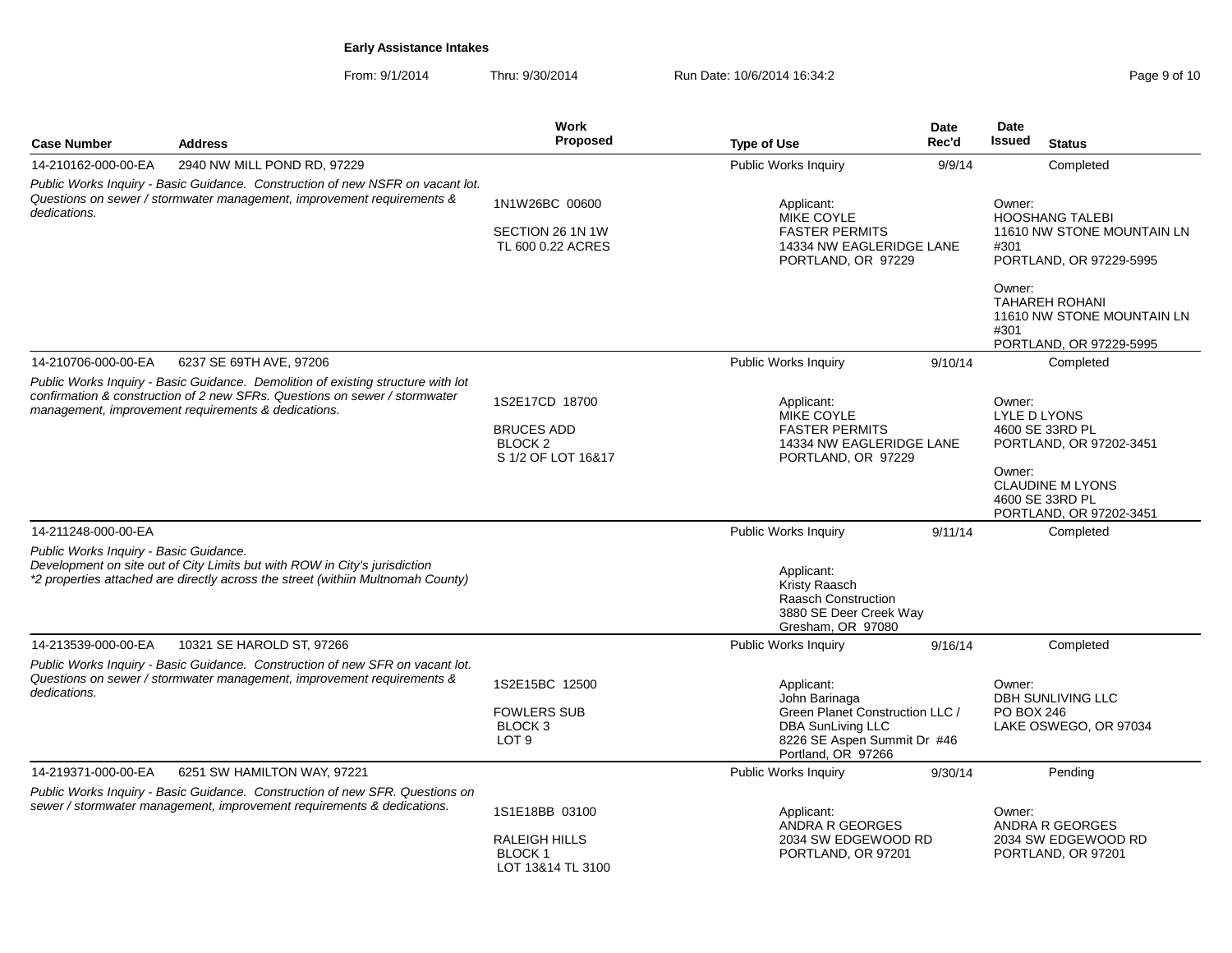From: 9/1/2014Thru: 9/30/2014 Run Date: 10/6/2014 16:34:2<br>
Rege 9 of 10

|                                        |                                                                                                                                                                                                                       | Work                                                                            |                                                                                                                                                 | Date    | Date                                                                                                                                                    |
|----------------------------------------|-----------------------------------------------------------------------------------------------------------------------------------------------------------------------------------------------------------------------|---------------------------------------------------------------------------------|-------------------------------------------------------------------------------------------------------------------------------------------------|---------|---------------------------------------------------------------------------------------------------------------------------------------------------------|
| <b>Case Number</b>                     | <b>Address</b>                                                                                                                                                                                                        | <b>Proposed</b>                                                                 | <b>Type of Use</b>                                                                                                                              | Rec'd   | Issued<br><b>Status</b>                                                                                                                                 |
| 14-210162-000-00-EA                    | 2940 NW MILL POND RD, 97229                                                                                                                                                                                           |                                                                                 | <b>Public Works Inquiry</b>                                                                                                                     | 9/9/14  | Completed                                                                                                                                               |
| dedications.                           | Public Works Inquiry - Basic Guidance. Construction of new NSFR on vacant lot.<br>Questions on sewer / stormwater management, improvement requirements &                                                              | 1N1W26BC 00600<br>SECTION 26 1N 1W<br>TL 600 0.22 ACRES                         | Applicant:<br><b>MIKE COYLE</b><br><b>FASTER PERMITS</b><br>14334 NW EAGLERIDGE LANE<br>PORTLAND, OR 97229                                      |         | Owner:<br><b>HOOSHANG TALEBI</b><br>11610 NW STONE MOUNTAIN LN<br>#301<br>PORTLAND, OR 97229-5995                                                       |
|                                        |                                                                                                                                                                                                                       |                                                                                 |                                                                                                                                                 |         | Owner:<br><b>TAHAREH ROHANI</b><br>11610 NW STONE MOUNTAIN LN<br>#301<br>PORTLAND, OR 97229-5995                                                        |
| 14-210706-000-00-EA                    | 6237 SE 69TH AVE, 97206                                                                                                                                                                                               |                                                                                 | <b>Public Works Inquiry</b>                                                                                                                     | 9/10/14 | Completed                                                                                                                                               |
|                                        | Public Works Inquiry - Basic Guidance. Demolition of existing structure with lot<br>confirmation & construction of 2 new SFRs. Questions on sewer / stormwater<br>management, improvement requirements & dedications. | 1S2E17CD 18700<br><b>BRUCES ADD</b><br>BLOCK <sub>2</sub><br>S 1/2 OF LOT 16&17 | Applicant:<br>MIKE COYLE<br><b>FASTER PERMITS</b><br>14334 NW EAGLERIDGE LANE<br>PORTLAND, OR 97229                                             |         | Owner:<br>LYLE D LYONS<br>4600 SE 33RD PL<br>PORTLAND, OR 97202-3451<br>Owner:<br><b>CLAUDINE M LYONS</b><br>4600 SE 33RD PL<br>PORTLAND, OR 97202-3451 |
| 14-211248-000-00-EA                    |                                                                                                                                                                                                                       |                                                                                 | <b>Public Works Inquiry</b>                                                                                                                     | 9/11/14 | Completed                                                                                                                                               |
| Public Works Inquiry - Basic Guidance. | Development on site out of City Limits but with ROW in City's jurisdiction<br>*2 properties attached are directly across the street (withiin Multnomah County)                                                        |                                                                                 | Applicant:<br>Kristy Raasch<br><b>Raasch Construction</b><br>3880 SE Deer Creek Way<br>Gresham, OR 97080                                        |         |                                                                                                                                                         |
| 14-213539-000-00-EA                    | 10321 SE HAROLD ST, 97266                                                                                                                                                                                             |                                                                                 | <b>Public Works Inquiry</b>                                                                                                                     | 9/16/14 | Completed                                                                                                                                               |
| dedications.                           | Public Works Inquiry - Basic Guidance. Construction of new SFR on vacant lot.<br>Questions on sewer / stormwater management, improvement requirements &                                                               | 1S2E15BC 12500<br><b>FOWLERS SUB</b><br>BLOCK 3<br>LOT <sub>9</sub>             | Applicant:<br>John Barinaga<br>Green Planet Construction LLC /<br><b>DBA SunLiving LLC</b><br>8226 SE Aspen Summit Dr #46<br>Portland, OR 97266 |         | Owner:<br><b>DBH SUNLIVING LLC</b><br><b>PO BOX 246</b><br>LAKE OSWEGO, OR 97034                                                                        |
| 14-219371-000-00-EA                    | 6251 SW HAMILTON WAY, 97221                                                                                                                                                                                           |                                                                                 | Public Works Inquiry                                                                                                                            | 9/30/14 | Pending                                                                                                                                                 |
|                                        | Public Works Inquiry - Basic Guidance. Construction of new SFR. Questions on<br>sewer / stormwater management, improvement requirements & dedications.                                                                | 1S1E18BB 03100<br><b>RALEIGH HILLS</b><br><b>BLOCK1</b><br>LOT 13&14 TL 3100    | Applicant:<br><b>ANDRA R GEORGES</b><br>2034 SW EDGEWOOD RD<br>PORTLAND, OR 97201                                                               |         | Owner:<br><b>ANDRA R GEORGES</b><br>2034 SW EDGEWOOD RD<br>PORTLAND, OR 97201                                                                           |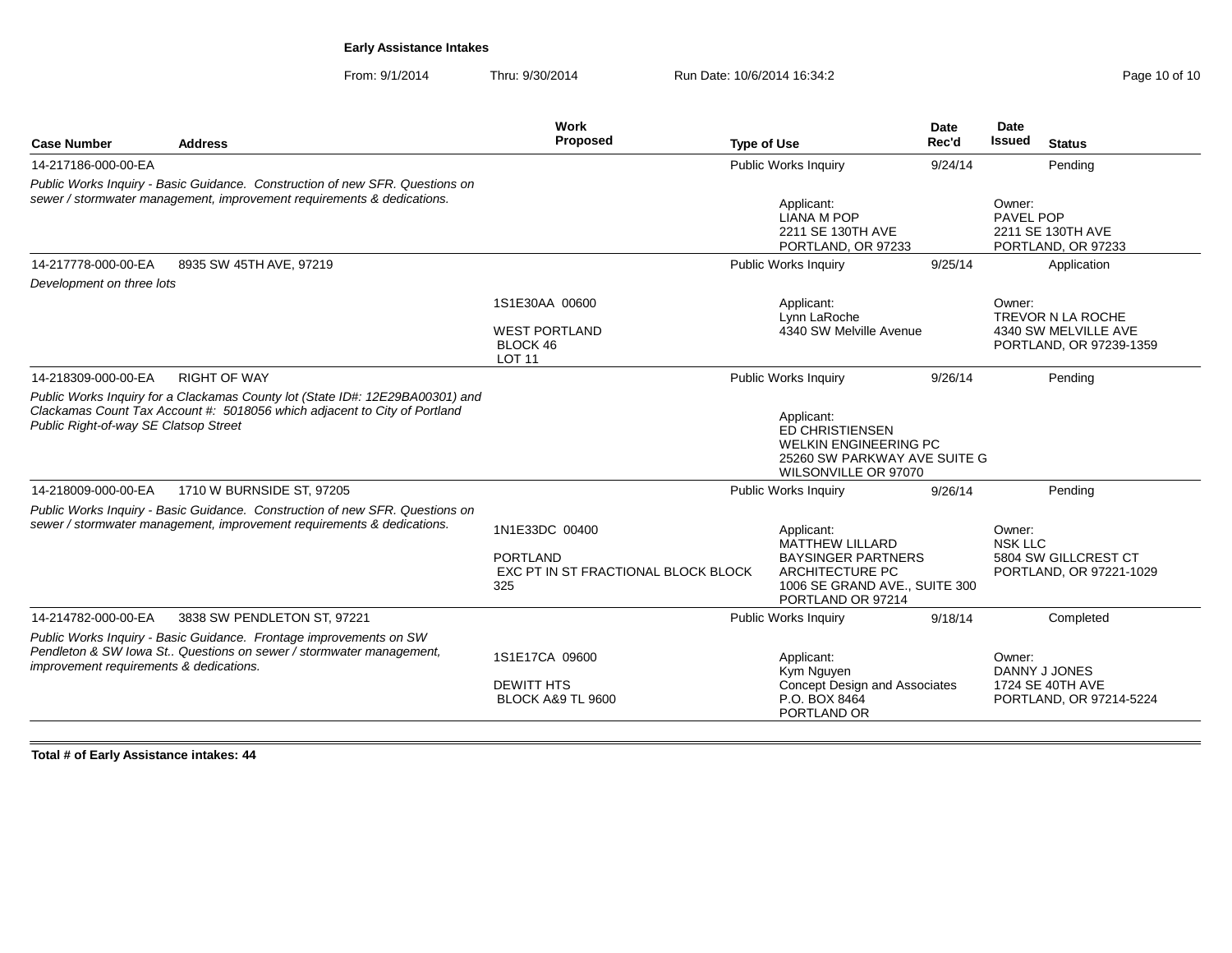From: 9/1/2014Thru: 9/30/2014 Run Date: 10/6/2014 16:34:2

| <b>Case Number</b>                      | <b>Address</b>                                                                                                                                             | Work<br><b>Proposed</b>                                                         | <b>Type of Use</b>                                                                                               | <b>Date</b><br>Rec'd          | Date<br>Issued<br><b>Status</b>                                                |
|-----------------------------------------|------------------------------------------------------------------------------------------------------------------------------------------------------------|---------------------------------------------------------------------------------|------------------------------------------------------------------------------------------------------------------|-------------------------------|--------------------------------------------------------------------------------|
| 14-217186-000-00-EA                     |                                                                                                                                                            |                                                                                 | Public Works Inquiry                                                                                             | 9/24/14                       | Pending                                                                        |
|                                         | Public Works Inquiry - Basic Guidance. Construction of new SFR. Questions on<br>sewer / stormwater management, improvement requirements & dedications.     |                                                                                 | Applicant:<br><b>LIANA M POP</b><br>2211 SE 130TH AVE<br>PORTLAND, OR 97233                                      |                               | Owner:<br>PAVEL POP<br>2211 SE 130TH AVE<br>PORTLAND, OR 97233                 |
| 14-217778-000-00-EA                     | 8935 SW 45TH AVE, 97219                                                                                                                                    |                                                                                 | Public Works Inquiry                                                                                             | 9/25/14                       | Application                                                                    |
| Development on three lots               |                                                                                                                                                            |                                                                                 |                                                                                                                  |                               |                                                                                |
|                                         |                                                                                                                                                            | 1S1E30AA 00600<br><b>WEST PORTLAND</b><br>BLOCK 46<br><b>LOT 11</b>             | Applicant:<br>Lynn LaRoche<br>4340 SW Melville Avenue                                                            |                               | Owner:<br>TREVOR N LA ROCHE<br>4340 SW MELVILLE AVE<br>PORTLAND, OR 97239-1359 |
| 14-218309-000-00-EA                     | <b>RIGHT OF WAY</b>                                                                                                                                        |                                                                                 | Public Works Inquiry                                                                                             | 9/26/14                       | Pending                                                                        |
| Public Right-of-way SE Clatsop Street   | Public Works Inquiry for a Clackamas County lot (State ID#: 12E29BA00301) and<br>Clackamas Count Tax Account #: 5018056 which adjacent to City of Portland |                                                                                 | Applicant:<br>ED CHRISTIENSEN<br><b>WELKIN ENGINEERING PC</b><br>WILSONVILLE OR 97070                            | 25260 SW PARKWAY AVE SUITE G  |                                                                                |
| 14-218009-000-00-EA                     | 1710 W BURNSIDE ST, 97205                                                                                                                                  |                                                                                 | Public Works Inquiry                                                                                             | 9/26/14                       | Pending                                                                        |
|                                         | Public Works Inquiry - Basic Guidance. Construction of new SFR. Questions on<br>sewer / stormwater management, improvement requirements & dedications.     | 1N1E33DC 00400<br><b>PORTLAND</b><br>EXC PT IN ST FRACTIONAL BLOCK BLOCK<br>325 | Applicant:<br><b>MATTHEW LILLARD</b><br><b>BAYSINGER PARTNERS</b><br><b>ARCHITECTURE PC</b><br>PORTLAND OR 97214 | 1006 SE GRAND AVE., SUITE 300 | Owner:<br><b>NSK LLC</b><br>5804 SW GILLCREST CT<br>PORTLAND, OR 97221-1029    |
| 14-214782-000-00-EA                     | 3838 SW PENDLETON ST, 97221                                                                                                                                |                                                                                 | Public Works Inquiry                                                                                             | 9/18/14                       | Completed                                                                      |
| improvement requirements & dedications. | Public Works Inquiry - Basic Guidance. Frontage improvements on SW<br>Pendleton & SW lowa St Questions on sewer / stormwater management,                   | 1S1E17CA 09600<br><b>DEWITT HTS</b><br><b>BLOCK A&amp;9 TL 9600</b>             | Applicant:<br>Kym Nguyen<br><b>Concept Design and Associates</b><br>P.O. BOX 8464<br>PORTLAND OR                 |                               | Owner:<br>DANNY J JONES<br>1724 SE 40TH AVE<br>PORTLAND, OR 97214-5224         |

**Total # of Early Assistance intakes: 44**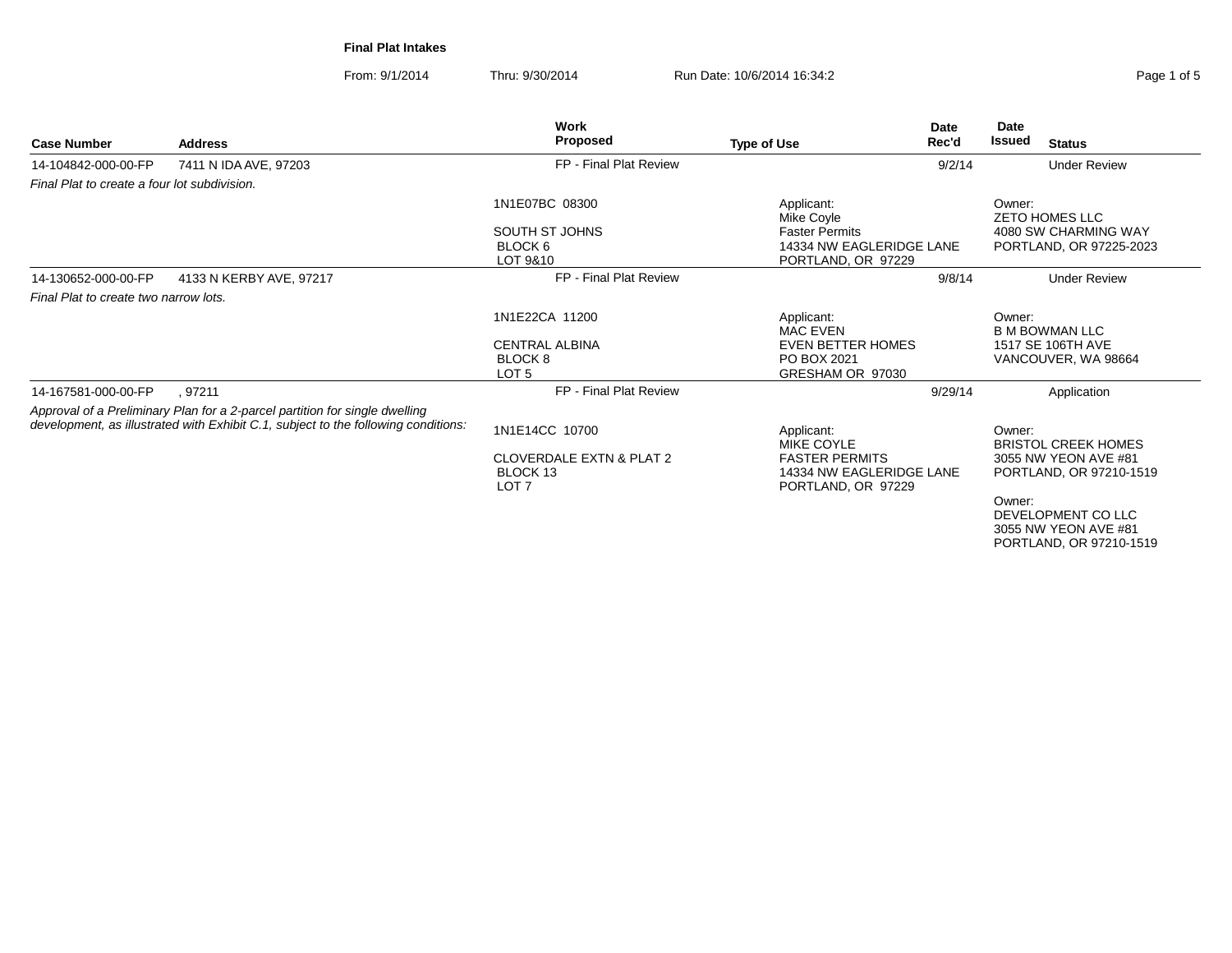**Final Plat Intakes**

From: 9/1/2014Thru: 9/30/2014 Run Date: 10/6/2014 16:34:2

| <b>Case Number</b>                           | <b>Address</b>                                                                                                                                                    | <b>Work</b><br>Proposed                                             | <b>Type of Use</b>                                                                           | Date<br>Rec'd | Date<br><b>Issued</b> | <b>Status</b>                                                                 |
|----------------------------------------------|-------------------------------------------------------------------------------------------------------------------------------------------------------------------|---------------------------------------------------------------------|----------------------------------------------------------------------------------------------|---------------|-----------------------|-------------------------------------------------------------------------------|
| 14-104842-000-00-FP                          | 7411 N IDA AVE, 97203                                                                                                                                             | FP - Final Plat Review                                              |                                                                                              | 9/2/14        |                       | <b>Under Review</b>                                                           |
| Final Plat to create a four lot subdivision. |                                                                                                                                                                   |                                                                     |                                                                                              |               |                       |                                                                               |
|                                              |                                                                                                                                                                   | 1N1E07BC 08300                                                      | Applicant:<br>Mike Coyle                                                                     |               | Owner:                | <b>ZETO HOMES LLC</b>                                                         |
|                                              |                                                                                                                                                                   | SOUTH ST JOHNS<br>BLOCK 6<br>LOT 9&10                               | <b>Faster Permits</b><br>14334 NW EAGLERIDGE LANE<br>PORTLAND, OR 97229                      |               |                       | 4080 SW CHARMING WAY<br>PORTLAND, OR 97225-2023                               |
| 14-130652-000-00-FP                          | 4133 N KERBY AVE, 97217                                                                                                                                           | FP - Final Plat Review                                              |                                                                                              | 9/8/14        |                       | <b>Under Review</b>                                                           |
| Final Plat to create two narrow lots.        |                                                                                                                                                                   |                                                                     |                                                                                              |               |                       |                                                                               |
|                                              |                                                                                                                                                                   | 1N1E22CA 11200                                                      | Applicant:<br><b>MAC EVEN</b>                                                                |               | Owner:                | <b>B M BOWMAN LLC</b>                                                         |
|                                              |                                                                                                                                                                   | <b>CENTRAL ALBINA</b><br>BLOCK 8<br>LOT <sub>5</sub>                | <b>EVEN BETTER HOMES</b><br>PO BOX 2021<br>GRESHAM OR 97030                                  |               |                       | 1517 SE 106TH AVE<br>VANCOUVER, WA 98664                                      |
| 14-167581-000-00-FP                          | .97211                                                                                                                                                            | FP - Final Plat Review                                              |                                                                                              | 9/29/14       |                       | Application                                                                   |
|                                              | Approval of a Preliminary Plan for a 2-parcel partition for single dwelling<br>development, as illustrated with Exhibit C.1, subject to the following conditions: | 1N1E14CC 10700                                                      | Applicant:                                                                                   |               | Owner:                |                                                                               |
|                                              |                                                                                                                                                                   | <b>CLOVERDALE EXTN &amp; PLAT 2</b><br>BLOCK 13<br>LOT <sub>7</sub> | <b>MIKE COYLE</b><br><b>FASTER PERMITS</b><br>14334 NW EAGLERIDGE LANE<br>PORTLAND, OR 97229 |               |                       | <b>BRISTOL CREEK HOMES</b><br>3055 NW YEON AVE #81<br>PORTLAND, OR 97210-1519 |
|                                              |                                                                                                                                                                   |                                                                     |                                                                                              |               | Owner:                | DEVELOPMENT CO LLC<br>3055 NW YEON AVE #81<br>PORTLAND, OR 97210-1519         |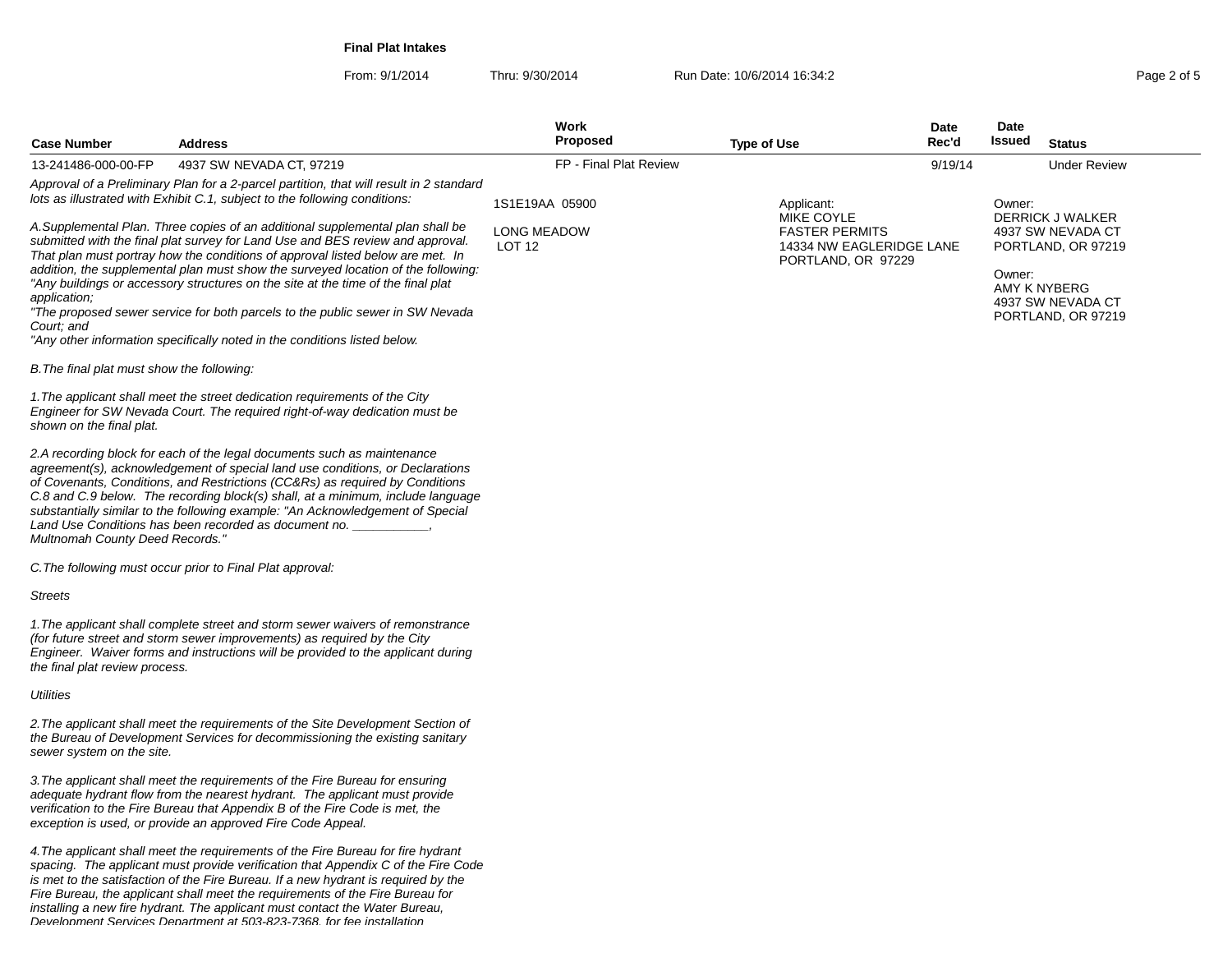**Final Plat Intakes**

From: 9/1/2014Thru: 9/30/2014 **Run Date: 10/6/2014 16:34:2 Page 2 of 5 Page 2 of 5** 

| <b>Case Number</b>                         | <b>Address</b>                                                                                                                                                                                                                                                                                                                                                                                                                                                                                                                                                                           | Work<br><b>Proposed</b>             | <b>Type of Use</b>                                                                    | Date<br>Rec'd | Date<br>Issued         | <b>Status</b>                                                                                          |
|--------------------------------------------|------------------------------------------------------------------------------------------------------------------------------------------------------------------------------------------------------------------------------------------------------------------------------------------------------------------------------------------------------------------------------------------------------------------------------------------------------------------------------------------------------------------------------------------------------------------------------------------|-------------------------------------|---------------------------------------------------------------------------------------|---------------|------------------------|--------------------------------------------------------------------------------------------------------|
| 13-241486-000-00-FP                        | 4937 SW NEVADA CT, 97219                                                                                                                                                                                                                                                                                                                                                                                                                                                                                                                                                                 | FP - Final Plat Review              |                                                                                       | 9/19/14       |                        | <b>Under Review</b>                                                                                    |
|                                            | Approval of a Preliminary Plan for a 2-parcel partition, that will result in 2 standard<br>lots as illustrated with Exhibit C.1, subject to the following conditions:                                                                                                                                                                                                                                                                                                                                                                                                                    | 1S1E19AA 05900                      | Applicant:                                                                            |               | Owner:                 |                                                                                                        |
| application;<br>Court; and                 | A.Supplemental Plan. Three copies of an additional supplemental plan shall be<br>submitted with the final plat survey for Land Use and BES review and approval.<br>That plan must portray how the conditions of approval listed below are met. In<br>addition, the supplemental plan must show the surveyed location of the following:<br>"Any buildings or accessory structures on the site at the time of the final plat<br>"The proposed sewer service for both parcels to the public sewer in SW Nevada<br>"Any other information specifically noted in the conditions listed below. | <b>LONG MEADOW</b><br><b>LOT 12</b> | MIKE COYLE<br><b>FASTER PERMITS</b><br>14334 NW EAGLERIDGE LANE<br>PORTLAND, OR 97229 |               | Owner:<br>AMY K NYBERG | DERRICK J WALKER<br>4937 SW NEVADA CT<br>PORTLAND, OR 97219<br>4937 SW NEVADA CT<br>PORTLAND, OR 97219 |
| B. The final plat must show the following: |                                                                                                                                                                                                                                                                                                                                                                                                                                                                                                                                                                                          |                                     |                                                                                       |               |                        |                                                                                                        |
| shown on the final plat.                   | 1. The applicant shall meet the street dedication requirements of the City<br>Engineer for SW Nevada Court. The required right-of-way dedication must be                                                                                                                                                                                                                                                                                                                                                                                                                                 |                                     |                                                                                       |               |                        |                                                                                                        |
| Multnomah County Deed Records."            | 2.A recording block for each of the legal documents such as maintenance<br>agreement(s), acknowledgement of special land use conditions, or Declarations<br>of Covenants, Conditions, and Restrictions (CC&Rs) as required by Conditions<br>C.8 and C.9 below. The recording block(s) shall, at a minimum, include language<br>substantially similar to the following example: "An Acknowledgement of Special<br>Land Use Conditions has been recorded as document no.                                                                                                                   |                                     |                                                                                       |               |                        |                                                                                                        |
|                                            | C. The following must occur prior to Final Plat approval:                                                                                                                                                                                                                                                                                                                                                                                                                                                                                                                                |                                     |                                                                                       |               |                        |                                                                                                        |
| <b>Streets</b>                             |                                                                                                                                                                                                                                                                                                                                                                                                                                                                                                                                                                                          |                                     |                                                                                       |               |                        |                                                                                                        |
| the final plat review process.             | 1. The applicant shall complete street and storm sewer waivers of remonstrance<br>(for future street and storm sewer improvements) as required by the City<br>Engineer. Waiver forms and instructions will be provided to the applicant during                                                                                                                                                                                                                                                                                                                                           |                                     |                                                                                       |               |                        |                                                                                                        |
| Utilities                                  |                                                                                                                                                                                                                                                                                                                                                                                                                                                                                                                                                                                          |                                     |                                                                                       |               |                        |                                                                                                        |
| sewer system on the site.                  | 2. The applicant shall meet the requirements of the Site Development Section of<br>the Bureau of Development Services for decommissioning the existing sanitary                                                                                                                                                                                                                                                                                                                                                                                                                          |                                     |                                                                                       |               |                        |                                                                                                        |
|                                            | 3. The applicant shall meet the requirements of the Fire Bureau for ensuring<br>adequate hydrant flow from the nearest hydrant. The applicant must provide<br>verification to the Fire Bureau that Appendix B of the Fire Code is met, the<br>exception is used, or provide an approved Fire Code Appeal.                                                                                                                                                                                                                                                                                |                                     |                                                                                       |               |                        |                                                                                                        |

4.The applicant shall meet the requirements of the Fire Bureau for fire hydrant spacing. The applicant must provide verification that Appendix C of the Fire Codeis met to the satisfaction of the Fire Bureau. If a new hydrant is required by the<br>Fire Bureau, the applicant shall meet the requirements of the Fire Bureau for<br>installing a new fire hydrant. The applicant must contact the Development Services Department at 503-823-7368, for fee installation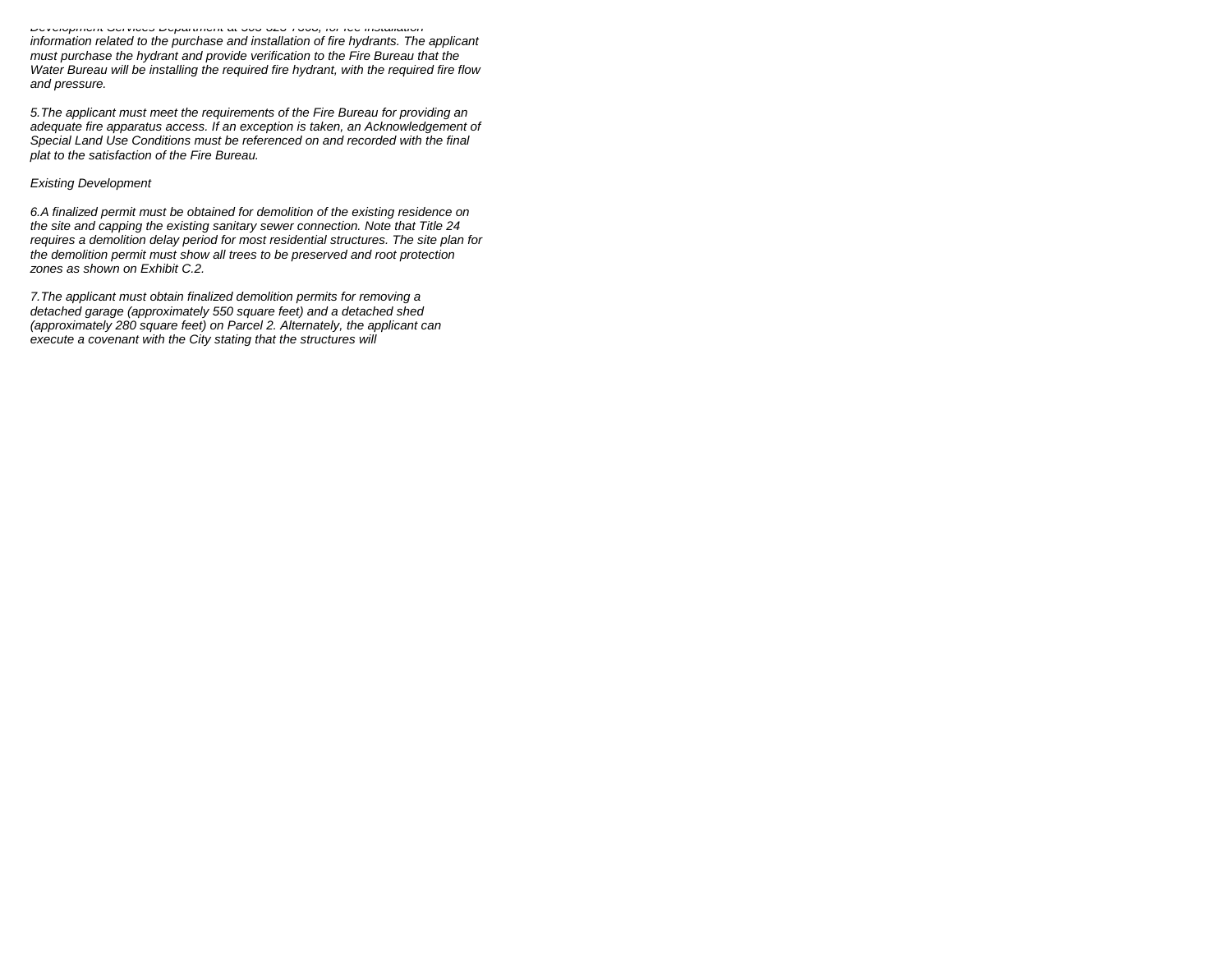Development Services Department at 503-823-7368, for fee installation information related to the purchase and installation of fire hydrants. The applicantmust purchase the hydrant and provide verification to the Fire Bureau that the Water Bureau will be installing the required fire hydrant, with the required fire flowand pressure.

5.The applicant must meet the requirements of the Fire Bureau for providing an adequate fire apparatus access. If an exception is taken, an Acknowledgement ofSpecial Land Use Conditions must be referenced on and recorded with the finalplat to the satisfaction of the Fire Bureau.

#### Existing Development

6.A finalized permit must be obtained for demolition of the existing residence on the site and capping the existing sanitary sewer connection. Note that Title 24 requires a demolition delay period for most residential structures. The site plan forthe demolition permit must show all trees to be preserved and root protectionzones as shown on Exhibit C.2.

7.The applicant must obtain finalized demolition permits for removing a detached garage (approximately 550 square feet) and a detached shed (approximately 280 square feet) on Parcel 2. Alternately, the applicant canexecute a covenant with the City stating that the structures will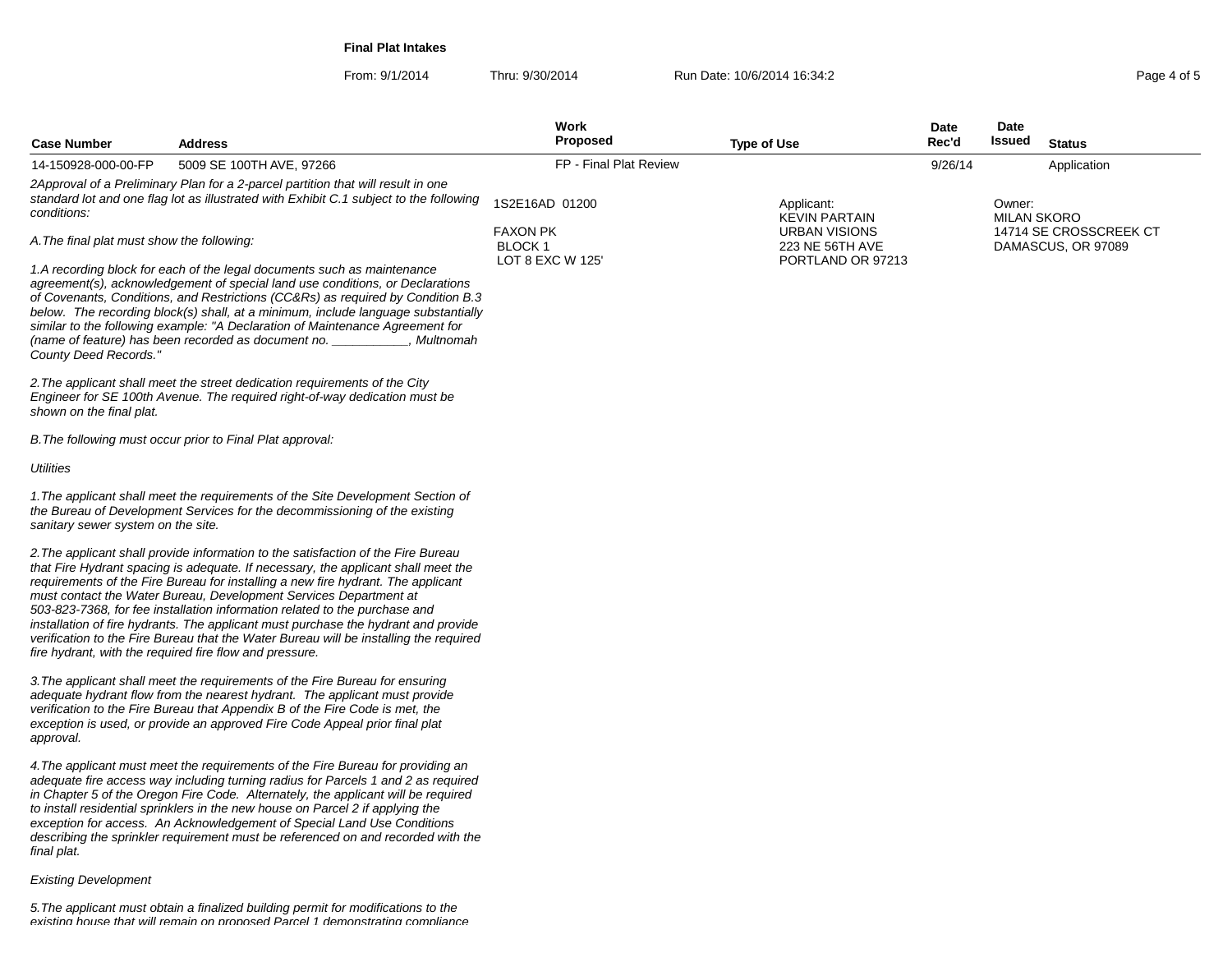**Final Plat Intakes**

From: 9/1/2014Thru: 9/30/2014 Run Date: 10/6/2014 16:34:2<br>
Run Date: 10/6/2014 16:34:2

| <b>Case Number</b>                         | <b>Address</b>                                                                                                                                                                                                                                                                                                                                                                                                                                                                                                                                                                                                                                          | Work<br><b>Proposed</b>                              | <b>Type of Use</b>                                           | Date<br>Rec'd | Date<br>Issued               | <b>Status</b>                                |
|--------------------------------------------|---------------------------------------------------------------------------------------------------------------------------------------------------------------------------------------------------------------------------------------------------------------------------------------------------------------------------------------------------------------------------------------------------------------------------------------------------------------------------------------------------------------------------------------------------------------------------------------------------------------------------------------------------------|------------------------------------------------------|--------------------------------------------------------------|---------------|------------------------------|----------------------------------------------|
| 14-150928-000-00-FP                        | 5009 SE 100TH AVE, 97266                                                                                                                                                                                                                                                                                                                                                                                                                                                                                                                                                                                                                                | FP - Final Plat Review                               |                                                              | 9/26/14       |                              | Application                                  |
| conditions:                                | 2Approval of a Preliminary Plan for a 2-parcel partition that will result in one<br>standard lot and one flag lot as illustrated with Exhibit C.1 subject to the following                                                                                                                                                                                                                                                                                                                                                                                                                                                                              | 1S2E16AD 01200                                       | Applicant:<br><b>KEVIN PARTAIN</b>                           |               | Owner:<br><b>MILAN SKORO</b> |                                              |
| A. The final plat must show the following: |                                                                                                                                                                                                                                                                                                                                                                                                                                                                                                                                                                                                                                                         | <b>FAXON PK</b><br><b>BLOCK1</b><br>LOT 8 EXC W 125' | <b>URBAN VISIONS</b><br>223 NE 56TH AVE<br>PORTLAND OR 97213 |               |                              | 14714 SE CROSSCREEK CT<br>DAMASCUS, OR 97089 |
| County Deed Records."                      | 1.A recording block for each of the legal documents such as maintenance<br>agreement(s), acknowledgement of special land use conditions, or Declarations<br>of Covenants, Conditions, and Restrictions (CC&Rs) as required by Condition B.3<br>below. The recording block(s) shall, at a minimum, include language substantially<br>similar to the following example: "A Declaration of Maintenance Agreement for<br>(name of feature) has been recorded as document no.<br>, Multnomah                                                                                                                                                                 |                                                      |                                                              |               |                              |                                              |
| shown on the final plat.                   | 2. The applicant shall meet the street dedication requirements of the City<br>Engineer for SE 100th Avenue. The required right-of-way dedication must be                                                                                                                                                                                                                                                                                                                                                                                                                                                                                                |                                                      |                                                              |               |                              |                                              |
|                                            | B. The following must occur prior to Final Plat approval:                                                                                                                                                                                                                                                                                                                                                                                                                                                                                                                                                                                               |                                                      |                                                              |               |                              |                                              |
| Utilities                                  |                                                                                                                                                                                                                                                                                                                                                                                                                                                                                                                                                                                                                                                         |                                                      |                                                              |               |                              |                                              |
| sanitary sewer system on the site.         | 1. The applicant shall meet the requirements of the Site Development Section of<br>the Bureau of Development Services for the decommissioning of the existing                                                                                                                                                                                                                                                                                                                                                                                                                                                                                           |                                                      |                                                              |               |                              |                                              |
|                                            | 2. The applicant shall provide information to the satisfaction of the Fire Bureau<br>that Fire Hydrant spacing is adequate. If necessary, the applicant shall meet the<br>requirements of the Fire Bureau for installing a new fire hydrant. The applicant<br>must contact the Water Bureau, Development Services Department at<br>503-823-7368, for fee installation information related to the purchase and<br>installation of fire hydrants. The applicant must purchase the hydrant and provide<br>verification to the Fire Bureau that the Water Bureau will be installing the required<br>fire hydrant, with the required fire flow and pressure. |                                                      |                                                              |               |                              |                                              |
| approval.                                  | 3. The applicant shall meet the requirements of the Fire Bureau for ensuring<br>adequate hydrant flow from the nearest hydrant. The applicant must provide<br>verification to the Fire Bureau that Appendix B of the Fire Code is met, the<br>exception is used, or provide an approved Fire Code Appeal prior final plat                                                                                                                                                                                                                                                                                                                               |                                                      |                                                              |               |                              |                                              |
| final plat.                                | 4. The applicant must meet the requirements of the Fire Bureau for providing an<br>adequate fire access way including turning radius for Parcels 1 and 2 as required<br>in Chapter 5 of the Oregon Fire Code. Alternately, the applicant will be required<br>to install residential sprinklers in the new house on Parcel 2 if applying the<br>exception for access. An Acknowledgement of Special Land Use Conditions<br>describing the sprinkler requirement must be referenced on and recorded with the                                                                                                                                              |                                                      |                                                              |               |                              |                                              |

# Existing Development

5.The applicant must obtain a finalized building permit for modifications to the existing house that will remain on proposed Parcel 1 demonstrating compliance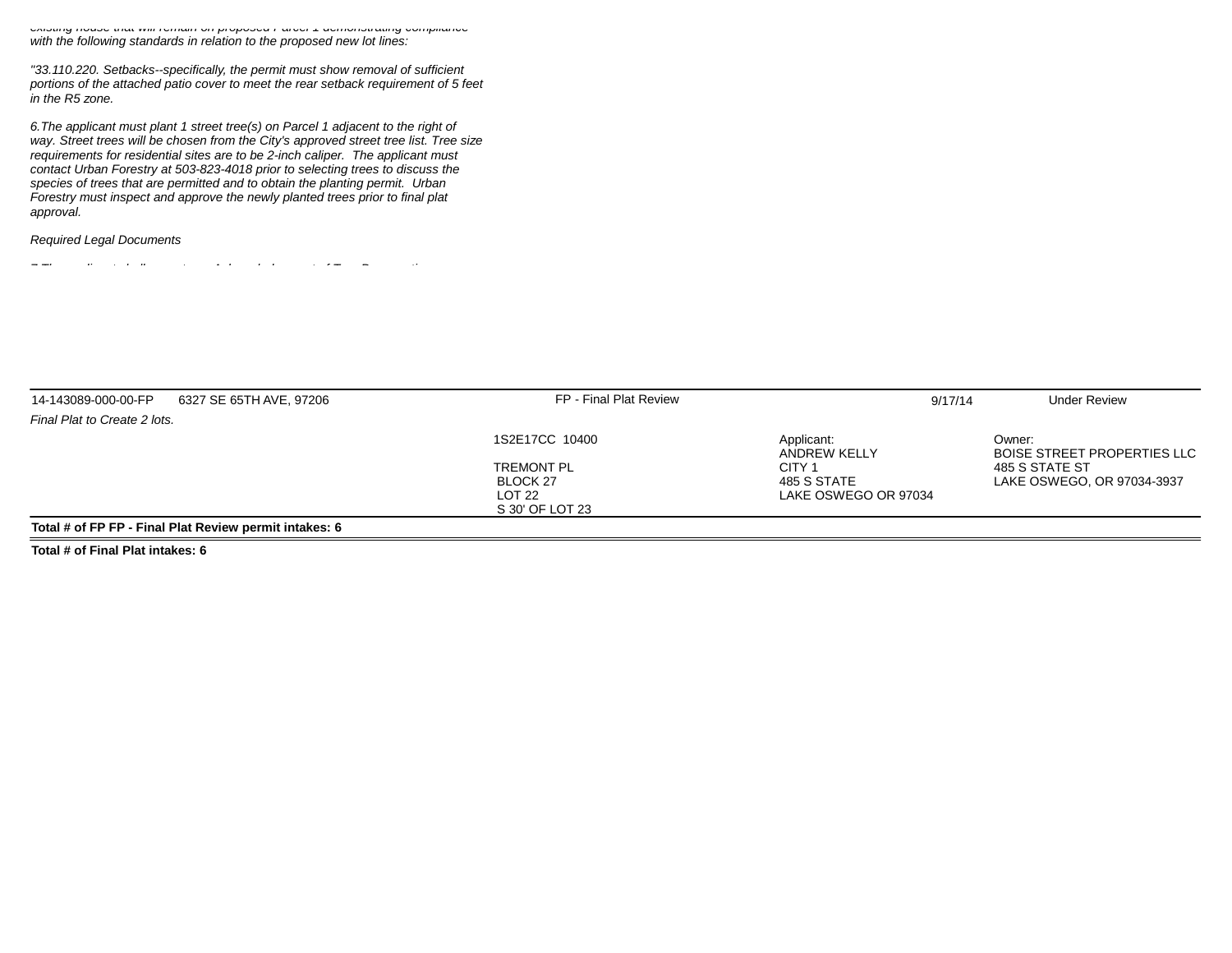existing house that will remain on proposed Parcel 1 demonstrating compliancewith the following standards in relation to the proposed new lot lines:

"33.110.220. Setbacks--specifically, the permit must show removal of sufficient portions of the attached patio cover to meet the rear setback requirement of 5 feetin the R5 zone.

6.The applicant must plant 1 street tree(s) on Parcel 1 adjacent to the right of way. Street trees will be chosen from the City's approved street tree list. Tree sizerequirements for residential sites are to be 2-inch caliper. The applicant must contact Urban Forestry at 503-823-4018 prior to selecting trees to discuss thespecies of trees that are permitted and to obtain the planting permit. Urban Forestry must inspect and approve the newly planted trees prior to final platapproval.

#### Required Legal Documents

7.The applicant shall execute an Acknowledgement of Tree Preservation

| 14-143089-000-00-FP          | 6327 SE 65TH AVE, 97206                                | FP - Final Plat Review | 9/17/14                           | <b>Under Review</b>                          |
|------------------------------|--------------------------------------------------------|------------------------|-----------------------------------|----------------------------------------------|
| Final Plat to Create 2 lots. |                                                        |                        |                                   |                                              |
|                              |                                                        | 1S2E17CC 10400         | Applicant:<br><b>ANDREW KELLY</b> | Owner:<br><b>BOISE STREET PROPERTIES LLC</b> |
|                              |                                                        | <b>TREMONT PL</b>      | CITY <sub>1</sub>                 | 485 S STATE ST                               |
|                              |                                                        | BLOCK 27               | 485 S STATE                       | LAKE OSWEGO, OR 97034-3937                   |
|                              |                                                        | LOT 22                 | LAKE OSWEGO OR 97034              |                                              |
|                              |                                                        | S 30' OF LOT 23        |                                   |                                              |
|                              | Total # of FP FP - Final Plat Review permit intakes: 6 |                        |                                   |                                              |

**Total # of Final Plat intakes: 6**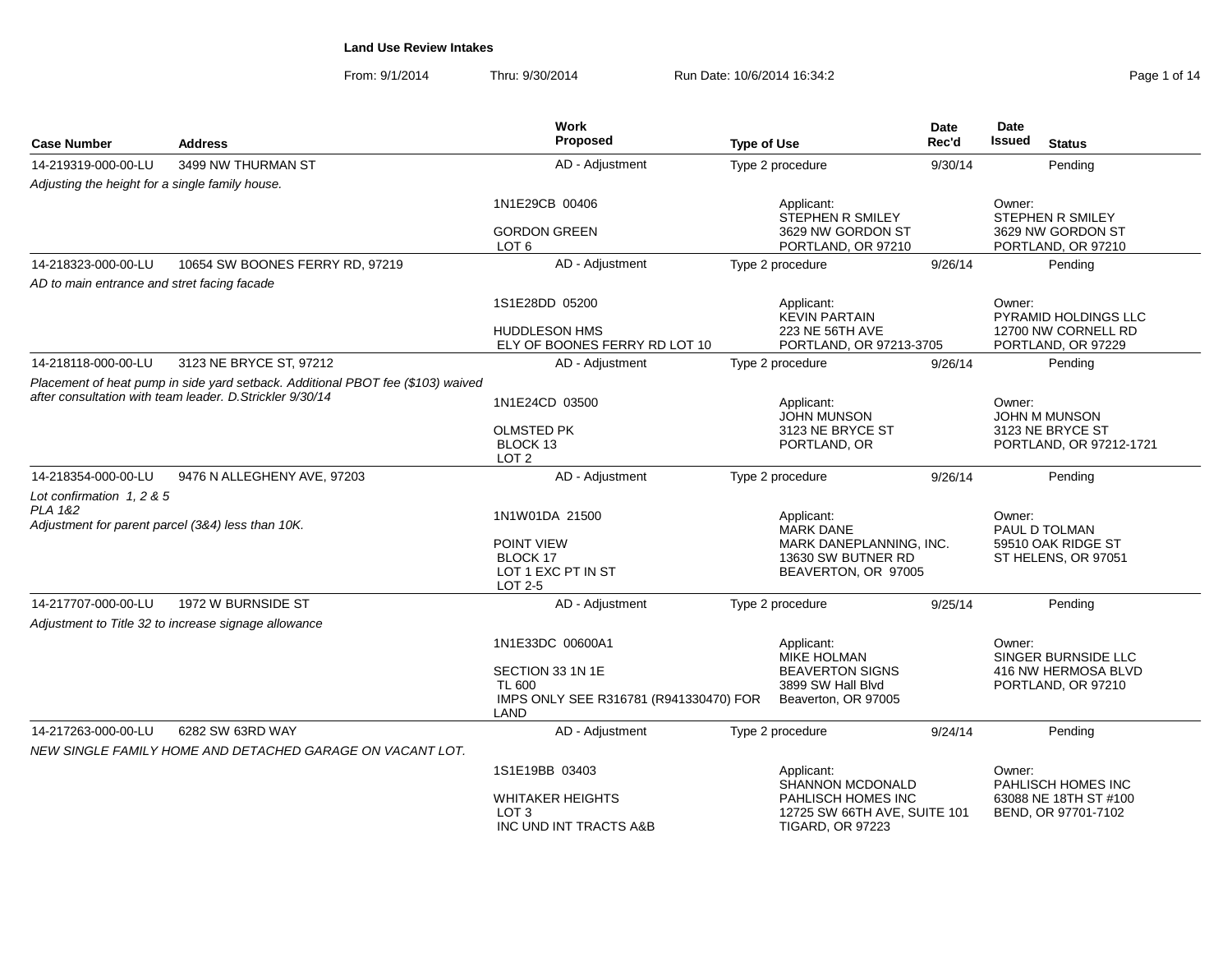| Page 1 of 14 |  |  |
|--------------|--|--|
|              |  |  |

|                                                 |                                                                                                                                              | Work                                                                                |                                                                                          | Date    | Date                                                       |
|-------------------------------------------------|----------------------------------------------------------------------------------------------------------------------------------------------|-------------------------------------------------------------------------------------|------------------------------------------------------------------------------------------|---------|------------------------------------------------------------|
| <b>Case Number</b>                              | <b>Address</b>                                                                                                                               | Proposed                                                                            | <b>Type of Use</b>                                                                       | Rec'd   | <b>Issued</b><br><b>Status</b>                             |
| 14-219319-000-00-LU                             | 3499 NW THURMAN ST                                                                                                                           | AD - Adjustment                                                                     | Type 2 procedure                                                                         | 9/30/14 | Pending                                                    |
| Adjusting the height for a single family house. |                                                                                                                                              |                                                                                     |                                                                                          |         |                                                            |
|                                                 |                                                                                                                                              | 1N1E29CB 00406                                                                      | Applicant:<br><b>STEPHEN R SMILEY</b>                                                    |         | Owner:<br>STEPHEN R SMILEY                                 |
|                                                 |                                                                                                                                              | <b>GORDON GREEN</b><br>LOT <sub>6</sub>                                             | 3629 NW GORDON ST<br>PORTLAND, OR 97210                                                  |         | 3629 NW GORDON ST<br>PORTLAND, OR 97210                    |
| 14-218323-000-00-LU                             | 10654 SW BOONES FERRY RD, 97219                                                                                                              | AD - Adjustment                                                                     | Type 2 procedure                                                                         | 9/26/14 | Pending                                                    |
| AD to main entrance and stret facing facade     |                                                                                                                                              |                                                                                     |                                                                                          |         |                                                            |
|                                                 |                                                                                                                                              | 1S1E28DD 05200                                                                      | Applicant:<br><b>KEVIN PARTAIN</b>                                                       |         | Owner:<br>PYRAMID HOLDINGS LLC                             |
|                                                 |                                                                                                                                              | <b>HUDDLESON HMS</b><br>ELY OF BOONES FERRY RD LOT 10                               | 223 NE 56TH AVE<br>PORTLAND, OR 97213-3705                                               |         | 12700 NW CORNELL RD<br>PORTLAND, OR 97229                  |
| 14-218118-000-00-LU                             | 3123 NE BRYCE ST, 97212                                                                                                                      | AD - Adjustment                                                                     | Type 2 procedure                                                                         | 9/26/14 | Pending                                                    |
|                                                 | Placement of heat pump in side yard setback. Additional PBOT fee (\$103) waived<br>after consultation with team leader. D. Strickler 9/30/14 | 1N1E24CD 03500                                                                      | Applicant:<br>JOHN MUNSON                                                                |         | Owner:<br><b>JOHN M MUNSON</b>                             |
|                                                 |                                                                                                                                              | <b>OLMSTED PK</b><br>BLOCK 13<br>LOT <sub>2</sub>                                   | 3123 NE BRYCE ST<br>PORTLAND, OR                                                         |         | 3123 NE BRYCE ST<br>PORTLAND, OR 97212-1721                |
| 14-218354-000-00-LU                             | 9476 N ALLEGHENY AVE, 97203                                                                                                                  | AD - Adjustment                                                                     | Type 2 procedure                                                                         | 9/26/14 | Pending                                                    |
| Lot confirmation 1, 2 & 5<br>PLA 1&2            |                                                                                                                                              | 1N1W01DA 21500                                                                      | Applicant:                                                                               |         | Owner:                                                     |
|                                                 | Adjustment for parent parcel (3&4) less than 10K.                                                                                            | POINT VIEW<br>BLOCK 17<br>LOT 1 EXC PT IN ST<br>LOT 2-5                             | <b>MARK DANE</b><br>MARK DANEPLANNING, INC.<br>13630 SW BUTNER RD<br>BEAVERTON, OR 97005 |         | PAUL D TOLMAN<br>59510 OAK RIDGE ST<br>ST HELENS, OR 97051 |
| 14-217707-000-00-LU                             | 1972 W BURNSIDE ST                                                                                                                           | AD - Adjustment                                                                     | Type 2 procedure                                                                         | 9/25/14 | Pending                                                    |
|                                                 | Adjustment to Title 32 to increase signage allowance                                                                                         |                                                                                     |                                                                                          |         |                                                            |
|                                                 |                                                                                                                                              | 1N1E33DC 00600A1                                                                    | Applicant:<br>MIKE HOLMAN                                                                |         | Owner:<br>SINGER BURNSIDE LLC                              |
|                                                 |                                                                                                                                              | SECTION 33 1N 1E<br><b>TL 600</b><br>IMPS ONLY SEE R316781 (R941330470) FOR<br>LAND | <b>BEAVERTON SIGNS</b><br>3899 SW Hall Blyd<br>Beaverton, OR 97005                       |         | 416 NW HERMOSA BLVD<br>PORTLAND, OR 97210                  |
| 14-217263-000-00-LU                             | 6282 SW 63RD WAY                                                                                                                             | AD - Adjustment                                                                     | Type 2 procedure                                                                         | 9/24/14 | Pending                                                    |
|                                                 | NEW SINGLE FAMILY HOME AND DETACHED GARAGE ON VACANT LOT.                                                                                    |                                                                                     |                                                                                          |         |                                                            |
|                                                 |                                                                                                                                              | 1S1E19BB 03403                                                                      | Applicant:<br><b>SHANNON MCDONALD</b>                                                    |         | Owner:<br>PAHLISCH HOMES INC                               |
|                                                 |                                                                                                                                              | <b>WHITAKER HEIGHTS</b><br>LOT <sub>3</sub><br>INC UND INT TRACTS A&B               | PAHLISCH HOMES INC<br>12725 SW 66TH AVE, SUITE 101<br><b>TIGARD, OR 97223</b>            |         | 63088 NE 18TH ST #100<br>BEND, OR 97701-7102               |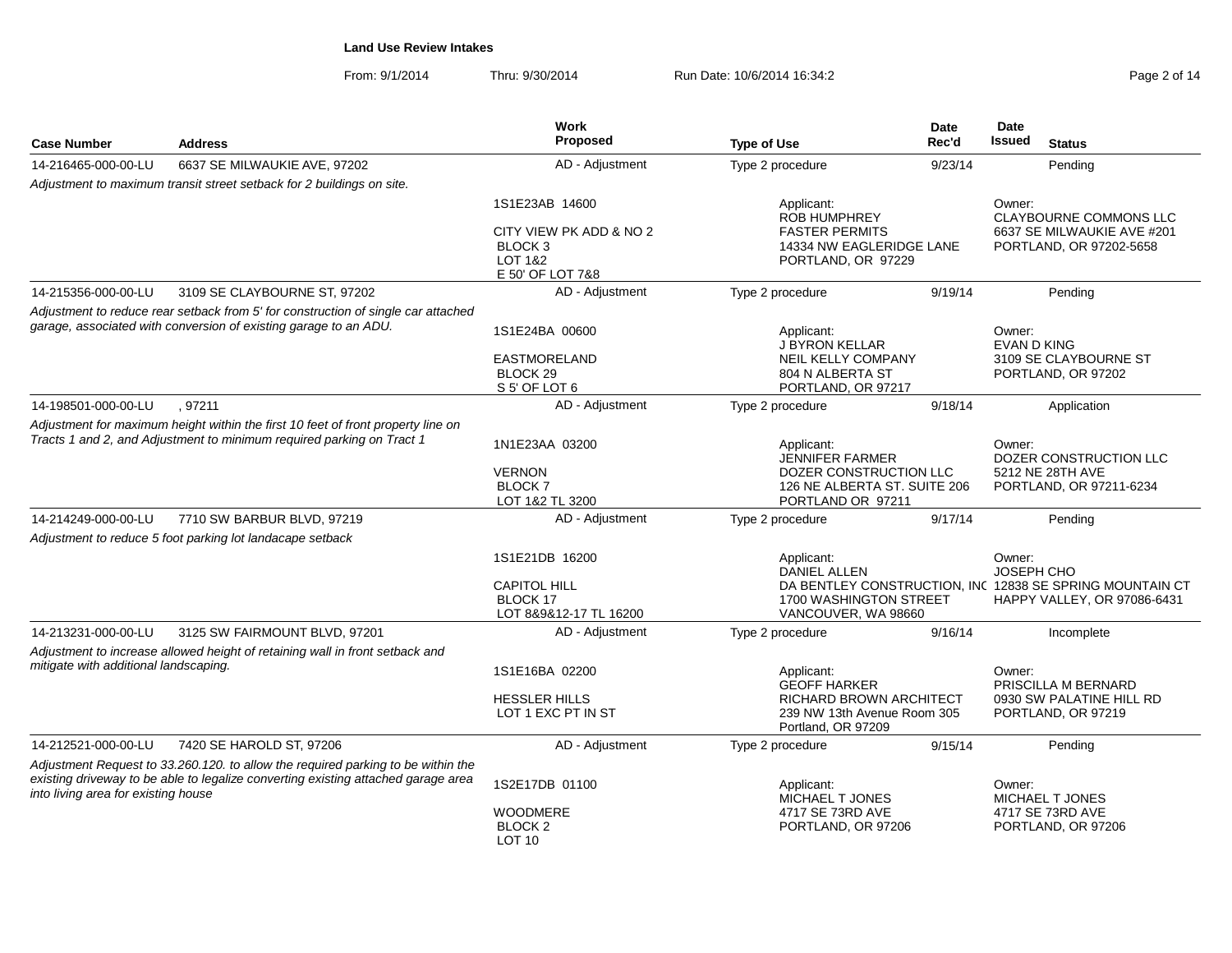From: 9/1/2014Thru: 9/30/2014 **Run Date: 10/6/2014 16:34:2** Page 2 of 14 of 14 of 14 of 14 of 14 of 14 of 14 of 14 of 14 of 14 of 14 of 14 of 14 of 14 of 14 of 14 of 14 of 14 of 14 of 14 of 14 of 14 of 14 of 14 of 14 of 14 of 14 of 14 o

| Page 2 of 14 |
|--------------|
|--------------|

| <b>Case Number</b>                    | <b>Address</b>                                                                                                                                                        | Work<br>Proposed                                                            |                                                                                                     | <b>Date</b><br>Rec'd | Date<br><b>Issued</b>                                                                                           |
|---------------------------------------|-----------------------------------------------------------------------------------------------------------------------------------------------------------------------|-----------------------------------------------------------------------------|-----------------------------------------------------------------------------------------------------|----------------------|-----------------------------------------------------------------------------------------------------------------|
|                                       |                                                                                                                                                                       |                                                                             | <b>Type of Use</b>                                                                                  |                      | <b>Status</b>                                                                                                   |
| 14-216465-000-00-LU                   | 6637 SE MILWAUKIE AVE, 97202                                                                                                                                          | AD - Adjustment                                                             | Type 2 procedure                                                                                    | 9/23/14              | Pending                                                                                                         |
|                                       | Adjustment to maximum transit street setback for 2 buildings on site.                                                                                                 |                                                                             |                                                                                                     |                      |                                                                                                                 |
|                                       |                                                                                                                                                                       | 1S1E23AB 14600<br>CITY VIEW PK ADD & NO 2<br>BLOCK <sub>3</sub>             | Applicant:<br><b>ROB HUMPHREY</b><br><b>FASTER PERMITS</b><br>14334 NW EAGLERIDGE LANE              |                      | Owner:<br><b>CLAYBOURNE COMMONS LLC</b><br>6637 SE MILWAUKIE AVE #201<br>PORTLAND, OR 97202-5658                |
|                                       |                                                                                                                                                                       | <b>LOT 1&amp;2</b><br>E 50' OF LOT 7&8                                      | PORTLAND, OR 97229                                                                                  |                      |                                                                                                                 |
| 14-215356-000-00-LU                   | 3109 SE CLAYBOURNE ST, 97202                                                                                                                                          | AD - Adjustment                                                             | Type 2 procedure                                                                                    | 9/19/14              | Pending                                                                                                         |
|                                       | Adjustment to reduce rear setback from 5' for construction of single car attached<br>garage, associated with conversion of existing garage to an ADU.                 | 1S1E24BA 00600                                                              | Applicant:                                                                                          |                      | Owner:                                                                                                          |
|                                       |                                                                                                                                                                       | <b>EASTMORELAND</b><br>BLOCK <sub>29</sub><br>S 5' OF LOT 6                 | J BYRON KELLAR<br>NEIL KELLY COMPANY<br>804 N ALBERTA ST<br>PORTLAND, OR 97217                      |                      | <b>EVAN D KING</b><br>3109 SE CLAYBOURNE ST<br>PORTLAND, OR 97202                                               |
| 14-198501-000-00-LU                   | , 97211                                                                                                                                                               | AD - Adjustment                                                             | Type 2 procedure                                                                                    | 9/18/14              | Application                                                                                                     |
|                                       | Adjustment for maximum height within the first 10 feet of front property line on<br>Tracts 1 and 2, and Adjustment to minimum required parking on Tract 1             | 1N1E23AA 03200                                                              | Applicant:                                                                                          |                      | Owner:                                                                                                          |
|                                       |                                                                                                                                                                       | <b>VERNON</b><br><b>BLOCK7</b><br>LOT 1&2 TL 3200                           | JENNIFER FARMER<br>DOZER CONSTRUCTION LLC<br>126 NE ALBERTA ST. SUITE 206<br>PORTLAND OR 97211      |                      | DOZER CONSTRUCTION LLC<br>5212 NE 28TH AVE<br>PORTLAND, OR 97211-6234                                           |
| 14-214249-000-00-LU                   | 7710 SW BARBUR BLVD, 97219                                                                                                                                            | AD - Adjustment                                                             | Type 2 procedure                                                                                    | 9/17/14              | Pending                                                                                                         |
|                                       | Adjustment to reduce 5 foot parking lot landacape setback                                                                                                             |                                                                             |                                                                                                     |                      |                                                                                                                 |
|                                       |                                                                                                                                                                       | 1S1E21DB 16200<br><b>CAPITOL HILL</b><br>BLOCK 17<br>LOT 8&9&12-17 TL 16200 | Applicant:<br><b>DANIEL ALLEN</b><br>1700 WASHINGTON STREET<br>VANCOUVER, WA 98660                  |                      | Owner:<br>JOSEPH CHO<br>DA BENTLEY CONSTRUCTION, INC 12838 SE SPRING MOUNTAIN CT<br>HAPPY VALLEY, OR 97086-6431 |
| 14-213231-000-00-LU                   | 3125 SW FAIRMOUNT BLVD, 97201                                                                                                                                         | AD - Adjustment                                                             | Type 2 procedure                                                                                    | 9/16/14              | Incomplete                                                                                                      |
| mitigate with additional landscaping. | Adjustment to increase allowed height of retaining wall in front setback and                                                                                          | 1S1E16BA 02200                                                              | Applicant:                                                                                          |                      | Owner:                                                                                                          |
|                                       |                                                                                                                                                                       | <b>HESSLER HILLS</b><br>LOT 1 EXC PT IN ST                                  | <b>GEOFF HARKER</b><br>RICHARD BROWN ARCHITECT<br>239 NW 13th Avenue Room 305<br>Portland, OR 97209 |                      | PRISCILLA M BERNARD<br>0930 SW PALATINE HILL RD<br>PORTLAND, OR 97219                                           |
| 14-212521-000-00-LU                   | 7420 SE HAROLD ST, 97206                                                                                                                                              | AD - Adjustment                                                             | Type 2 procedure                                                                                    | 9/15/14              | Pending                                                                                                         |
| into living area for existing house   | Adjustment Request to 33.260.120. to allow the required parking to be within the<br>existing driveway to be able to legalize converting existing attached garage area | 1S2E17DB 01100                                                              | Applicant:<br><b>MICHAEL T JONES</b>                                                                |                      | Owner:<br><b>MICHAEL T JONES</b>                                                                                |
|                                       |                                                                                                                                                                       | <b>WOODMERE</b><br>BLOCK <sub>2</sub><br>LOT 10                             | 4717 SE 73RD AVE<br>PORTLAND, OR 97206                                                              |                      | 4717 SE 73RD AVE<br>PORTLAND, OR 97206                                                                          |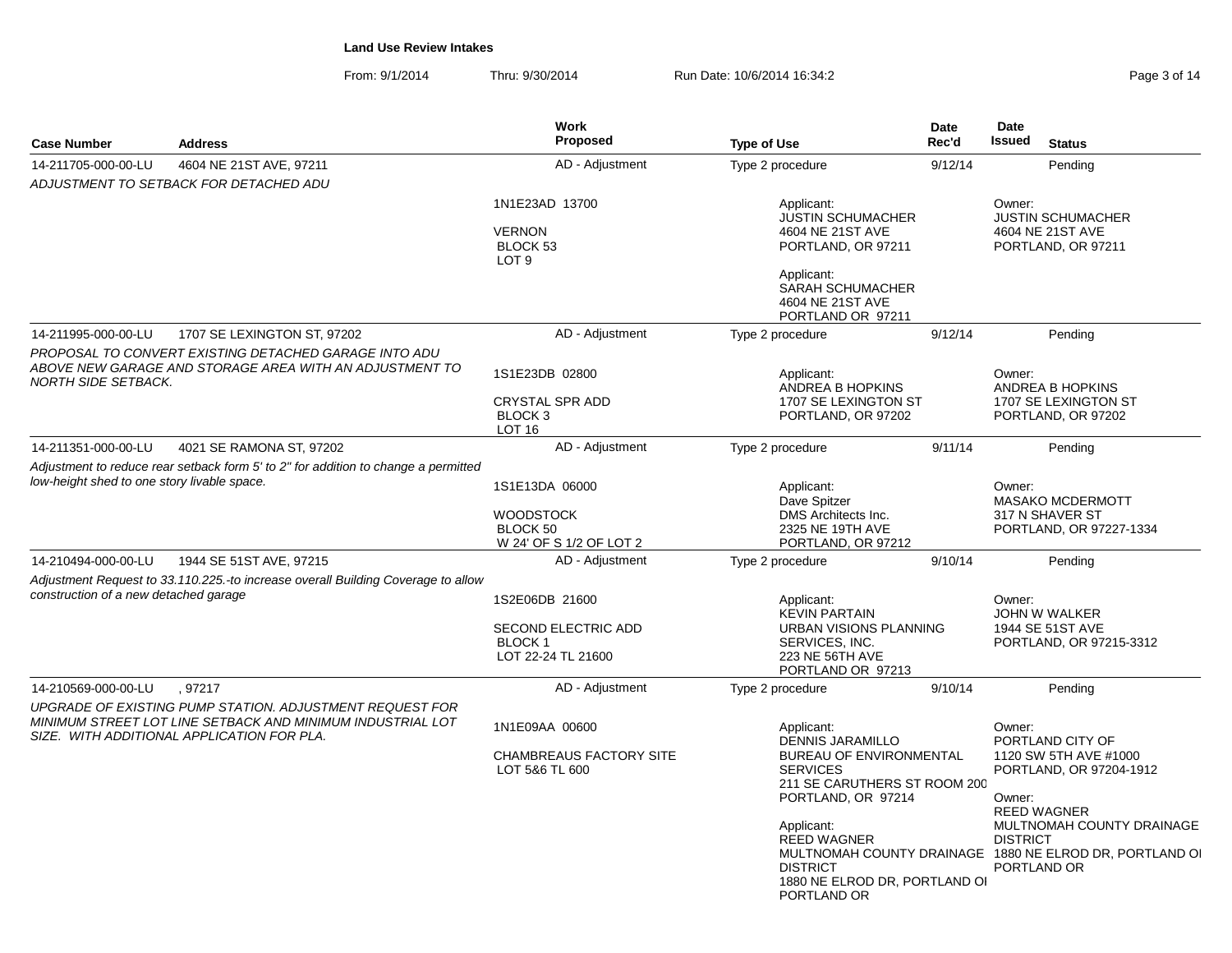From: 9/1/2014Thru: 9/30/2014 **Run Date: 10/6/2014 16:34:2** Page 3 of 14 of 14 of 14 of 14 of 14 of 14 of 14 of 14 of 14 of 14 of 14 of 14 of 14 of 14 of 14 of 14 of 14 of 14 of 14 of 14 of 14 of 14 of 14 of 14 of 14 of 14 of 14 of 14 o

| Page 3 of 14 |
|--------------|
|--------------|

| <b>Case Number</b>                          | <b>Address</b>                                                                                                                                                       | <b>Work</b><br><b>Proposed</b>                                               | <b>Type of Use</b>                                                                                                                                                                                                                               | Date<br>Rec'd | Date<br>Issued                      | <b>Status</b>                                                                                                                                                                                     |
|---------------------------------------------|----------------------------------------------------------------------------------------------------------------------------------------------------------------------|------------------------------------------------------------------------------|--------------------------------------------------------------------------------------------------------------------------------------------------------------------------------------------------------------------------------------------------|---------------|-------------------------------------|---------------------------------------------------------------------------------------------------------------------------------------------------------------------------------------------------|
| 14-211705-000-00-LU                         | 4604 NE 21ST AVE, 97211                                                                                                                                              | AD - Adjustment                                                              | Type 2 procedure                                                                                                                                                                                                                                 | 9/12/14       |                                     | Pending                                                                                                                                                                                           |
|                                             | ADJUSTMENT TO SETBACK FOR DETACHED ADU                                                                                                                               |                                                                              |                                                                                                                                                                                                                                                  |               |                                     |                                                                                                                                                                                                   |
|                                             |                                                                                                                                                                      | 1N1E23AD 13700<br><b>VERNON</b><br>BLOCK <sub>53</sub><br>LOT <sub>9</sub>   | Applicant:<br><b>JUSTIN SCHUMACHER</b><br>4604 NE 21ST AVE<br>PORTLAND, OR 97211                                                                                                                                                                 |               | Owner:                              | <b>JUSTIN SCHUMACHER</b><br>4604 NE 21ST AVE<br>PORTLAND, OR 97211                                                                                                                                |
|                                             |                                                                                                                                                                      |                                                                              | Applicant:<br>SARAH SCHUMACHER<br>4604 NE 21ST AVE<br>PORTLAND OR 97211                                                                                                                                                                          |               |                                     |                                                                                                                                                                                                   |
| 14-211995-000-00-LU                         | 1707 SE LEXINGTON ST, 97202                                                                                                                                          | AD - Adjustment                                                              | Type 2 procedure                                                                                                                                                                                                                                 | 9/12/14       |                                     | Pending                                                                                                                                                                                           |
| <b>NORTH SIDE SETBACK.</b>                  | PROPOSAL TO CONVERT EXISTING DETACHED GARAGE INTO ADU<br>ABOVE NEW GARAGE AND STORAGE AREA WITH AN ADJUSTMENT TO                                                     | 1S1E23DB 02800<br>CRYSTAL SPR ADD<br>BLOCK <sub>3</sub><br><b>LOT 16</b>     | Applicant:<br>ANDREA B HOPKINS<br>1707 SE LEXINGTON ST<br>PORTLAND, OR 97202                                                                                                                                                                     |               | Owner:                              | ANDREA B HOPKINS<br>1707 SE LEXINGTON ST<br>PORTLAND, OR 97202                                                                                                                                    |
| 14-211351-000-00-LU                         | 4021 SE RAMONA ST, 97202                                                                                                                                             | AD - Adjustment                                                              | Type 2 procedure                                                                                                                                                                                                                                 | 9/11/14       |                                     | Pending                                                                                                                                                                                           |
| low-height shed to one story livable space. | Adjustment to reduce rear setback form 5' to 2" for addition to change a permitted                                                                                   | 1S1E13DA 06000<br><b>WOODSTOCK</b><br>BLOCK 50<br>W 24' OF S 1/2 OF LOT 2    | Applicant:<br>Dave Spitzer<br>DMS Architects Inc.<br>2325 NE 19TH AVE<br>PORTLAND, OR 97212                                                                                                                                                      |               | Owner:                              | <b>MASAKO MCDERMOTT</b><br>317 N SHAVER ST<br>PORTLAND, OR 97227-1334                                                                                                                             |
| 14-210494-000-00-LU                         | 1944 SE 51ST AVE, 97215                                                                                                                                              | AD - Adjustment                                                              | Type 2 procedure                                                                                                                                                                                                                                 | 9/10/14       |                                     | Pending                                                                                                                                                                                           |
| construction of a new detached garage       | Adjustment Request to 33.110.225.-to increase overall Building Coverage to allow                                                                                     | 1S2E06DB 21600<br>SECOND ELECTRIC ADD<br><b>BLOCK1</b><br>LOT 22-24 TL 21600 | Applicant:<br><b>KEVIN PARTAIN</b><br><b>URBAN VISIONS PLANNING</b><br>SERVICES, INC.<br>223 NE 56TH AVE<br>PORTLAND OR 97213                                                                                                                    |               | Owner:                              | JOHN W WALKER<br>1944 SE 51ST AVE<br>PORTLAND, OR 97215-3312                                                                                                                                      |
| 14-210569-000-00-LU                         | .97217                                                                                                                                                               | AD - Adjustment                                                              | Type 2 procedure                                                                                                                                                                                                                                 | 9/10/14       |                                     | Pending                                                                                                                                                                                           |
|                                             | UPGRADE OF EXISTING PUMP STATION. ADJUSTMENT REQUEST FOR<br>MINIMUM STREET LOT LINE SETBACK AND MINIMUM INDUSTRIAL LOT<br>SIZE. WITH ADDITIONAL APPLICATION FOR PLA. | 1N1E09AA 00600<br><b>CHAMBREAUS FACTORY SITE</b><br>LOT 5&6 TL 600           | Applicant:<br><b>DENNIS JARAMILLO</b><br>BUREAU OF ENVIRONMENTAL<br><b>SERVICES</b><br>211 SE CARUTHERS ST ROOM 200<br>PORTLAND, OR 97214<br>Applicant:<br><b>REED WAGNER</b><br><b>DISTRICT</b><br>1880 NE ELROD DR, PORTLAND OI<br>PORTLAND OR |               | Owner:<br>Owner:<br><b>DISTRICT</b> | PORTLAND CITY OF<br>1120 SW 5TH AVE #1000<br>PORTLAND, OR 97204-1912<br><b>REED WAGNER</b><br>MULTNOMAH COUNTY DRAINAGE<br>MULTNOMAH COUNTY DRAINAGE 1880 NE ELROD DR, PORTLAND OI<br>PORTLAND OR |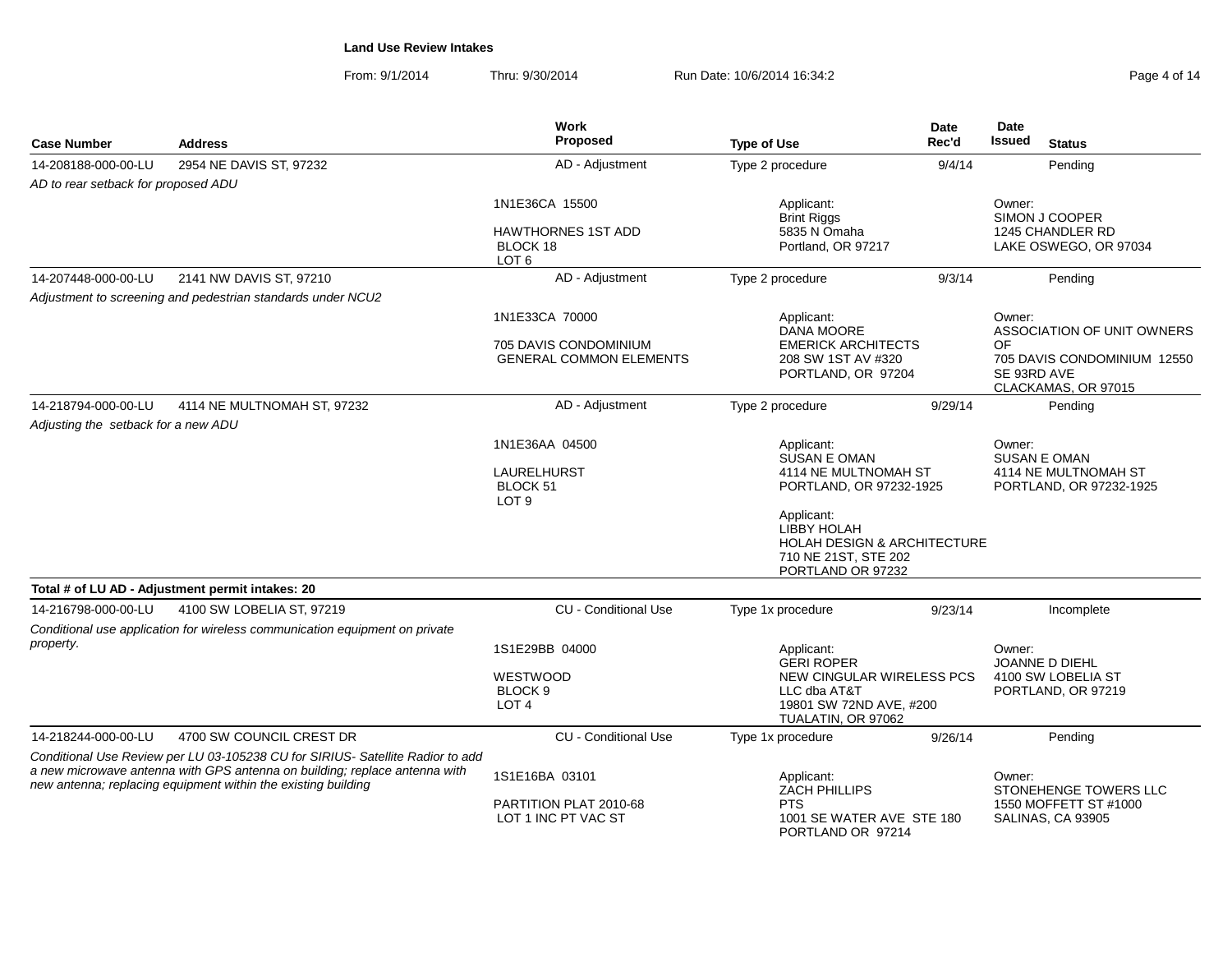From: 9/1/2014Thru: 9/30/2014 **Run Date: 10/6/2014 16:34:2** Page 4 of 14 of 14 of 14 of 14 of 14 of 14 of 14 of 14 of 14 of 14 of 14 of 14 of 14 of 14 of 14 of 14 of 14 of 14 of 14 of 14 of 14 of 14 of 14 of 14 of 14 of 14 of 14 of 14 o

| Page 4 of 14 |  |  |  |  |  |  |  |
|--------------|--|--|--|--|--|--|--|
|--------------|--|--|--|--|--|--|--|

| <b>Case Number</b>                  | <b>Address</b>                                                                                                                                                                                                                | Work<br>Proposed                                          | <b>Type of Use</b>                                                                                                      | Date<br>Rec'd | Date<br><b>Issued</b><br><b>Status</b>                                  |
|-------------------------------------|-------------------------------------------------------------------------------------------------------------------------------------------------------------------------------------------------------------------------------|-----------------------------------------------------------|-------------------------------------------------------------------------------------------------------------------------|---------------|-------------------------------------------------------------------------|
| 14-208188-000-00-LU                 | 2954 NE DAVIS ST, 97232                                                                                                                                                                                                       | AD - Adjustment                                           | Type 2 procedure                                                                                                        | 9/4/14        | Pending                                                                 |
| AD to rear setback for proposed ADU |                                                                                                                                                                                                                               |                                                           |                                                                                                                         |               |                                                                         |
|                                     |                                                                                                                                                                                                                               | 1N1E36CA 15500                                            | Applicant:<br>Brint Riggs                                                                                               |               | Owner:<br>SIMON J COOPER                                                |
|                                     |                                                                                                                                                                                                                               | <b>HAWTHORNES 1ST ADD</b><br>BLOCK 18<br>LOT <sub>6</sub> | 5835 N Omaha<br>Portland, OR 97217                                                                                      |               | 1245 CHANDLER RD<br>LAKE OSWEGO, OR 97034                               |
| 14-207448-000-00-LU                 | 2141 NW DAVIS ST, 97210                                                                                                                                                                                                       | AD - Adjustment                                           | Type 2 procedure                                                                                                        | 9/3/14        | Pending                                                                 |
|                                     | Adjustment to screening and pedestrian standards under NCU2                                                                                                                                                                   |                                                           |                                                                                                                         |               |                                                                         |
|                                     |                                                                                                                                                                                                                               | 1N1E33CA 70000                                            | Applicant:<br>DANA MOORE                                                                                                |               | Owner:<br>ASSOCIATION OF UNIT OWNERS                                    |
|                                     |                                                                                                                                                                                                                               | 705 DAVIS CONDOMINIUM<br><b>GENERAL COMMON ELEMENTS</b>   | <b>EMERICK ARCHITECTS</b><br>208 SW 1ST AV #320<br>PORTLAND, OR 97204                                                   |               | ΩF<br>705 DAVIS CONDOMINIUM 12550<br>SE 93RD AVE<br>CLACKAMAS, OR 97015 |
| 14-218794-000-00-LU                 | 4114 NE MULTNOMAH ST, 97232                                                                                                                                                                                                   | AD - Adjustment                                           | Type 2 procedure                                                                                                        | 9/29/14       | Pending                                                                 |
| Adjusting the setback for a new ADU |                                                                                                                                                                                                                               |                                                           |                                                                                                                         |               |                                                                         |
|                                     |                                                                                                                                                                                                                               | 1N1E36AA 04500                                            | Applicant:<br>SUSAN E OMAN                                                                                              |               | Owner:<br><b>SUSAN E OMAN</b>                                           |
|                                     |                                                                                                                                                                                                                               | <b>LAURELHURST</b><br>BLOCK 51<br>LOT <sub>9</sub>        | 4114 NE MULTNOMAH ST<br>PORTLAND, OR 97232-1925                                                                         |               | 4114 NE MULTNOMAH ST<br>PORTLAND, OR 97232-1925                         |
|                                     |                                                                                                                                                                                                                               |                                                           | Applicant:<br><b>LIBBY HOLAH</b><br><b>HOLAH DESIGN &amp; ARCHITECTURE</b><br>710 NE 21ST, STE 202<br>PORTLAND OR 97232 |               |                                                                         |
|                                     | Total # of LU AD - Adjustment permit intakes: 20                                                                                                                                                                              |                                                           |                                                                                                                         |               |                                                                         |
| 14-216798-000-00-LU                 | 4100 SW LOBELIA ST, 97219                                                                                                                                                                                                     | <b>CU</b> - Conditional Use                               | Type 1x procedure                                                                                                       | 9/23/14       | Incomplete                                                              |
|                                     | Conditional use application for wireless communication equipment on private                                                                                                                                                   |                                                           |                                                                                                                         |               |                                                                         |
| property.                           |                                                                                                                                                                                                                               | 1S1E29BB 04000                                            | Applicant:<br><b>GERI ROPER</b>                                                                                         |               | Owner:<br>JOANNE D DIEHL                                                |
|                                     |                                                                                                                                                                                                                               | WESTWOOD<br>BLOCK <sub>9</sub><br>LOT <sub>4</sub>        | NEW CINGULAR WIRELESS PCS<br>LLC dba AT&T<br>19801 SW 72ND AVE, #200<br>TUALATIN, OR 97062                              |               | 4100 SW LOBELIA ST<br>PORTLAND, OR 97219                                |
| 14-218244-000-00-LU                 | 4700 SW COUNCIL CREST DR                                                                                                                                                                                                      | <b>CU - Conditional Use</b>                               | Type 1x procedure                                                                                                       | 9/26/14       | Pending                                                                 |
|                                     | Conditional Use Review per LU 03-105238 CU for SIRIUS- Satellite Radior to add<br>a new microwave antenna with GPS antenna on building; replace antenna with<br>new antenna; replacing equipment within the existing building | 1S1E16BA 03101                                            | Applicant:<br><b>ZACH PHILLIPS</b>                                                                                      |               | Owner:<br>STONEHENGE TOWERS LLC                                         |
|                                     |                                                                                                                                                                                                                               | PARTITION PLAT 2010-68<br>LOT 1 INC PT VAC ST             | <b>PTS</b><br>1001 SE WATER AVE STE 180<br>PORTLAND OR 97214                                                            |               | 1550 MOFFETT ST #1000<br>SALINAS, CA 93905                              |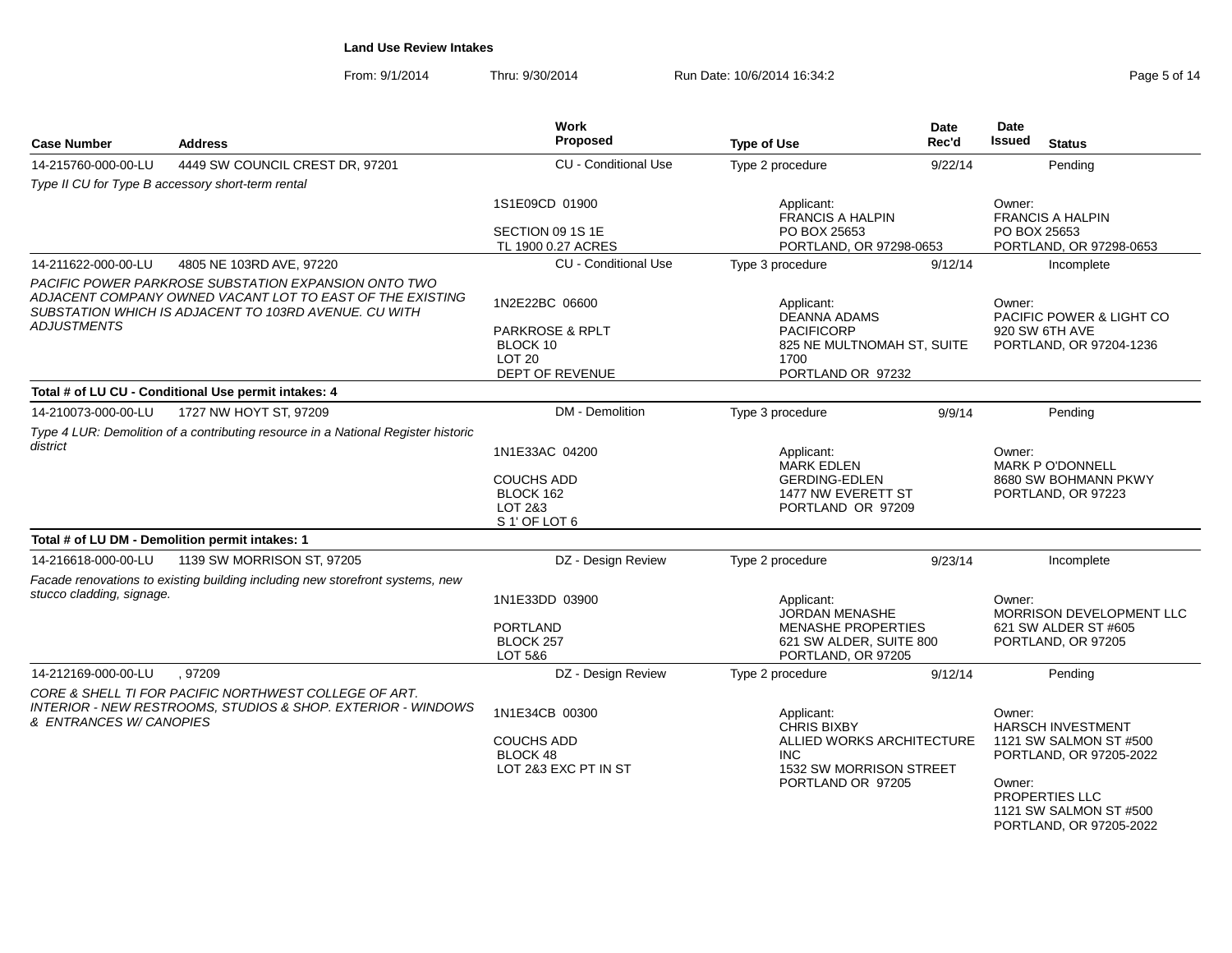From: 9/1/2014Thru: 9/30/2014 **Run Date: 10/6/2014 16:34:2** Page 5 of 14 of 14 of 14 of 14 of 14 of 14 of 14 of 14 of 14 of 14 of 14 of 14 of 14 of 14 of 14 of 14 of 14 of 14 of 14 of 14 of 14 of 14 of 14 of 14 of 14 of 14 of 14 of 14 o

| Page 5 of 14 |  |  |  |  |
|--------------|--|--|--|--|
|--------------|--|--|--|--|

| <b>Address</b>                                                                                                                                                             | Work<br><b>Proposed</b>                                                                                                                                             | <b>Type of Use</b>                                                                                                    | <b>Date</b><br>Rec'd                               | Date<br><b>Issued</b><br><b>Status</b>                                                                                                                                        |  |
|----------------------------------------------------------------------------------------------------------------------------------------------------------------------------|---------------------------------------------------------------------------------------------------------------------------------------------------------------------|-----------------------------------------------------------------------------------------------------------------------|----------------------------------------------------|-------------------------------------------------------------------------------------------------------------------------------------------------------------------------------|--|
| 4449 SW COUNCIL CREST DR, 97201                                                                                                                                            | <b>CU - Conditional Use</b>                                                                                                                                         | Type 2 procedure                                                                                                      | 9/22/14                                            | Pending                                                                                                                                                                       |  |
| Type II CU for Type B accessory short-term rental                                                                                                                          |                                                                                                                                                                     |                                                                                                                       |                                                    |                                                                                                                                                                               |  |
|                                                                                                                                                                            | 1S1E09CD 01900                                                                                                                                                      | Applicant:<br><b>FRANCIS A HALPIN</b>                                                                                 |                                                    | Owner:<br><b>FRANCIS A HALPIN</b>                                                                                                                                             |  |
|                                                                                                                                                                            | SECTION 09 1S 1E<br>TL 1900 0.27 ACRES                                                                                                                              | PO BOX 25653                                                                                                          |                                                    | PO BOX 25653<br>PORTLAND, OR 97298-0653                                                                                                                                       |  |
| 4805 NE 103RD AVE, 97220                                                                                                                                                   | <b>CU - Conditional Use</b>                                                                                                                                         | Type 3 procedure                                                                                                      | 9/12/14                                            | Incomplete                                                                                                                                                                    |  |
| PACIFIC POWER PARKROSE SUBSTATION EXPANSION ONTO TWO<br>ADJACENT COMPANY OWNED VACANT LOT TO EAST OF THE EXISTING<br>SUBSTATION WHICH IS ADJACENT TO 103RD AVENUE. CU WITH | 1N2E22BC 06600<br><b>PARKROSE &amp; RPLT</b><br>BLOCK 10<br>LOT <sub>20</sub>                                                                                       | Applicant:<br><b>DEANNA ADAMS</b><br><b>PACIFICORP</b><br>1700                                                        |                                                    | Owner:<br><b>PACIFIC POWER &amp; LIGHT CO</b><br>920 SW 6TH AVE<br>PORTLAND, OR 97204-1236                                                                                    |  |
|                                                                                                                                                                            |                                                                                                                                                                     |                                                                                                                       |                                                    |                                                                                                                                                                               |  |
|                                                                                                                                                                            |                                                                                                                                                                     |                                                                                                                       |                                                    | Pending                                                                                                                                                                       |  |
|                                                                                                                                                                            |                                                                                                                                                                     |                                                                                                                       |                                                    |                                                                                                                                                                               |  |
|                                                                                                                                                                            | 1N1E33AC 04200<br><b>COUCHS ADD</b><br>BLOCK 162<br>LOT 2&3                                                                                                         | Applicant:<br><b>MARK EDLEN</b><br><b>GERDING-EDLEN</b><br>1477 NW EVERETT ST<br>PORTLAND OR 97209                    |                                                    | Owner:<br>MARK P O'DONNELL<br>8680 SW BOHMANN PKWY<br>PORTLAND, OR 97223                                                                                                      |  |
| Total # of LU DM - Demolition permit intakes: 1                                                                                                                            |                                                                                                                                                                     |                                                                                                                       |                                                    |                                                                                                                                                                               |  |
| 1139 SW MORRISON ST, 97205                                                                                                                                                 |                                                                                                                                                                     |                                                                                                                       |                                                    | Incomplete                                                                                                                                                                    |  |
| Facade renovations to existing building including new storefront systems, new<br>stucco cladding, signage.                                                                 |                                                                                                                                                                     |                                                                                                                       |                                                    | Owner:                                                                                                                                                                        |  |
|                                                                                                                                                                            | <b>PORTLAND</b><br>BLOCK 257<br>LOT 5&6                                                                                                                             | JORDAN MENASHE                                                                                                        |                                                    | MORRISON DEVELOPMENT LLC<br>621 SW ALDER ST #605<br>PORTLAND, OR 97205                                                                                                        |  |
| .97209                                                                                                                                                                     | DZ - Design Review                                                                                                                                                  | Type 2 procedure                                                                                                      | 9/12/14                                            | Pending                                                                                                                                                                       |  |
| CORE & SHELL TI FOR PACIFIC NORTHWEST COLLEGE OF ART.<br><b>INTERIOR - NEW RESTROOMS, STUDIOS &amp; SHOP. EXTERIOR - WINDOWS</b><br>& ENTRANCES W/ CANOPIES                | 1N1E34CB 00300<br><b>COUCHS ADD</b><br>BLOCK 48<br>LOT 2&3 EXC PT IN ST                                                                                             | Applicant:<br><b>CHRIS BIXBY</b><br>ALLIED WORKS ARCHITECTURE<br>INC.<br>1532 SW MORRISON STREET<br>PORTLAND OR 97205 |                                                    | Owner:<br><b>HARSCH INVESTMENT</b><br>1121 SW SALMON ST #500<br>PORTLAND, OR 97205-2022<br>Owner:<br>PROPERTIES LLC<br>1121 SW SALMON ST #500<br>PORTLAND, OR 97205-2022      |  |
|                                                                                                                                                                            | Total # of LU CU - Conditional Use permit intakes: 4<br>1727 NW HOYT ST, 97209<br>Type 4 LUR: Demolition of a contributing resource in a National Register historic | DEPT OF REVENUE<br>DM - Demolition<br>S 1' OF LOT 6<br>DZ - Design Review<br>1N1E33DD 03900                           | Type 3 procedure<br>Type 2 procedure<br>Applicant: | PORTLAND, OR 97298-0653<br>825 NE MULTNOMAH ST, SUITE<br>PORTLAND OR 97232<br>9/9/14<br>9/23/14<br><b>MENASHE PROPERTIES</b><br>621 SW ALDER, SUITE 800<br>PORTLAND, OR 97205 |  |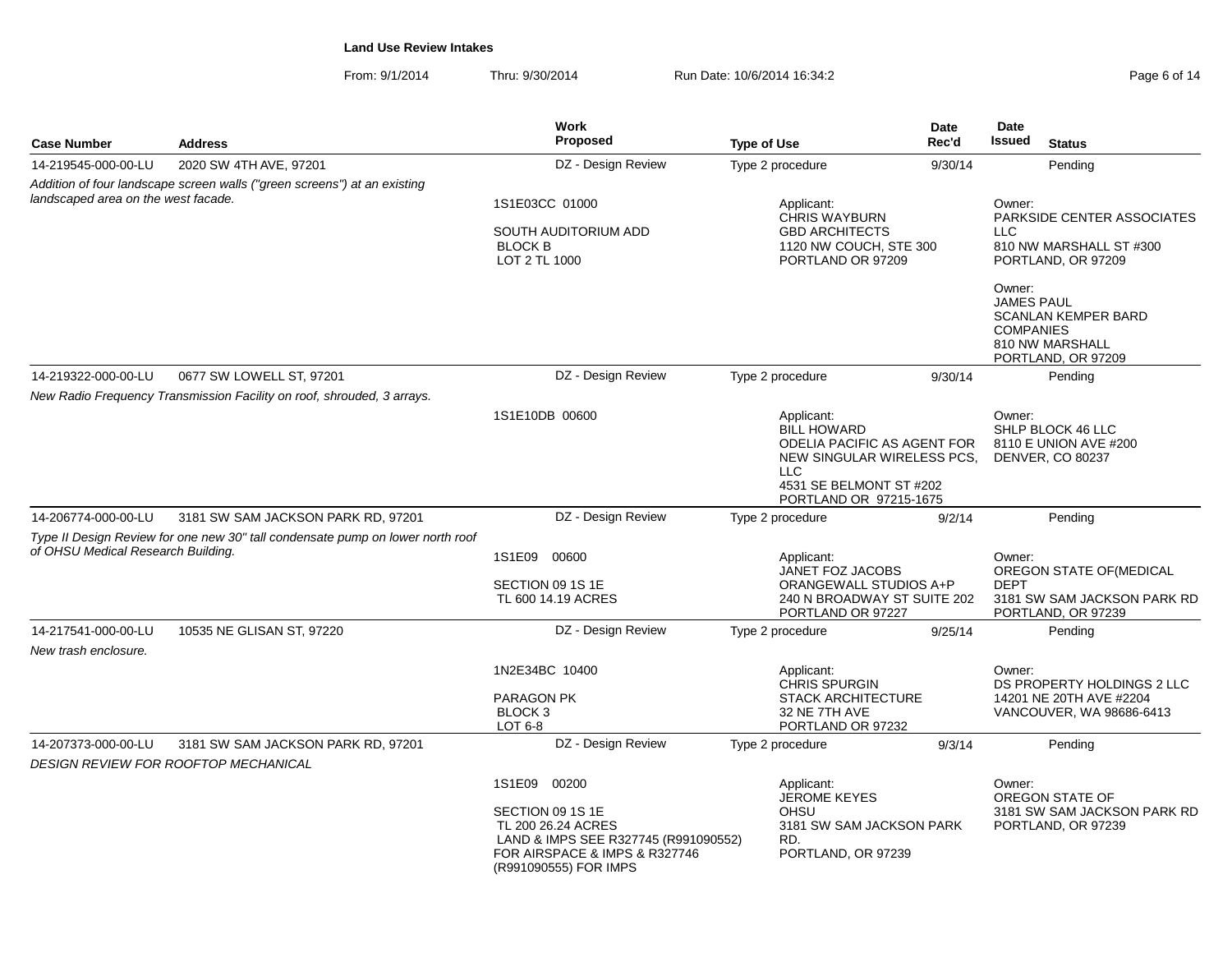From: 9/1/2014Thru: 9/30/2014 **Run Date: 10/6/2014 16:34:2** Page 6 of 14 of 14 of 14 of 14 of 14 of 14 of 14 of 14 of 14 of 14 of 14 of 14 of 14 of 14 of 14 of 14 of 14 of 14 of 14 of 14 of 14 of 14 of 14 of 14 of 14 of 14 of 14 of 14 o

| Page 6 of 14 |  |  |
|--------------|--|--|
|--------------|--|--|

| <b>Case Number</b>                  | <b>Address</b>                                                                 | <b>Work</b><br><b>Proposed</b>                                                                                                           | <b>Type of Use</b> |                                                                                                            | <b>Date</b><br>Rec'd | Date<br>Issued                                  | <b>Status</b>                                                               |
|-------------------------------------|--------------------------------------------------------------------------------|------------------------------------------------------------------------------------------------------------------------------------------|--------------------|------------------------------------------------------------------------------------------------------------|----------------------|-------------------------------------------------|-----------------------------------------------------------------------------|
| 14-219545-000-00-LU                 | 2020 SW 4TH AVE, 97201                                                         | DZ - Design Review                                                                                                                       | Type 2 procedure   |                                                                                                            | 9/30/14              |                                                 | Pending                                                                     |
|                                     | Addition of four landscape screen walls ("green screens") at an existing       |                                                                                                                                          |                    |                                                                                                            |                      |                                                 |                                                                             |
| landscaped area on the west facade. |                                                                                | 1S1E03CC 01000<br>SOUTH AUDITORIUM ADD<br><b>BLOCK B</b><br>LOT 2 TL 1000                                                                |                    | Applicant:<br><b>CHRIS WAYBURN</b><br><b>GBD ARCHITECTS</b><br>1120 NW COUCH, STE 300<br>PORTLAND OR 97209 |                      | Owner:<br>LLC.                                  | PARKSIDE CENTER ASSOCIATES<br>810 NW MARSHALL ST #300<br>PORTLAND, OR 97209 |
|                                     |                                                                                |                                                                                                                                          |                    |                                                                                                            |                      | Owner:<br><b>JAMES PAUL</b><br><b>COMPANIES</b> | <b>SCANLAN KEMPER BARD</b><br>810 NW MARSHALL<br>PORTLAND, OR 97209         |
| 14-219322-000-00-LU                 | 0677 SW LOWELL ST, 97201                                                       | DZ - Design Review                                                                                                                       | Type 2 procedure   |                                                                                                            | 9/30/14              |                                                 | Pending                                                                     |
|                                     | New Radio Frequency Transmission Facility on roof, shrouded, 3 arrays.         |                                                                                                                                          |                    |                                                                                                            |                      |                                                 |                                                                             |
|                                     |                                                                                | 1S1E10DB 00600                                                                                                                           | <b>LLC</b>         | Applicant:<br><b>BILL HOWARD</b><br>ODELIA PACIFIC AS AGENT FOR<br>NEW SINGULAR WIRELESS PCS.              |                      | Owner:                                          | SHLP BLOCK 46 LLC<br>8110 E UNION AVE #200<br><b>DENVER, CO 80237</b>       |
|                                     |                                                                                |                                                                                                                                          |                    | 4531 SE BELMONT ST #202<br>PORTLAND OR 97215-1675                                                          |                      |                                                 |                                                                             |
| 14-206774-000-00-LU                 | 3181 SW SAM JACKSON PARK RD, 97201                                             | DZ - Design Review                                                                                                                       | Type 2 procedure   |                                                                                                            | 9/2/14               |                                                 | Pending                                                                     |
|                                     | Type II Design Review for one new 30" tall condensate pump on lower north roof |                                                                                                                                          |                    |                                                                                                            |                      |                                                 |                                                                             |
| of OHSU Medical Research Building.  |                                                                                | 1S1E09 00600                                                                                                                             |                    | Applicant:<br>JANET FOZ JACOBS                                                                             |                      | Owner:                                          | OREGON STATE OF (MEDICAL                                                    |
|                                     |                                                                                | SECTION 09 1S 1E<br>TL 600 14.19 ACRES                                                                                                   |                    | ORANGEWALL STUDIOS A+P<br>240 N BROADWAY ST SUITE 202<br>PORTLAND OR 97227                                 |                      | <b>DEPT</b>                                     | 3181 SW SAM JACKSON PARK RD<br>PORTLAND, OR 97239                           |
| 14-217541-000-00-LU                 | 10535 NE GLISAN ST, 97220                                                      | DZ - Design Review                                                                                                                       | Type 2 procedure   |                                                                                                            | 9/25/14              |                                                 | Pending                                                                     |
| New trash enclosure.                |                                                                                |                                                                                                                                          |                    |                                                                                                            |                      |                                                 |                                                                             |
|                                     |                                                                                | 1N2E34BC 10400                                                                                                                           |                    | Applicant:<br><b>CHRIS SPURGIN</b>                                                                         |                      | Owner:                                          | DS PROPERTY HOLDINGS 2 LLC                                                  |
|                                     |                                                                                | <b>PARAGON PK</b><br>BLOCK 3<br>LOT $6-8$                                                                                                |                    | <b>STACK ARCHITECTURE</b><br>32 NE 7TH AVE<br>PORTLAND OR 97232                                            |                      |                                                 | 14201 NE 20TH AVE #2204<br>VANCOUVER, WA 98686-6413                         |
| 14-207373-000-00-LU                 | 3181 SW SAM JACKSON PARK RD, 97201                                             | DZ - Design Review                                                                                                                       | Type 2 procedure   |                                                                                                            | 9/3/14               |                                                 | Pending                                                                     |
|                                     | DESIGN REVIEW FOR ROOFTOP MECHANICAL                                           |                                                                                                                                          |                    |                                                                                                            |                      |                                                 |                                                                             |
|                                     |                                                                                | 1S1E09 00200                                                                                                                             |                    | Applicant:<br><b>JEROME KEYES</b>                                                                          |                      | Owner:                                          | OREGON STATE OF                                                             |
|                                     |                                                                                | SECTION 09 1S 1E<br>TL 200 26.24 ACRES<br>LAND & IMPS SEE R327745 (R991090552)<br>FOR AIRSPACE & IMPS & R327746<br>(R991090555) FOR IMPS | RD.                | OHSU<br>3181 SW SAM JACKSON PARK<br>PORTLAND, OR 97239                                                     |                      |                                                 | 3181 SW SAM JACKSON PARK RD<br>PORTLAND, OR 97239                           |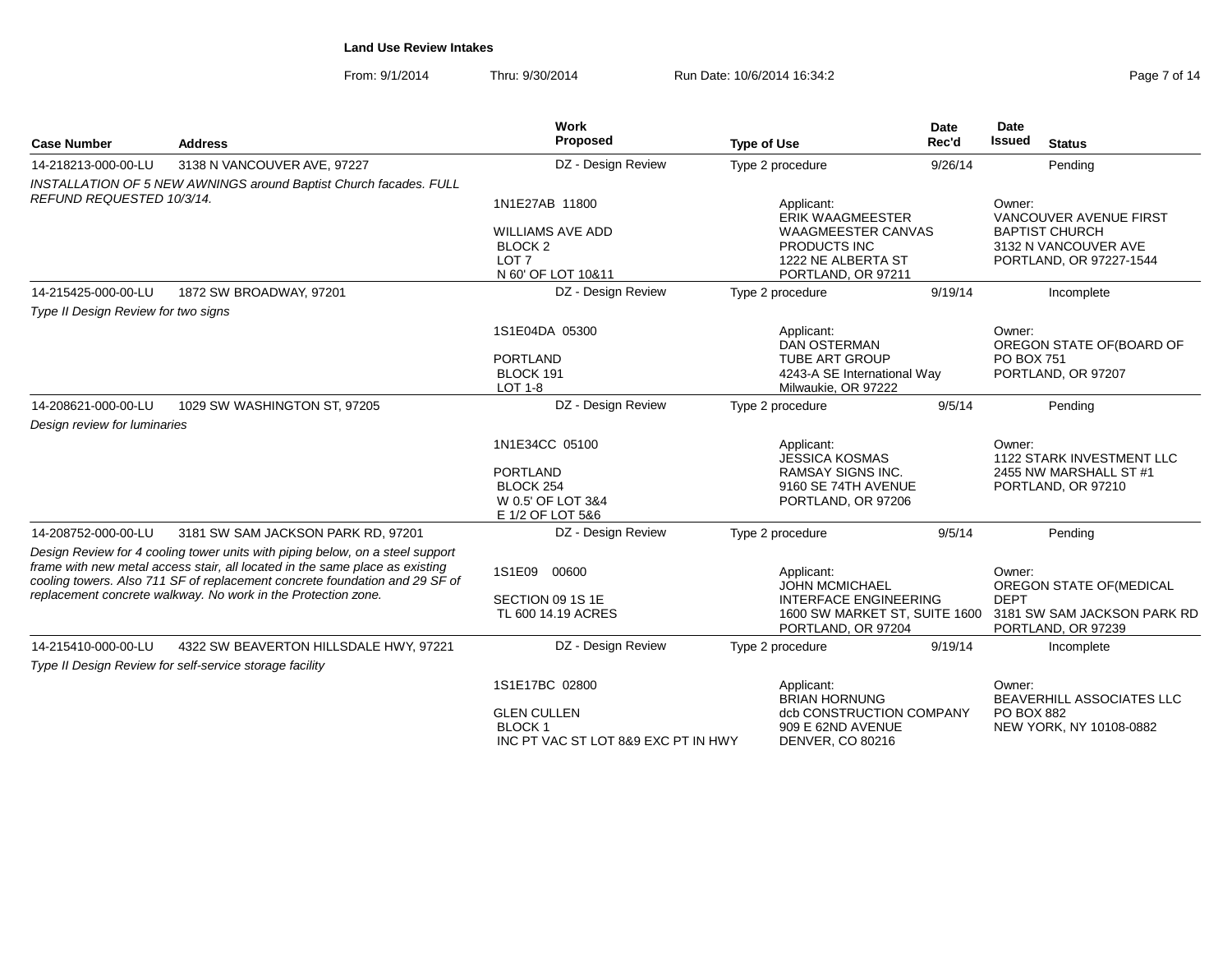From: 9/1/2014Thru: 9/30/2014 **Run Date: 10/6/2014 16:34:2** Page 7 of 14 of 14 of 14 of 14 of 14 of 14 of 14 of 14 of 14 of 14 of 14 of 14 of 14 of 14 of 14 of 14 of 14 of 14 of 14 of 14 of 14 of 14 of 14 of 14 of 14 of 14 of 14 of 14 o

|  | Page 7 of 14 |  |  |  |
|--|--------------|--|--|--|
|--|--------------|--|--|--|

| <b>Case Number</b>                  | <b>Address</b>                                                                                                                                                | Work<br>Proposed                                                                        | <b>Type of Use</b>                                                                    | Date<br>Rec'd | Date<br><b>Issued</b><br><b>Status</b>                                   |
|-------------------------------------|---------------------------------------------------------------------------------------------------------------------------------------------------------------|-----------------------------------------------------------------------------------------|---------------------------------------------------------------------------------------|---------------|--------------------------------------------------------------------------|
| 14-218213-000-00-LU                 | 3138 N VANCOUVER AVE, 97227                                                                                                                                   | DZ - Design Review                                                                      | Type 2 procedure                                                                      | 9/26/14       | Pending                                                                  |
|                                     | <b>INSTALLATION OF 5 NEW AWNINGS around Baptist Church facades. FULL</b>                                                                                      |                                                                                         |                                                                                       |               |                                                                          |
| REFUND REQUESTED 10/3/14.           |                                                                                                                                                               | 1N1E27AB 11800                                                                          | Applicant:<br><b>ERIK WAAGMEESTER</b>                                                 |               | Owner:<br>VANCOUVER AVENUE FIRST                                         |
|                                     |                                                                                                                                                               | <b>WILLIAMS AVE ADD</b><br>BLOCK <sub>2</sub><br>LOT <sub>7</sub><br>N 60' OF LOT 10&11 | <b>WAAGMEESTER CANVAS</b><br>PRODUCTS INC<br>1222 NE ALBERTA ST<br>PORTLAND, OR 97211 |               | <b>BAPTIST CHURCH</b><br>3132 N VANCOUVER AVE<br>PORTLAND, OR 97227-1544 |
| 14-215425-000-00-LU                 | 1872 SW BROADWAY, 97201                                                                                                                                       | DZ - Design Review                                                                      | Type 2 procedure                                                                      | 9/19/14       | Incomplete                                                               |
| Type II Design Review for two signs |                                                                                                                                                               |                                                                                         |                                                                                       |               |                                                                          |
|                                     |                                                                                                                                                               | 1S1E04DA 05300                                                                          | Applicant:<br><b>DAN OSTERMAN</b>                                                     |               | Owner:<br>OREGON STATE OF(BOARD OF                                       |
|                                     |                                                                                                                                                               | <b>PORTLAND</b><br>BLOCK 191<br>LOT 1-8                                                 | <b>TUBE ART GROUP</b><br>4243-A SE International Way<br>Milwaukie, OR 97222           |               | PO BOX 751<br>PORTLAND, OR 97207                                         |
| 14-208621-000-00-LU                 | 1029 SW WASHINGTON ST, 97205                                                                                                                                  | DZ - Design Review                                                                      | Type 2 procedure                                                                      | 9/5/14        | Pending                                                                  |
| Design review for luminaries        |                                                                                                                                                               |                                                                                         |                                                                                       |               |                                                                          |
|                                     |                                                                                                                                                               | 1N1E34CC 05100                                                                          | Applicant:<br><b>JESSICA KOSMAS</b>                                                   |               | Owner:<br>1122 STARK INVESTMENT LLC                                      |
|                                     |                                                                                                                                                               | <b>PORTLAND</b><br>BLOCK 254<br>W 0.5' OF LOT 3&4<br>E 1/2 OF LOT 5&6                   | <b>RAMSAY SIGNS INC.</b><br>9160 SE 74TH AVENUE<br>PORTLAND, OR 97206                 |               | 2455 NW MARSHALL ST #1<br>PORTLAND, OR 97210                             |
| 14-208752-000-00-LU                 | 3181 SW SAM JACKSON PARK RD, 97201                                                                                                                            | DZ - Design Review                                                                      | Type 2 procedure                                                                      | 9/5/14        | Pending                                                                  |
|                                     | Design Review for 4 cooling tower units with piping below, on a steel support<br>frame with new metal access stair, all located in the same place as existing | 1S1E09<br>00600                                                                         | Applicant:                                                                            |               | Owner:                                                                   |
|                                     | cooling towers. Also 711 SF of replacement concrete foundation and 29 SF of                                                                                   |                                                                                         | <b>JOHN MCMICHAEL</b>                                                                 |               | OREGON STATE OF (MEDICAL                                                 |
|                                     | replacement concrete walkway. No work in the Protection zone.                                                                                                 | SECTION 09 1S 1E<br>TL 600 14.19 ACRES                                                  | <b>INTERFACE ENGINEERING</b><br>1600 SW MARKET ST, SUITE 1600<br>PORTLAND, OR 97204   |               | <b>DEPT</b><br>3181 SW SAM JACKSON PARK RD<br>PORTLAND, OR 97239         |
| 14-215410-000-00-LU                 | 4322 SW BEAVERTON HILLSDALE HWY, 97221                                                                                                                        | DZ - Design Review                                                                      | Type 2 procedure                                                                      | 9/19/14       | Incomplete                                                               |
|                                     | Type II Design Review for self-service storage facility                                                                                                       |                                                                                         |                                                                                       |               |                                                                          |
|                                     |                                                                                                                                                               | 1S1E17BC 02800                                                                          | Applicant:<br><b>BRIAN HORNUNG</b>                                                    |               | Owner:<br><b>BEAVERHILL ASSOCIATES LLC</b>                               |
|                                     |                                                                                                                                                               | <b>GLEN CULLEN</b><br><b>BLOCK1</b><br>INC PT VAC ST LOT 8&9 EXC PT IN HWY              | dcb CONSTRUCTION COMPANY<br>909 E 62ND AVENUE<br><b>DENVER, CO 80216</b>              |               | <b>PO BOX 882</b><br>NEW YORK, NY 10108-0882                             |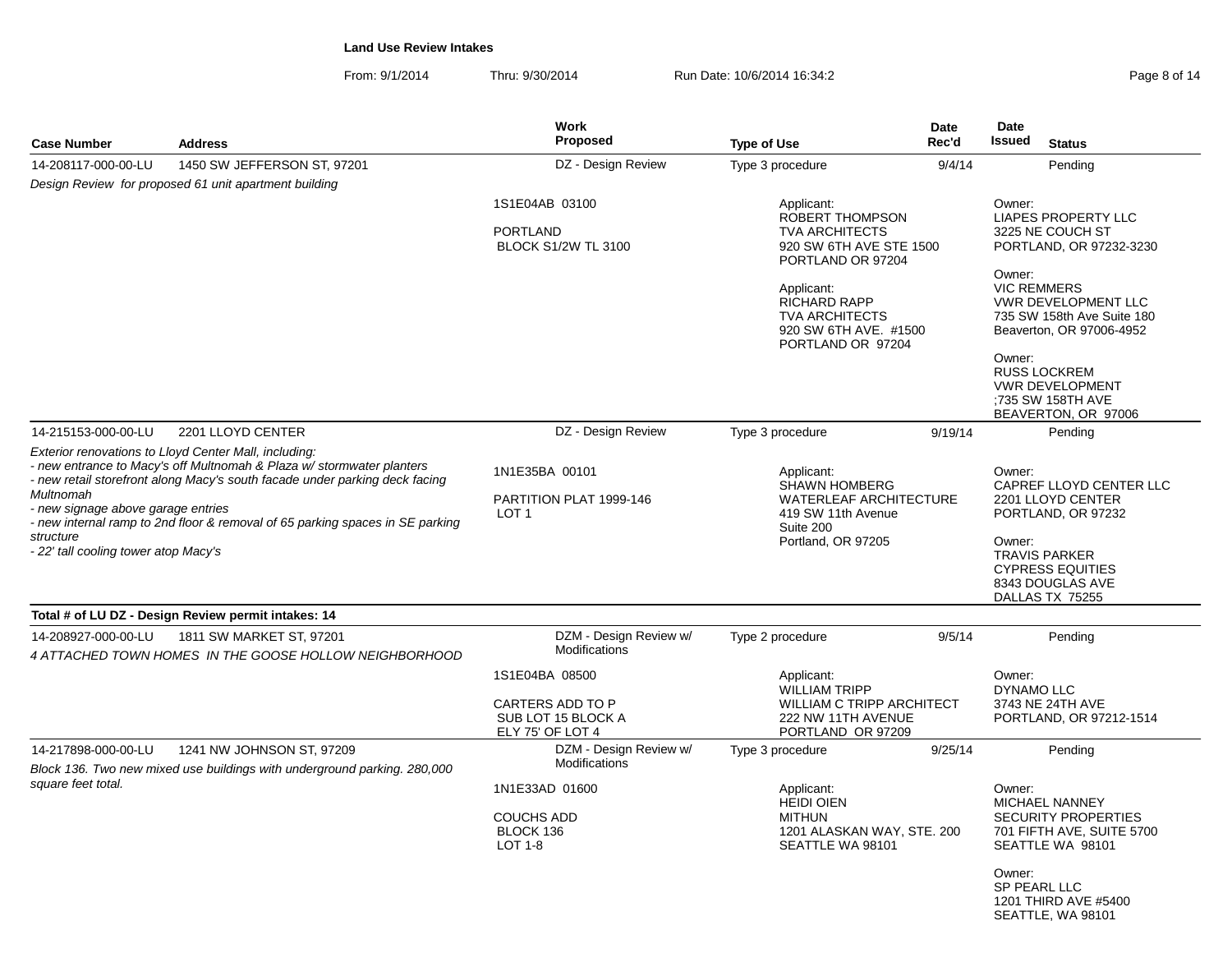From: 9/1/2014Thru: 9/30/2014 **Run Date: 10/6/2014 16:34:2** Page 8 of 14 of 14 of 14 of 14 of 14 of 14 of 14 of 14 of 14 of 14 of 14 of 14 of 14 of 14 of 14 of 14 of 14 of 14 of 14 of 14 of 14 of 14 of 14 of 14 of 14 of 14 of 14 of 14 o

| Page 8 of 14 |  |  |
|--------------|--|--|
|--------------|--|--|

| <b>Case Number</b>                                                                                                                                                                                                                                                                                                                                                                                    | <b>Address</b>                                                                                        | <b>Work</b><br><b>Proposed</b>                                               | <b>Type of Use</b>                                                                                                                                                                                                 | Date<br>Rec'd | <b>Date</b><br><b>Issued</b>                     | <b>Status</b>                                                                                                                                                                                                                    |
|-------------------------------------------------------------------------------------------------------------------------------------------------------------------------------------------------------------------------------------------------------------------------------------------------------------------------------------------------------------------------------------------------------|-------------------------------------------------------------------------------------------------------|------------------------------------------------------------------------------|--------------------------------------------------------------------------------------------------------------------------------------------------------------------------------------------------------------------|---------------|--------------------------------------------------|----------------------------------------------------------------------------------------------------------------------------------------------------------------------------------------------------------------------------------|
| 14-208117-000-00-LU                                                                                                                                                                                                                                                                                                                                                                                   | 1450 SW JEFFERSON ST, 97201                                                                           | DZ - Design Review                                                           | Type 3 procedure                                                                                                                                                                                                   | 9/4/14        |                                                  | Pending                                                                                                                                                                                                                          |
|                                                                                                                                                                                                                                                                                                                                                                                                       | Design Review for proposed 61 unit apartment building                                                 |                                                                              |                                                                                                                                                                                                                    |               |                                                  |                                                                                                                                                                                                                                  |
|                                                                                                                                                                                                                                                                                                                                                                                                       |                                                                                                       | 1S1E04AB 03100<br><b>PORTLAND</b><br><b>BLOCK S1/2W TL 3100</b>              | Applicant:<br>ROBERT THOMPSON<br><b>TVA ARCHITECTS</b><br>920 SW 6TH AVE STE 1500<br>PORTLAND OR 97204<br>Applicant:<br><b>RICHARD RAPP</b><br><b>TVA ARCHITECTS</b><br>920 SW 6TH AVE, #1500<br>PORTLAND OR 97204 |               | Owner:<br>Owner:<br><b>VIC REMMERS</b><br>Owner: | <b>LIAPES PROPERTY LLC</b><br>3225 NE COUCH ST<br>PORTLAND, OR 97232-3230<br>VWR DEVELOPMENT LLC<br>735 SW 158th Ave Suite 180<br>Beaverton, OR 97006-4952<br><b>RUSS LOCKREM</b><br><b>VWR DEVELOPMENT</b><br>:735 SW 158TH AVE |
| 14-215153-000-00-LU                                                                                                                                                                                                                                                                                                                                                                                   | 2201 LLOYD CENTER                                                                                     | DZ - Design Review                                                           | Type 3 procedure                                                                                                                                                                                                   | 9/19/14       |                                                  | BEAVERTON, OR 97006<br>Pending                                                                                                                                                                                                   |
| Exterior renovations to Lloyd Center Mall, including:<br>- new entrance to Macy's off Multnomah & Plaza w/ stormwater planters<br>- new retail storefront along Macy's south facade under parking deck facing<br>Multnomah<br>- new signage above garage entries<br>- new internal ramp to 2nd floor & removal of 65 parking spaces in SE parking<br>structure<br>-22' tall cooling tower atop Macy's |                                                                                                       | 1N1E35BA 00101<br>PARTITION PLAT 1999-146<br>LOT <sub>1</sub>                | Applicant:<br><b>SHAWN HOMBERG</b><br><b>WATERLEAF ARCHITECTURE</b><br>419 SW 11th Avenue<br>Suite 200<br>Portland, OR 97205                                                                                       |               | Owner:<br>Owner:                                 | CAPREF LLOYD CENTER LLC<br>2201 LLOYD CENTER<br>PORTLAND, OR 97232<br><b>TRAVIS PARKER</b><br><b>CYPRESS EQUITIES</b><br>8343 DOUGLAS AVE<br>DALLAS TX 75255                                                                     |
|                                                                                                                                                                                                                                                                                                                                                                                                       | Total # of LU DZ - Design Review permit intakes: 14                                                   |                                                                              |                                                                                                                                                                                                                    |               |                                                  |                                                                                                                                                                                                                                  |
| 14-208927-000-00-LU                                                                                                                                                                                                                                                                                                                                                                                   | 1811 SW MARKET ST, 97201<br>4 ATTACHED TOWN HOMES IN THE GOOSE HOLLOW NEIGHBORHOOD                    | DZM - Design Review w/<br>Modifications                                      | Type 2 procedure                                                                                                                                                                                                   | 9/5/14        |                                                  | Pending                                                                                                                                                                                                                          |
|                                                                                                                                                                                                                                                                                                                                                                                                       |                                                                                                       | 1S1E04BA 08500<br>CARTERS ADD TO P<br>SUB LOT 15 BLOCK A<br>ELY 75' OF LOT 4 | Applicant:<br><b>WILLIAM TRIPP</b><br><b>WILLIAM C TRIPP ARCHITECT</b><br>222 NW 11TH AVENUE<br>PORTLAND OR 97209                                                                                                  |               | Owner:<br><b>DYNAMO LLC</b>                      | 3743 NE 24TH AVE<br>PORTLAND, OR 97212-1514                                                                                                                                                                                      |
| 14-217898-000-00-LU                                                                                                                                                                                                                                                                                                                                                                                   | 1241 NW JOHNSON ST, 97209<br>Block 136. Two new mixed use buildings with underground parking. 280,000 | DZM - Design Review w/<br><b>Modifications</b>                               | Type 3 procedure                                                                                                                                                                                                   | 9/25/14       |                                                  | Pending                                                                                                                                                                                                                          |
| square feet total.                                                                                                                                                                                                                                                                                                                                                                                    |                                                                                                       | 1N1E33AD 01600<br><b>COUCHS ADD</b><br>BLOCK 136<br>LOT 1-8                  | Applicant:<br><b>HEIDI OIEN</b><br><b>MITHUN</b><br>1201 ALASKAN WAY, STE. 200<br>SEATTLE WA 98101                                                                                                                 |               | Owner:<br>Owner:<br>SP PEARL LLC                 | <b>MICHAEL NANNEY</b><br><b>SECURITY PROPERTIES</b><br>701 FIFTH AVE, SUITE 5700<br>SEATTLE WA 98101<br>1201 THIRD AVE #5400<br>SEATTLE, WA 98101                                                                                |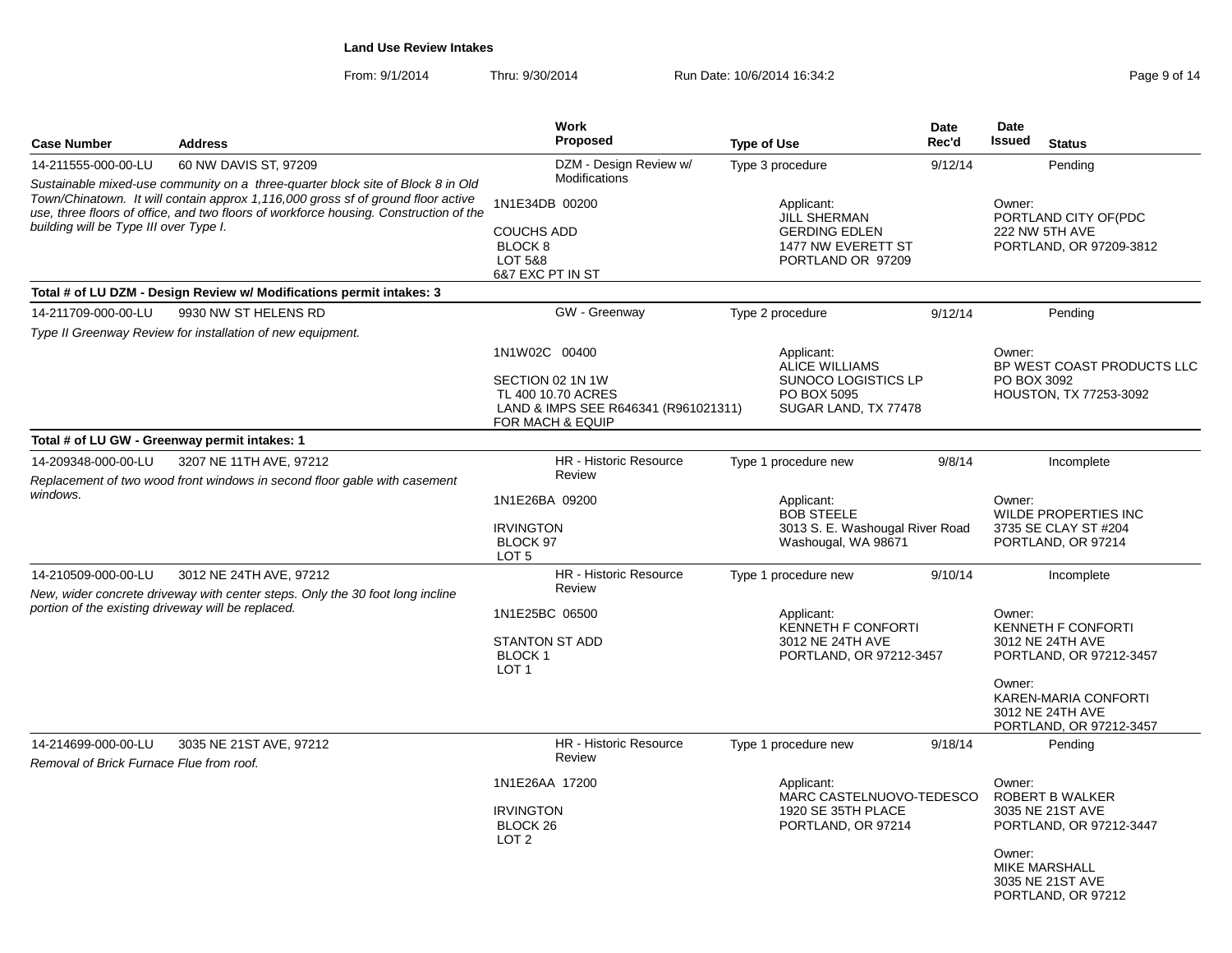From: 9/1/2014Thru: 9/30/2014 Run Date: 10/6/2014 16:34:2<br>
Run Date: 10/6/2014 16:34:2

| <b>Case Number</b>                                                                                                                                                                                                  | <b>Address</b>                                                                                           | Work<br><b>Proposed</b>                                                                                                                                                                   | <b>Type of Use</b>                                                                         | Date<br>Rec'd                                 | Date<br><b>Issued</b>                                                       | <b>Status</b>                                                                                                                                   |
|---------------------------------------------------------------------------------------------------------------------------------------------------------------------------------------------------------------------|----------------------------------------------------------------------------------------------------------|-------------------------------------------------------------------------------------------------------------------------------------------------------------------------------------------|--------------------------------------------------------------------------------------------|-----------------------------------------------|-----------------------------------------------------------------------------|-------------------------------------------------------------------------------------------------------------------------------------------------|
| 14-211555-000-00-LU                                                                                                                                                                                                 | 60 NW DAVIS ST, 97209                                                                                    | DZM - Design Review w/                                                                                                                                                                    | Type 3 procedure                                                                           | 9/12/14                                       |                                                                             | Pending                                                                                                                                         |
|                                                                                                                                                                                                                     | Sustainable mixed-use community on a three-quarter block site of Block 8 in Old                          | Modifications                                                                                                                                                                             |                                                                                            |                                               |                                                                             |                                                                                                                                                 |
| Town/Chinatown. It will contain approx 1,116,000 gross sf of ground floor active<br>use, three floors of office, and two floors of workforce housing. Construction of the<br>building will be Type III over Type I. |                                                                                                          | 1N1E34DB 00200<br>Applicant:<br><b>JILL SHERMAN</b><br>COUCHS ADD<br><b>GERDING EDLEN</b><br>BLOCK <sub>8</sub><br>1477 NW EVERETT ST<br>LOT 5&8<br>PORTLAND OR 97209<br>6&7 EXC PT IN ST |                                                                                            |                                               | Owner:<br>PORTLAND CITY OF(PDC<br>222 NW 5TH AVE<br>PORTLAND, OR 97209-3812 |                                                                                                                                                 |
|                                                                                                                                                                                                                     | Total # of LU DZM - Design Review w/ Modifications permit intakes: 3                                     |                                                                                                                                                                                           |                                                                                            |                                               |                                                                             |                                                                                                                                                 |
| 14-211709-000-00-LU                                                                                                                                                                                                 | 9930 NW ST HELENS RD                                                                                     | GW - Greenway                                                                                                                                                                             | Type 2 procedure                                                                           | 9/12/14                                       |                                                                             | Pending                                                                                                                                         |
|                                                                                                                                                                                                                     | Type II Greenway Review for installation of new equipment.                                               |                                                                                                                                                                                           |                                                                                            |                                               |                                                                             |                                                                                                                                                 |
|                                                                                                                                                                                                                     |                                                                                                          | 1N1W02C 00400<br>SECTION 02 1N 1W<br>TL 400 10.70 ACRES<br>LAND & IMPS SEE R646341 (R961021311)<br>FOR MACH & EQUIP                                                                       | Applicant:<br>ALICE WILLIAMS<br>SUNOCO LOGISTICS LP<br>PO BOX 5095<br>SUGAR LAND, TX 77478 |                                               | Owner:<br>PO BOX 3092                                                       | BP WEST COAST PRODUCTS LLC<br>HOUSTON, TX 77253-3092                                                                                            |
|                                                                                                                                                                                                                     | Total # of LU GW - Greenway permit intakes: 1                                                            |                                                                                                                                                                                           |                                                                                            |                                               |                                                                             |                                                                                                                                                 |
| 14-209348-000-00-LU                                                                                                                                                                                                 | 3207 NE 11TH AVE, 97212                                                                                  | <b>HR</b> - Historic Resource                                                                                                                                                             | Type 1 procedure new                                                                       | 9/8/14                                        |                                                                             | Incomplete                                                                                                                                      |
| Replacement of two wood front windows in second floor gable with casement                                                                                                                                           |                                                                                                          | Review                                                                                                                                                                                    |                                                                                            |                                               |                                                                             |                                                                                                                                                 |
| windows.                                                                                                                                                                                                            |                                                                                                          | 1N1E26BA 09200<br><b>IRVINGTON</b><br>BLOCK 97<br>LOT <sub>5</sub>                                                                                                                        | Applicant:<br><b>BOB STEELE</b><br>3013 S. E. Washougal River Road<br>Washougal, WA 98671  |                                               | Owner:                                                                      | WILDE PROPERTIES INC<br>3735 SE CLAY ST #204<br>PORTLAND, OR 97214                                                                              |
| 14-210509-000-00-LU                                                                                                                                                                                                 | 3012 NE 24TH AVE, 97212<br>New, wider concrete driveway with center steps. Only the 30 foot long incline | HR - Historic Resource<br>Review                                                                                                                                                          | Type 1 procedure new                                                                       | 9/10/14                                       |                                                                             | Incomplete                                                                                                                                      |
|                                                                                                                                                                                                                     | portion of the existing driveway will be replaced.                                                       | 1N1E25BC 06500<br><b>STANTON ST ADD</b><br>BLOCK <sub>1</sub><br>LOT <sub>1</sub>                                                                                                         | Applicant:<br>3012 NE 24TH AVE                                                             | KENNETH F CONFORTI<br>PORTLAND, OR 97212-3457 |                                                                             | <b>KENNETH F CONFORTI</b><br>3012 NE 24TH AVE<br>PORTLAND, OR 97212-3457<br>KAREN-MARIA CONFORTI<br>3012 NE 24TH AVE<br>PORTLAND, OR 97212-3457 |
| 14-214699-000-00-LU<br>Removal of Brick Furnace Flue from roof.                                                                                                                                                     | 3035 NE 21ST AVE, 97212                                                                                  | HR - Historic Resource<br>Review                                                                                                                                                          | Type 1 procedure new                                                                       | 9/18/14                                       |                                                                             | Pending                                                                                                                                         |
|                                                                                                                                                                                                                     |                                                                                                          | 1N1E26AA 17200<br><b>IRVINGTON</b><br>BLOCK <sub>26</sub><br>LOT <sub>2</sub>                                                                                                             | Applicant:<br>MARC CASTELNUOVO-TEDESCO<br>1920 SE 35TH PLACE<br>PORTLAND, OR 97214         |                                               | Owner:<br>Owner:                                                            | <b>ROBERT B WALKER</b><br>3035 NE 21ST AVE<br>PORTLAND, OR 97212-3447<br><b>MIKE MARSHALL</b><br>3035 NE 21ST AVE<br>PORTLAND, OR 97212         |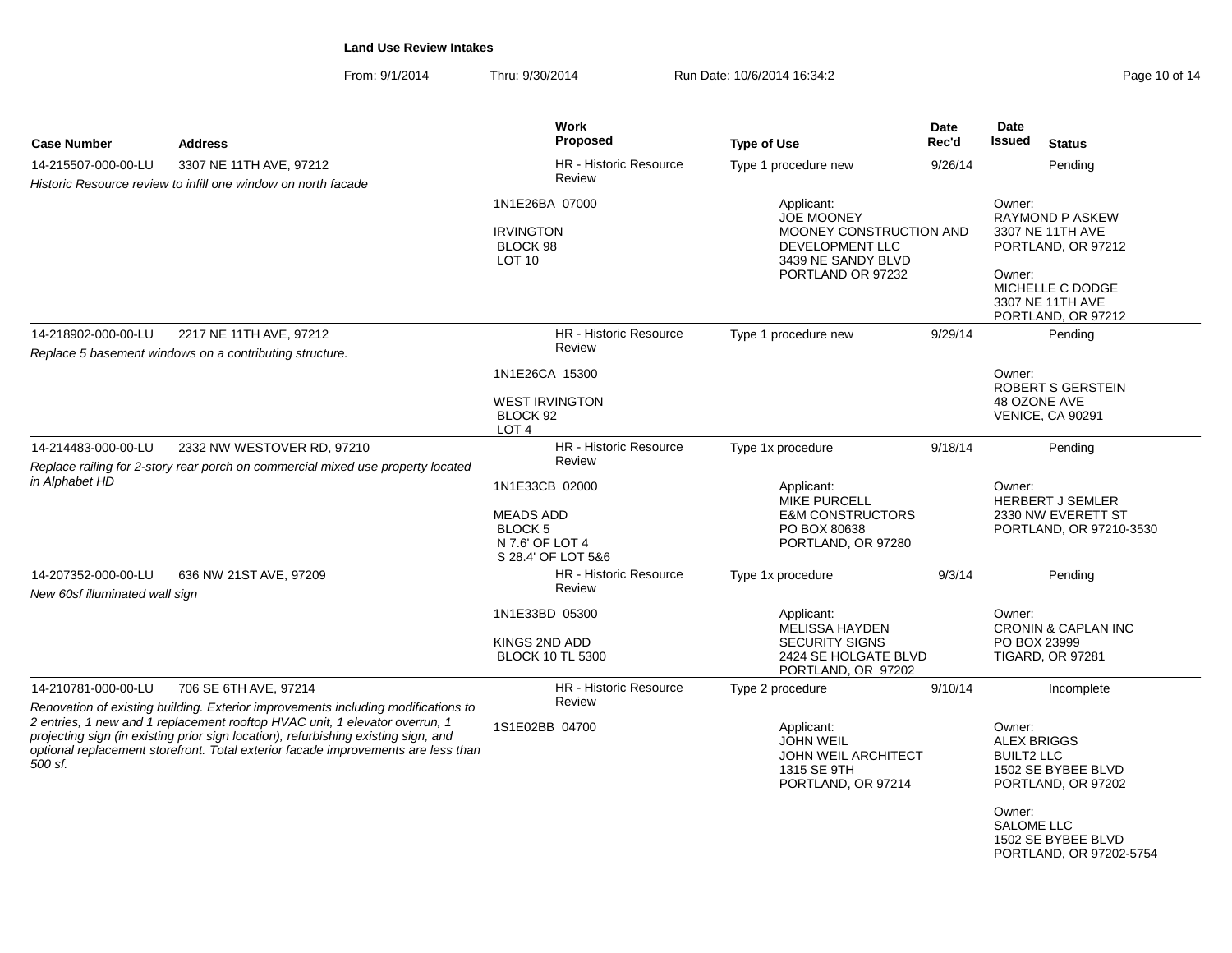From: 9/1/2014Thru: 9/30/2014 Run Date: 10/6/2014 16:34:2<br>
Page 10 of 14

| <b>Case Number</b>                                                              | <b>Address</b>                                                                                                                                                                                                                                                                                                                              | Work<br><b>Proposed</b>                                                                      | <b>Type of Use</b>                                                                                                              | Date<br>Rec'd | Date<br><b>Issued</b><br><b>Status</b>                                                                                                  |
|---------------------------------------------------------------------------------|---------------------------------------------------------------------------------------------------------------------------------------------------------------------------------------------------------------------------------------------------------------------------------------------------------------------------------------------|----------------------------------------------------------------------------------------------|---------------------------------------------------------------------------------------------------------------------------------|---------------|-----------------------------------------------------------------------------------------------------------------------------------------|
| 14-215507-000-00-LU                                                             | 3307 NE 11TH AVE, 97212                                                                                                                                                                                                                                                                                                                     | HR - Historic Resource                                                                       | Type 1 procedure new                                                                                                            | 9/26/14       | Pending                                                                                                                                 |
|                                                                                 | Historic Resource review to infill one window on north facade                                                                                                                                                                                                                                                                               | Review                                                                                       |                                                                                                                                 |               |                                                                                                                                         |
|                                                                                 |                                                                                                                                                                                                                                                                                                                                             | 1N1E26BA 07000<br><b>IRVINGTON</b><br>BLOCK 98<br>LOT <sub>10</sub>                          | Applicant:<br><b>JOE MOONEY</b><br>MOONEY CONSTRUCTION AND<br><b>DEVELOPMENT LLC</b><br>3439 NE SANDY BLVD<br>PORTLAND OR 97232 |               | Owner:<br><b>RAYMOND P ASKEW</b><br>3307 NE 11TH AVE<br>PORTLAND, OR 97212<br>Owner:<br>MICHELLE C DODGE                                |
|                                                                                 |                                                                                                                                                                                                                                                                                                                                             |                                                                                              |                                                                                                                                 |               | 3307 NE 11TH AVE<br>PORTLAND, OR 97212                                                                                                  |
| 14-218902-000-00-LU                                                             | 2217 NE 11TH AVE, 97212<br>Replace 5 basement windows on a contributing structure.                                                                                                                                                                                                                                                          | <b>HR</b> - Historic Resource<br>Review                                                      | Type 1 procedure new                                                                                                            | 9/29/14       | Pending                                                                                                                                 |
|                                                                                 |                                                                                                                                                                                                                                                                                                                                             | 1N1E26CA 15300                                                                               |                                                                                                                                 |               | Owner:<br>ROBERT S GERSTEIN                                                                                                             |
|                                                                                 |                                                                                                                                                                                                                                                                                                                                             | <b>WEST IRVINGTON</b><br>BLOCK 92<br>LOT <sub>4</sub>                                        |                                                                                                                                 |               | 48 OZONE AVE<br><b>VENICE, CA 90291</b>                                                                                                 |
| 14-214483-000-00-LU                                                             | 2332 NW WESTOVER RD, 97210                                                                                                                                                                                                                                                                                                                  | <b>HR</b> - Historic Resource                                                                | Type 1x procedure                                                                                                               | 9/18/14       | Pending                                                                                                                                 |
| Replace railing for 2-story rear porch on commercial mixed use property located |                                                                                                                                                                                                                                                                                                                                             | Review                                                                                       |                                                                                                                                 |               |                                                                                                                                         |
| in Alphabet HD                                                                  |                                                                                                                                                                                                                                                                                                                                             | 1N1E33CB 02000<br><b>MEADS ADD</b><br><b>BLOCK5</b><br>N 7.6' OF LOT 4<br>S 28.4' OF LOT 5&6 | Applicant:<br><b>MIKE PURCELL</b><br><b>E&amp;M CONSTRUCTORS</b><br>PO BOX 80638<br>PORTLAND, OR 97280                          |               | Owner:<br><b>HERBERT J SEMLER</b><br>2330 NW EVERETT ST<br>PORTLAND, OR 97210-3530                                                      |
| 14-207352-000-00-LU<br>New 60sf illuminated wall sign                           | 636 NW 21ST AVE, 97209                                                                                                                                                                                                                                                                                                                      | HR - Historic Resource<br>Review                                                             | Type 1x procedure                                                                                                               | 9/3/14        | Pending                                                                                                                                 |
|                                                                                 |                                                                                                                                                                                                                                                                                                                                             | 1N1E33BD 05300<br>KINGS 2ND ADD<br><b>BLOCK 10 TL 5300</b>                                   | Applicant:<br>MELISSA HAYDEN<br><b>SECURITY SIGNS</b><br>2424 SE HOLGATE BLVD<br>PORTLAND, OR 97202                             |               | Owner:<br><b>CRONIN &amp; CAPLAN INC</b><br>PO BOX 23999<br><b>TIGARD, OR 97281</b>                                                     |
| 14-210781-000-00-LU                                                             | 706 SE 6TH AVE, 97214                                                                                                                                                                                                                                                                                                                       | HR - Historic Resource                                                                       | Type 2 procedure                                                                                                                | 9/10/14       | Incomplete                                                                                                                              |
| 500 sf.                                                                         | Renovation of existing building. Exterior improvements including modifications to<br>2 entries, 1 new and 1 replacement rooftop HVAC unit, 1 elevator overrun, 1<br>projecting sign (in existing prior sign location), refurbishing existing sign, and<br>optional replacement storefront. Total exterior facade improvements are less than | Review<br>1S1E02BB 04700                                                                     | Applicant:<br><b>JOHN WEIL</b><br>JOHN WEIL ARCHITECT<br>1315 SE 9TH<br>PORTLAND, OR 97214                                      |               | Owner:<br><b>ALEX BRIGGS</b><br><b>BUILT2 LLC</b><br>1502 SE BYBEE BLVD<br>PORTLAND, OR 97202<br>Owner:<br><b>SALOME LLC</b><br>$    -$ |

 1502 SE BYBEE BLVDPORTLAND, OR 97202-5754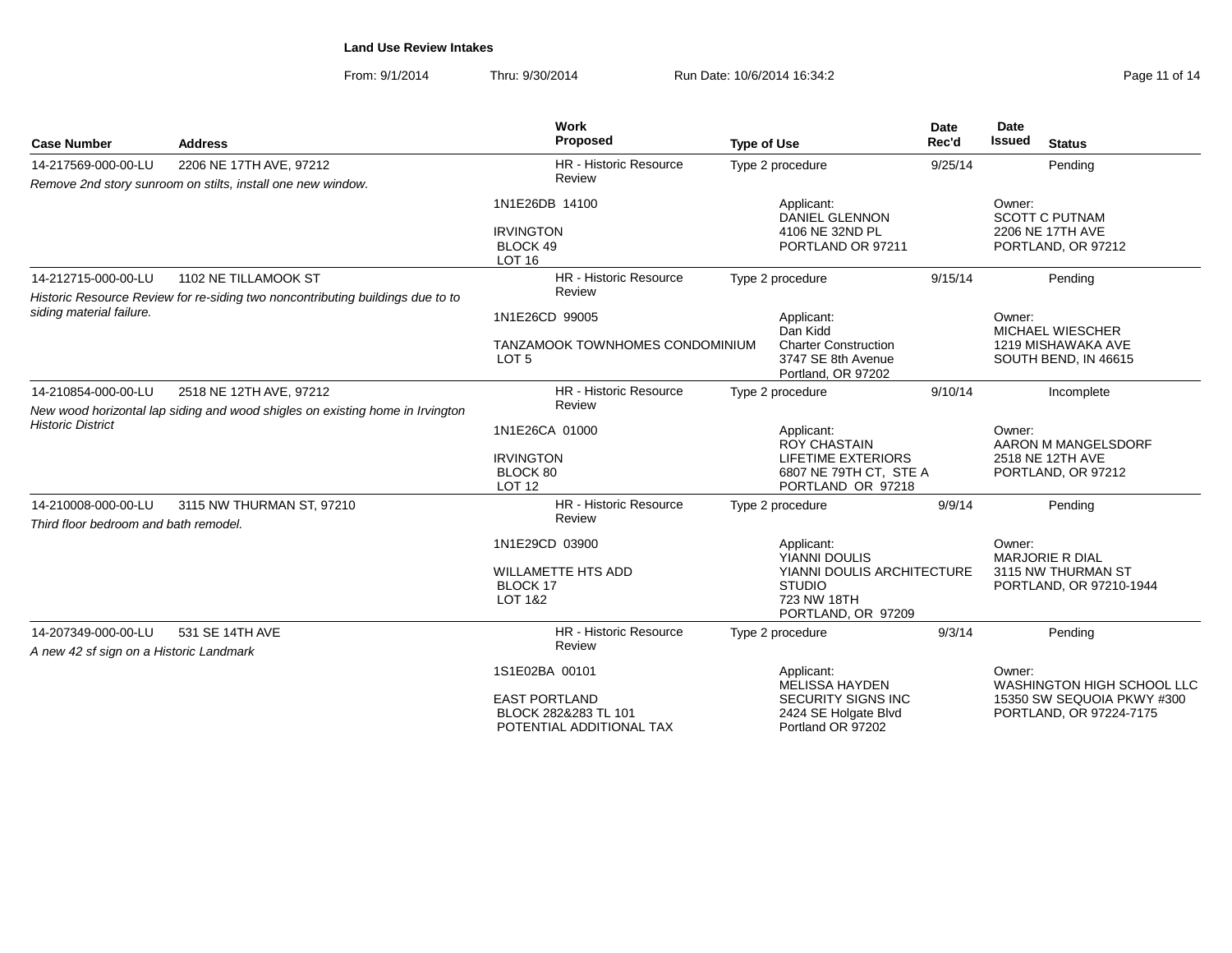From: 9/1/2014Thru: 9/30/2014 Run Date: 10/6/2014 16:34:2<br>
Run Date: 10/6/2014 16:34:2

| <b>Case Number</b>                                             | <b>Address</b>                                                                 | Work<br>Proposed                                                                           | <b>Type of Use</b> |                                                                                                                 | <b>Date</b><br>Rec'd | Date<br><b>Issued</b> | <b>Status</b>                                                                       |
|----------------------------------------------------------------|--------------------------------------------------------------------------------|--------------------------------------------------------------------------------------------|--------------------|-----------------------------------------------------------------------------------------------------------------|----------------------|-----------------------|-------------------------------------------------------------------------------------|
| 14-217569-000-00-LU                                            | 2206 NE 17TH AVE, 97212                                                        | <b>HR</b> - Historic Resource                                                              |                    | Type 2 procedure                                                                                                | 9/25/14              |                       | Pending                                                                             |
|                                                                | Remove 2nd story sunroom on stilts, install one new window.                    | Review                                                                                     |                    |                                                                                                                 |                      |                       |                                                                                     |
|                                                                |                                                                                | 1N1E26DB 14100<br><b>IRVINGTON</b><br>BLOCK 49<br><b>LOT 16</b>                            |                    | Applicant:<br><b>DANIEL GLENNON</b><br>4106 NE 32ND PL<br>PORTLAND OR 97211                                     |                      | Owner:                | <b>SCOTT C PUTNAM</b><br>2206 NE 17TH AVE<br>PORTLAND, OR 97212                     |
| 14-212715-000-00-LU                                            | 1102 NE TILLAMOOK ST                                                           | <b>HR</b> - Historic Resource                                                              |                    | Type 2 procedure                                                                                                | 9/15/14              |                       | Pending                                                                             |
|                                                                | Historic Resource Review for re-siding two noncontributing buildings due to to | Review                                                                                     |                    |                                                                                                                 |                      |                       |                                                                                     |
| siding material failure.                                       |                                                                                | 1N1E26CD 99005<br>TANZAMOOK TOWNHOMES CONDOMINIUM<br>LOT <sub>5</sub>                      |                    | Applicant:<br>Dan Kidd<br><b>Charter Construction</b><br>3747 SE 8th Avenue<br>Portland, OR 97202               |                      | Owner:                | MICHAEL WIESCHER<br>1219 MISHAWAKA AVE<br>SOUTH BEND, IN 46615                      |
| 14-210854-000-00-LU                                            | 2518 NE 12TH AVE, 97212                                                        | <b>HR</b> - Historic Resource                                                              |                    | Type 2 procedure                                                                                                | 9/10/14              |                       | Incomplete                                                                          |
| <b>Historic District</b>                                       | New wood horizontal lap siding and wood shigles on existing home in Irvington  | Review<br>1N1E26CA 01000<br><b>IRVINGTON</b><br>BLOCK 80<br><b>LOT 12</b>                  |                    | Applicant:<br><b>ROY CHASTAIN</b><br><b>LIFETIME EXTERIORS</b><br>6807 NE 79TH CT, STE A<br>PORTLAND OR 97218   |                      | Owner:                | AARON M MANGELSDORF<br>2518 NE 12TH AVE<br>PORTLAND, OR 97212                       |
| 14-210008-000-00-LU<br>Third floor bedroom and bath remodel.   | 3115 NW THURMAN ST, 97210                                                      | <b>HR</b> - Historic Resource<br>Review                                                    |                    | Type 2 procedure                                                                                                | 9/9/14               |                       | Pending                                                                             |
|                                                                |                                                                                | 1N1E29CD 03900<br><b>WILLAMETTE HTS ADD</b><br>BLOCK 17<br>LOT 1&2                         |                    | Applicant:<br>YIANNI DOULIS<br>YIANNI DOULIS ARCHITECTURE<br><b>STUDIO</b><br>723 NW 18TH<br>PORTLAND, OR 97209 |                      | Owner:                | MARJORIE R DIAL<br>3115 NW THURMAN ST<br>PORTLAND, OR 97210-1944                    |
| 14-207349-000-00-LU<br>A new 42 sf sign on a Historic Landmark | 531 SE 14TH AVE                                                                | <b>HR</b> - Historic Resource<br>Review                                                    |                    | Type 2 procedure                                                                                                | 9/3/14               |                       | Pending                                                                             |
|                                                                |                                                                                | 1S1E02BA 00101<br><b>EAST PORTLAND</b><br>BLOCK 282&283 TL 101<br>POTENTIAL ADDITIONAL TAX |                    | Applicant:<br>MELISSA HAYDEN<br><b>SECURITY SIGNS INC</b><br>2424 SE Holgate Blvd<br>Portland OR 97202          |                      | Owner:                | WASHINGTON HIGH SCHOOL LLC<br>15350 SW SEQUOIA PKWY #300<br>PORTLAND, OR 97224-7175 |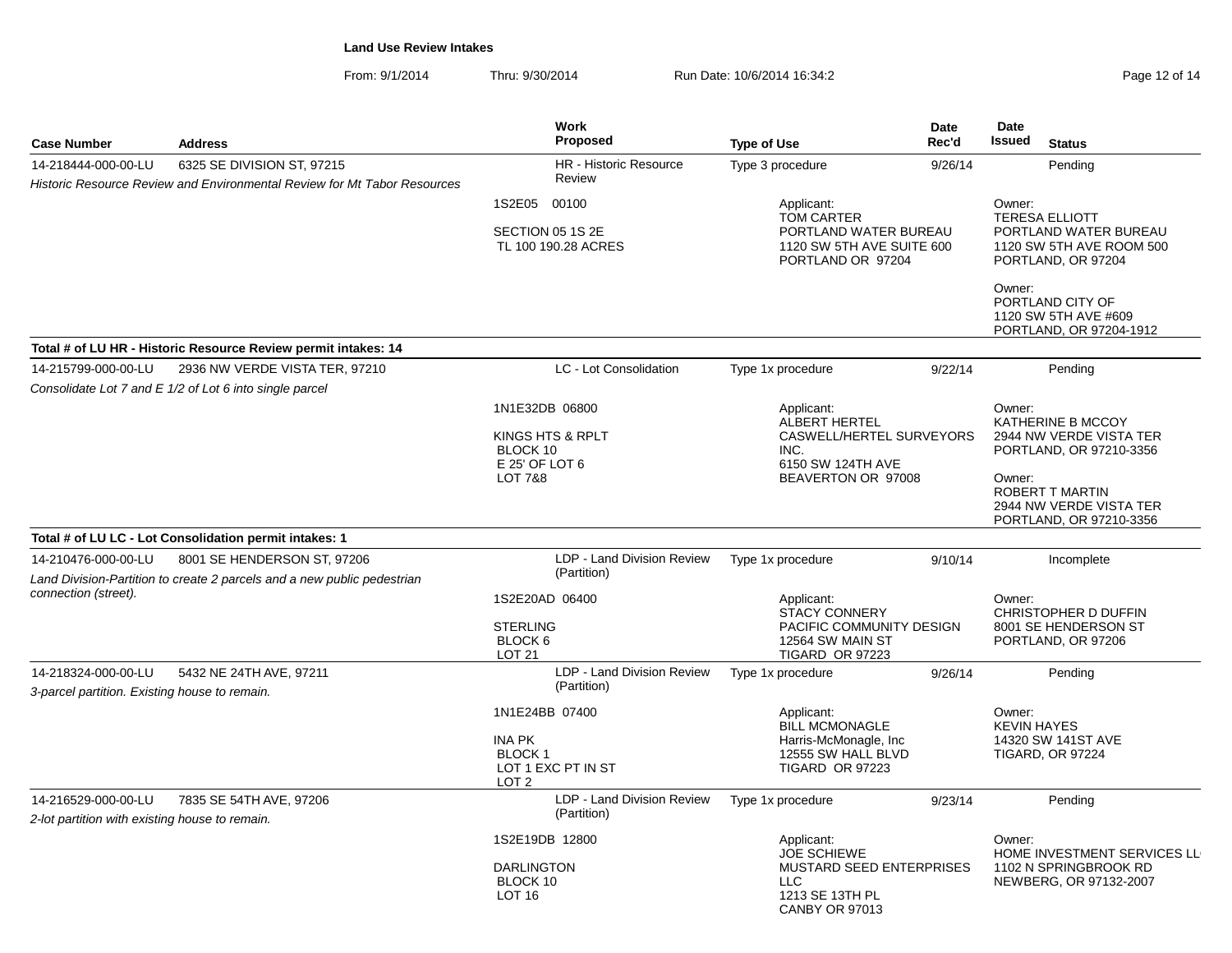From: 9/1/2014Thru: 9/30/2014 Run Date: 10/6/2014 16:34:2<br>
Run Date: 10/6/2014 16:34:2

| <b>Case Number</b>                                                    | <b>Address</b>                                                                                         | <b>Work</b><br>Proposed                                                                | <b>Type of Use</b>                                                                                                     | Date<br>Rec'd | Date<br><b>Issued</b><br><b>Status</b>                                                                                                                               |
|-----------------------------------------------------------------------|--------------------------------------------------------------------------------------------------------|----------------------------------------------------------------------------------------|------------------------------------------------------------------------------------------------------------------------|---------------|----------------------------------------------------------------------------------------------------------------------------------------------------------------------|
| 14-218444-000-00-LU                                                   | 6325 SE DIVISION ST, 97215                                                                             | HR - Historic Resource                                                                 | Type 3 procedure                                                                                                       | 9/26/14       | Pending                                                                                                                                                              |
|                                                                       | Historic Resource Review and Environmental Review for Mt Tabor Resources                               | Review                                                                                 |                                                                                                                        |               |                                                                                                                                                                      |
|                                                                       |                                                                                                        | 1S2E05 00100<br>SECTION 05 1S 2E<br>TL 100 190.28 ACRES                                | Applicant:<br><b>TOM CARTER</b><br>PORTLAND WATER BUREAU<br>1120 SW 5TH AVE SUITE 600<br>PORTLAND OR 97204             |               | Owner:<br><b>TERESA ELLIOTT</b><br>PORTLAND WATER BUREAU<br>1120 SW 5TH AVE ROOM 500<br>PORTLAND, OR 97204                                                           |
|                                                                       |                                                                                                        |                                                                                        |                                                                                                                        |               | Owner:<br>PORTLAND CITY OF<br>1120 SW 5TH AVE #609<br>PORTLAND, OR 97204-1912                                                                                        |
|                                                                       | Total # of LU HR - Historic Resource Review permit intakes: 14                                         |                                                                                        |                                                                                                                        |               |                                                                                                                                                                      |
| 14-215799-000-00-LU                                                   | 2936 NW VERDE VISTA TER, 97210<br>Consolidate Lot 7 and E 1/2 of Lot 6 into single parcel              | LC - Lot Consolidation                                                                 | Type 1x procedure                                                                                                      | 9/22/14       | Pending                                                                                                                                                              |
|                                                                       |                                                                                                        | 1N1E32DB 06800<br>KINGS HTS & RPLT<br>BLOCK 10<br>E 25' OF LOT 6<br><b>LOT 7&amp;8</b> | Applicant:<br>ALBERT HERTEL<br>CASWELL/HERTEL SURVEYORS<br>INC.<br>6150 SW 124TH AVE<br>BEAVERTON OR 97008             |               | Owner:<br>KATHERINE B MCCOY<br>2944 NW VERDE VISTA TER<br>PORTLAND, OR 97210-3356<br>Owner:<br>ROBERT T MARTIN<br>2944 NW VERDE VISTA TER<br>PORTLAND, OR 97210-3356 |
|                                                                       | Total # of LU LC - Lot Consolidation permit intakes: 1                                                 |                                                                                        |                                                                                                                        |               |                                                                                                                                                                      |
| 14-210476-000-00-LU                                                   | 8001 SE HENDERSON ST, 97206<br>Land Division-Partition to create 2 parcels and a new public pedestrian | LDP - Land Division Review<br>(Partition)                                              | Type 1x procedure                                                                                                      | 9/10/14       | Incomplete                                                                                                                                                           |
| connection (street).                                                  |                                                                                                        | 1S2E20AD 06400<br><b>STERLING</b><br>BLOCK 6<br><b>LOT 21</b>                          | Applicant:<br><b>STACY CONNERY</b><br>PACIFIC COMMUNITY DESIGN<br>12564 SW MAIN ST<br>TIGARD OR 97223                  |               | Owner:<br><b>CHRISTOPHER D DUFFIN</b><br>8001 SE HENDERSON ST<br>PORTLAND, OR 97206                                                                                  |
| 14-218324-000-00-LU<br>3-parcel partition. Existing house to remain.  | 5432 NE 24TH AVE, 97211                                                                                | LDP - Land Division Review<br>(Partition)                                              | Type 1x procedure                                                                                                      | 9/26/14       | Pending                                                                                                                                                              |
|                                                                       |                                                                                                        | 1N1E24BB 07400<br><b>INA PK</b><br>BLOCK 1<br>LOT 1 EXC PT IN ST<br>LOT <sub>2</sub>   | Applicant:<br><b>BILL MCMONAGLE</b><br>Harris-McMonagle, Inc.<br>12555 SW HALL BLVD<br><b>TIGARD OR 97223</b>          |               | Owner:<br><b>KEVIN HAYES</b><br>14320 SW 141ST AVE<br><b>TIGARD, OR 97224</b>                                                                                        |
| 14-216529-000-00-LU<br>2-lot partition with existing house to remain. | 7835 SE 54TH AVE, 97206                                                                                | LDP - Land Division Review<br>(Partition)                                              | Type 1x procedure                                                                                                      | 9/23/14       | Pending                                                                                                                                                              |
|                                                                       |                                                                                                        | 1S2E19DB 12800<br><b>DARLINGTON</b><br>BLOCK 10<br>LOT <sub>16</sub>                   | Applicant:<br><b>JOE SCHIEWE</b><br><b>MUSTARD SEED ENTERPRISES</b><br><b>LLC</b><br>1213 SE 13TH PL<br>CANBY OR 97013 |               | Owner:<br>HOME INVESTMENT SERVICES LL<br>1102 N SPRINGBROOK RD<br>NEWBERG, OR 97132-2007                                                                             |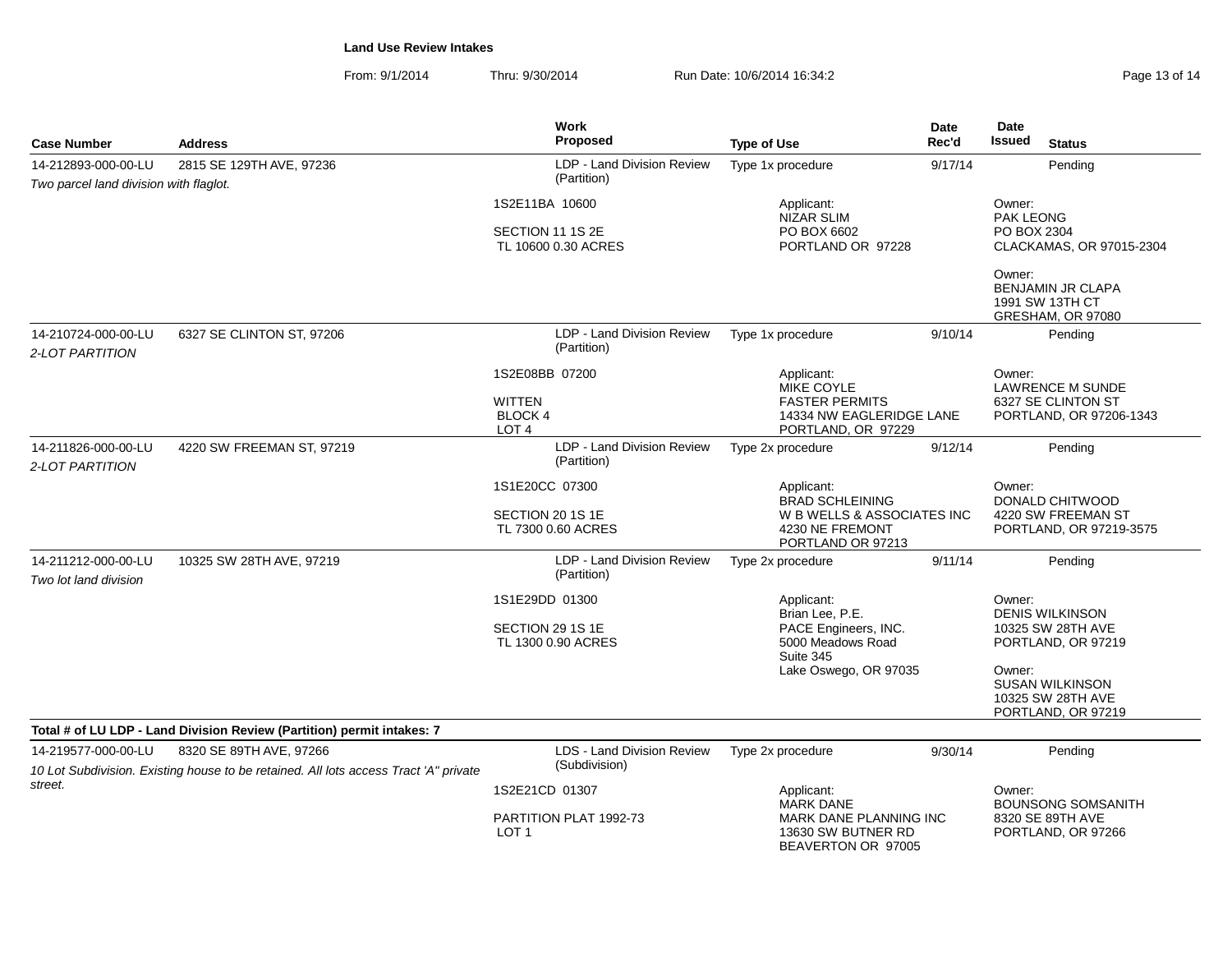From: 9/1/2014Thru: 9/30/2014 Run Date: 10/6/2014 16:34:2

| Page 13 of 14 |  |  |
|---------------|--|--|
|               |  |  |

| <b>Case Number</b>                                                                        | <b>Address</b>                                                                                                  | <b>Work</b><br><b>Proposed</b>                     | <b>Type of Use</b>                                                            | Date<br>Rec'd | <b>Date</b><br>Issued<br><b>Status</b>                                             |  |
|-------------------------------------------------------------------------------------------|-----------------------------------------------------------------------------------------------------------------|----------------------------------------------------|-------------------------------------------------------------------------------|---------------|------------------------------------------------------------------------------------|--|
| 2815 SE 129TH AVE, 97236<br>14-212893-000-00-LU<br>Two parcel land division with flaglot. |                                                                                                                 | LDP - Land Division Review<br>(Partition)          | Type 1x procedure<br>9/17/14                                                  |               | Pending                                                                            |  |
|                                                                                           |                                                                                                                 | 1S2E11BA 10600                                     | Applicant:<br><b>NIZAR SLIM</b>                                               |               | Owner:<br><b>PAK LEONG</b>                                                         |  |
|                                                                                           |                                                                                                                 | SECTION 11 1S 2E<br>TL 10600 0.30 ACRES            | PO BOX 6602<br>PORTLAND OR 97228                                              |               | PO BOX 2304<br>CLACKAMAS, OR 97015-2304                                            |  |
|                                                                                           |                                                                                                                 |                                                    |                                                                               |               | Owner:<br>BENJAMIN JR CLAPA<br>1991 SW 13TH CT<br>GRESHAM, OR 97080                |  |
| 14-210724-000-00-LU<br>2-LOT PARTITION                                                    | 6327 SE CLINTON ST, 97206                                                                                       | LDP - Land Division Review<br>(Partition)          | Type 1x procedure                                                             | 9/10/14       | Pending                                                                            |  |
|                                                                                           |                                                                                                                 | 1S2E08BB 07200<br><b>WITTEN</b><br>BLOCK 4         | Applicant:<br>MIKE COYLE<br><b>FASTER PERMITS</b><br>14334 NW EAGLERIDGE LANE |               | Owner:<br><b>LAWRENCE M SUNDE</b><br>6327 SE CLINTON ST<br>PORTLAND, OR 97206-1343 |  |
|                                                                                           |                                                                                                                 | LOT <sub>4</sub>                                   | PORTLAND, OR 97229                                                            |               |                                                                                    |  |
| 14-211826-000-00-LU<br>2-LOT PARTITION                                                    | 4220 SW FREEMAN ST, 97219                                                                                       | LDP - Land Division Review<br>(Partition)          | Type 2x procedure                                                             | 9/12/14       | Pending                                                                            |  |
|                                                                                           |                                                                                                                 | 1S1E20CC 07300<br>SECTION 20 1S 1E                 | Applicant:<br><b>BRAD SCHLEINING</b><br>W B WELLS & ASSOCIATES INC            |               | Owner:<br><b>DONALD CHITWOOD</b><br>4220 SW FREEMAN ST                             |  |
|                                                                                           |                                                                                                                 | TL 7300 0.60 ACRES                                 | 4230 NE FREMONT<br>PORTLAND OR 97213                                          |               | PORTLAND, OR 97219-3575                                                            |  |
| 14-211212-000-00-LU<br>Two lot land division                                              | 10325 SW 28TH AVE, 97219                                                                                        | LDP - Land Division Review<br>(Partition)          | Type 2x procedure                                                             | 9/11/14       | Pending                                                                            |  |
|                                                                                           |                                                                                                                 | 1S1E29DD 01300                                     | Applicant:<br>Brian Lee, P.E.                                                 |               | Owner:<br><b>DENIS WILKINSON</b>                                                   |  |
|                                                                                           |                                                                                                                 | SECTION 29 1S 1E<br>TL 1300 0.90 ACRES             | PACE Engineers, INC.<br>5000 Meadows Road<br>Suite 345                        |               | 10325 SW 28TH AVE<br>PORTLAND, OR 97219                                            |  |
|                                                                                           |                                                                                                                 |                                                    | Lake Oswego, OR 97035                                                         |               | Owner:<br><b>SUSAN WILKINSON</b><br>10325 SW 28TH AVE<br>PORTLAND, OR 97219        |  |
|                                                                                           | Total # of LU LDP - Land Division Review (Partition) permit intakes: 7                                          |                                                    |                                                                               |               |                                                                                    |  |
| 14-219577-000-00-LU                                                                       | 8320 SE 89TH AVE, 97266<br>10 Lot Subdivision. Existing house to be retained. All lots access Tract 'A" private | <b>LDS - Land Division Review</b><br>(Subdivision) | Type 2x procedure                                                             | 9/30/14       | Pending                                                                            |  |
| street.                                                                                   |                                                                                                                 | 1S2E21CD 01307                                     | Applicant:<br><b>MARK DANE</b>                                                |               | Owner:<br><b>BOUNSONG SOMSANITH</b><br>8320 SE 89TH AVE<br>PORTLAND, OR 97266      |  |
|                                                                                           |                                                                                                                 | PARTITION PLAT 1992-73<br>LOT <sub>1</sub>         | MARK DANE PLANNING INC<br>13630 SW BUTNER RD<br>BEAVERTON OR 97005            |               |                                                                                    |  |